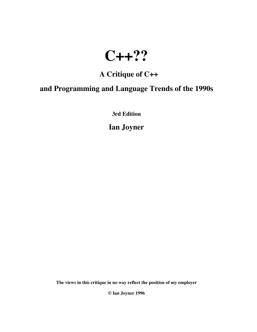# **C++??**

# **A Critique of C++**

# **and Programming and Language Trends of the 1990s**

**3rd Edition**

**Ian Joyner**

**The views in this critique in no way reflect the position of my employer**

**© Ian Joyner 1996**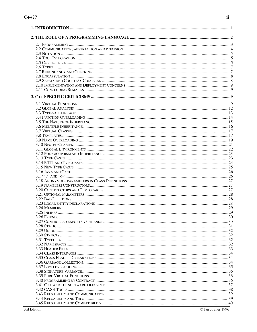| $\frac{1}{2}$<br><b>3.25 INLINES</b> |  |
|--------------------------------------|--|
|                                      |  |
|                                      |  |
|                                      |  |
|                                      |  |
|                                      |  |
|                                      |  |
|                                      |  |
|                                      |  |
|                                      |  |
|                                      |  |
|                                      |  |
|                                      |  |
|                                      |  |
|                                      |  |
|                                      |  |
|                                      |  |
|                                      |  |
|                                      |  |
|                                      |  |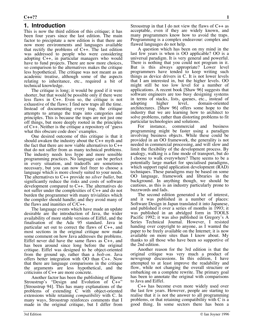# **1. Introduction**

This is now the third edition of this critique; it has been four years since the last edition. The main factor to precipitate a new edition is that there are now more environments and languages available that rectify the problems of C++. The last edition was addressed to people who were considering adopting C++, in particular managers who would have to fund projects. There are now more choices, so comparison to the alternatives makes the critique less hypothetical. The critique was not meant as an academic treatise, although some of the aspects relating to inheritance, etc., required a bit of technical knowledge.

The critique is long; it would be good if it were shorter, but that would be possible only if there were less flaws in C++. Even so, the critique is not exhaustive of the flaws: I find new traps all the time. Instead of documenting every trap, the critique attempts to arrange the traps into categories and principles. This is because the traps are not just one off things, but more deeply rooted in the principles of C++. Neither is the critique a repository of 'guess what this obscure code does' examples.

One desired outcome of this critique is that it should awaken the industry about the C++ myth and the fact that there are now viable alternatives to C++ that do not suffer from as many technical problems. The industry needs less hype and more sensible programming practices. No language can be perfect in every situation, and tradeoffs are sometimes necessary, but you can now feel freer to choose a language which is more closely suited to your needs. The alternatives to C++ provide no *silver bullet*, but significantly reduce the risks and costs of software development compared to C++. The alternatives do not suffer under the complexities of C++ and do not burden the programmer with many trivialities which the compiler should handle; and they avoid many of the flaws and inanities of C/C++.

The language events which have made an update desirable are the introduction of Java, the wider availability of more stable versions of Eiffel, and the finalisation of the Ada 95 standard. Java in particular set out to correct the flaws of C++, and most sections in the original critique now make some comment on how Java addresses the problems. Eiffel never did have the same flaws as C++, and has been around since long before the original critique. Eiffel was designed to be object-oriented from the ground up, rather than a *bolt-on*. Java offers better integration with OO than C++. Now that there are language comparisons in the critique the arguments are less hypothetical, and the criticisms of C++ are more concrete.

Another factor has been the publishing of Bjarne Stroustrup's "Design and Evolution of C++" [Stroustrup 94]. This has many explanations of the problems of extending C with object-oriented extensions while retaining *compatibility* with C. In many ways, Stroustrup reinforces comments that I made in the original critique, but I differ from

Stroustrup in that I do not view the flaws of  $C_{++}$  as acceptable, even if they are widely known, and many programmers know how to avoid the traps. Programming is a complex endeavour: complex and flawed languages do not help.

A question which has been on my mind in the last few years is when is OO applicable? OO is a universal paradigm. It is very general and powerful. There is nothing that you could not program in it. But is this always appropriate? Lower level programmers have tended to keep writing such things as device drivers in C. It is not lower levels that I am interested in, but the higher levels. OO might still be too low level for a number of applications. A recent book [Shaw 96] suggests that software engineers are too busy designing systems in terms of stacks, lists, queues, etc., instead of adopting higher level, domain-oriented architectures. [Shaw 96] offers some hope to the industry that we are learning how to architect to solve problems, rather than distorting problems to fit particular technologies and solutions.

For instance, commercial and business programming might be faster using a paradigm involving business objects. While these could be provided in an OO framework, the generality is not needed in commercial processing, and will slow and limit the flexibility of the development process. By analogy, walking is a fine mode of transport, but do I choose to walk everywhere? There seems to be a potentially large market for specialised paradigms, which support rapid application development (RAD) techniques. These paradigms may be based on some OO language, framework and libraries in the background. In anything though, we should be cautious, as this is an industry particularly prone to buzzwords and fads.

The second edition generated a lot of interest, and it was published in a number of places: Software Design in Japan translated it into Japanese, and published it over a series of months in 1993; it was published in an abridged form in TOOLS Pacific 1992; it was also published in Gregory's A Series Technical Journal. However, I resisted handing over copyright to anyone, as I wanted the paper to be freely available on the Internet; it is now available on more sites than I know about. My thanks to all those who have been so supportive of the 2nd edition.

Another reason for the 3rd edition is that the original critique was very much a product of newsgroup discussions. In this edition, I have attempted to at least improve the readability and flow, while not changing the overall structure or embarking on a complete rewrite. The primary goal has been to annotate the original with comparisons to Java and Eiffel.

C++ has become even more widely used over the last few years. However, people are starting to realise that it is not the answer to all programming problems, or that retaining compatibility with C is a good thing. In some sectors there has been a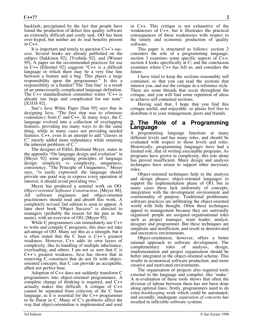backlash, precipitated by the fact that people have found the production of defect free quality software an extremely difficult and costly task. OO has been over-hyped, but neither are its real benefits present in C++.

It is important and timely to question C++'s success. Several books are already published on the subject [Sakkinen 92], [Yoshida 92], and [Wiener] 95]. A paper on the recommended practices for use in C++ [Ellemtel 92] suggests "C++ is a difficult language in which there may be a very fine line between a feature and a bug. This places a large responsibility upon the programmer." Is this a responsibility or a burden? The 'fine line' is a result of an unnecessarily complicated language definition. The C++ standardisation committee warns "C++ is already too large and complicated for our taste" [X3J16 92].

Sun's Java White Paper [Sun 95] says that in designing Java, "The first step was to *eliminate redundancy* from C and C++. In many ways, the C language evolved into a collection of overlapping features, providing too many ways to do the same thing, while in many cases not providing needed features. C++, even in an attempt to add "classes in C" merely added more redundancy while retaining the inherent problems of C."

The designer of Eiffel, Bertrand Meyer, states in the appendix "On language design and evolution" in [Meyer 92] some guiding principles of language design: simplicity vs complexity, uniqueness, consistency. "The Principle of Uniqueness," Meyer says, "is easily expressed: the language should provide one good way to express every operation of interest; it should avoid providing two."

Meyer has produced a seminal work on OO: *Object-oriented Software Construction*, [Meyer 88]. All software engineers and object-oriented practitioners should read and absorb this work. A completely revised 2nd edition is soon to appear. A later short book "Object Success" is directed to managers (probably the reason for the pun in the name), with an overview of OO, [Meyer 95].

While C programmers can immediately use  $C_{++}$ to write and compile C programs, this does not take advantage of OO. Many see this as a strength, but it is often stated that the C base is  $C++\tilde{s}$  greatest weakness. However, C++ adds its own layers of complexity, like its handling of multiple inheritance, overloading, and others. I am not so sure that C is C++'s greatest weakness. Java has shown that in removing C constructs that do not fit with objectoriented concepts, that C can provide an acceptable, albeit not perfect base.

Adoption of C++ does not suddenly transform C programmers into object-oriented programmers. A complete change of thinking is required, and C++ actually makes this difficult. A critique of C++ cannot be separated from criticism of the C base language, as it is essential for the C++ programmer to be fluent in C. Many of C's problems affect the way that object-orientation is implemented and used

This paper is structured as follows: section 2 considers the role of a programming language; section 3 examines some specific aspects of C++; section 4 looks specifically at C; and the conclusion examines where C++ has left us, and considers the future.

I have tried to keep the sections reasonably self contained, so that you can read the sections that interest you, and use the critique in a reference style. There are some threads that occur throughout the critique, and you will find some repetition of ideas to achieve self contained sections.

Having said that, I hope that you find this critique useful, and enjoyable: so please feel free to distribute it to your management, peers and friends.

# **2. The Role of a Programming Language**

A programming language functions at many different levels and has many roles, and should be evaluated with respect to those levels and roles. Historically, programming languages have had a limited role, that of writing executable programs. As programs have grown in complexity, this role alone has proved insufficient. Many design and analysis techniques have arisen to support other necessary roles.

Object-oriented techniques help in the analysis and design phases; object-oriented languages to support the implementation phase of OO, but in many cases these lack uniformity of concepts, integration with the development environment and commonality of purpose. Traditional problematic software practices are infiltrating the object-oriented world with little thought. Often these techniques appeal to management because they are outwardly organised: people are assigned organisational roles such as project manager, team leader, analyst, designer and programmer. But these techniques are simplistic and insufficient, and result in demotivated and uncreative environments.

Object-orientation, however, offers a better rational approach to software development. The complementary roles of analysis, design, complementary roles of analysis, design, implementation and project organisation should be better integrated in the object-oriented scheme. This results in economical software production, and more creative and motivated environments.

The organisation of projects also required tools external to the language and compiler, like 'make.' A re-evaluation of these tools shows that often the division of labour between them has not been done along optimal lines: firstly, programmers need to do extra *bookkeeping* work which could be automated; and secondly, inadequate *separation of concerns* has resulted in inflexible software systems.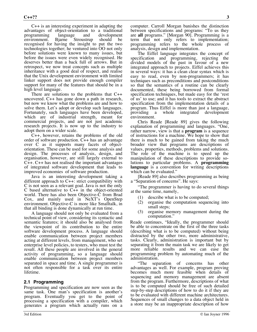C++ is an interesting experiment in adapting the advantages of object-orientation to a traditional programming language and development<br>environment. Bjarne Stroustrup should be environment. Bjarne Stroustrup should be recognised for having the insight to put the two technologies together; he ventured into OO not only before solutions were known to many issues, but before the issues were even widely recognised. He deserves better than a back full of arrows. But in retrospect, we now treat concepts such as multiple inheritance with a good deal of respect, and realise that the Unix development environment with limited linker support does not provide enough compiler support for many of the features that should be in a high level language.

There are solutions to the problems that C++ uncovered. C++ has gone down a path in research, but now we know what the problems are and how to solve them. Let's adopt or develop such languages. Fortunately, such languages have been developed, which are of industrial strength, meant for commercial projects, and are not just academic research projects. It is now up to the industry to adopt them on a wider scale.

C++, however, retains the problems of the old order of software production. C++ has an advantage over C as it supports many facets of objectorientation. These can be used for some analysis and design. The processes of analysis, design, and organisation, however, are still largely external to C++. C++ has not realised the important advantages of integrated software development that leads to improved economies of software production.

Java is an interesting development taking a different approach to C++: strict compatibility with C is not seen as a relevant goal. Java is not the only C based alternative to C++ in the object-oriented world. There has also been Objective-C from Brad Cox, and mainly used in NeXT's OpenStep environment. Objective-C is more like Smalltalk, in that all binding is done dynamically at run time.

A language should not only be evaluated from a technical point of view, considering its syntactic and semantic features; it should also be analysed from the viewpoint of its contribution to the entire software development process. A language should enable communication between project members acting at different levels, from management, who set enterprise level policies, to testers, who must test the result. All these people are involved in the general activity of programming, so a language should enable communication between project members separated in space and time. A single programmer is not often responsible for a task over its entire lifetime.

#### **2.1 Programming**

Programming and specification are now seen as the same task. One man's specification is another's program. Eventually you get to the point of processing a specification with a compiler, which generates a program which actually runs on a

computer. Carroll Morgan banishes the distinction between specifications and programs: "To us they are **all** programs." [Morgan 90]. Programming is a term that not only refers to implementation; programming refers to the whole process of analysis, design and implementation.

The Eiffel language integrates the concept of specification and programming, rejecting the divided models of the past in favour of a new integrated approach to projects. Eiffel achieves this in several ways: it has a clean clear syntax which is easy to read, even by non-programmers; it has techniques such as preconditions and postconditions so that the semantics of a routine can be clearly documented, these being borrowed from formal specification techniques, but made easy for the 'rest of us' to use; and it has tools to extract the abstract specification from the implementation details of a program. Thus Eiffel is more than just a language, providing a whole integrated development environment.

Chris Reade [Reade 89] gives the following explanation of programming and languages. "One, rather narrow, view is that a **program** is a sequence of instructions for a machine. We hope to show that there is much to be gained from taking the much broader view that programs are descriptions of values, properties, methods, problems and solutions. The role of the machine is to speed up the manipulation of these descriptions to provide solutions to particular problems. A **programming language** is a convention for writing descriptions which can be evaluated."

[Reade 89] also describes programming as being a "Separation of concerns". He says:

"The programmer is having to do several things at the same time, namely,

- (1) describe what is to be computed;
- (2) organise the computation sequencing into small steps;
- (3) organise memory management during the computation."

Reade continues, "Ideally, the programmer should be able to concentrate on the first of the three tasks (describing what is to be computed) without being distracted by the other two, more administrative, tasks. Clearly, administration is important but by separating it from the main task we are likely to get more reliable results and we can ease the programming problem by automating much of the administration.

"The separation of concerns has other advantages as well. For example, program proving becomes much more feasible when details of sequencing and memory management are absent from the program. Furthermore, descriptions of what is to be computed should be free of such detailed step-by-step descriptions of how to do it if they are to be evaluated with different machine architectures. Sequences of small changes to a data object held in a store may be an inappropriate description of how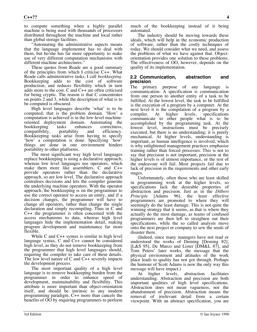to compute something when a highly parallel machine is being used with thousands of processors distributed throughout the machine and local rather than global storage facilities.

"Automating the administrative aspects means that the language implementor has to deal with them, but he/she has far more opportunity to make use of very different computation mechanisms with different machine architectures."

These quotes from Reade are a good summary of the principles from which I criticise C++. What Reade calls administrative tasks, I call *bookkeeping*.<br>Bookkeeping adds to the cost of software production, and reduces flexibility which in turn adds more to the cost. C and C++ are often criticised for being cryptic. The reason is that C concentrates on points 2 and 3, while the description of what is to be computed is obscured.

High level languages describe 'what' is to be computed; that is the problem domain. 'How' a computation is achieved is in the low-level machineoriented deployment domain. Automating the bookkeeping tasks enhances correctness, compatibility, portability and efficiency. Bookkeeping tasks arise from having to specify 'how' a computation is done. Specifying 'how' things are done in one environment hinders portability to other platforms.

The most significant way high level languages replace bookkeeping is using a declarative approach, whereas low level languages use operators, which make them more like assemblers. C and C++ provide operators rather than the declarative approach, so are low level. The declarative approach centralises decisions and lets the compiler generate the underlying machine operators. With the operator approach, the bookkeeping is on the programmer to use the correct operator to access an entity, and if a decision changes, the programmer will have to change all operators, rather than change the single declaration and simply recompiling. Thus in C and C++ the programmer is often concerned with the access mechanisms to data, whereas high level languages hide the implementation detail, making program development and maintenance far more flexible.

While C and C++ syntax is similar to high level language syntax, C and C++ cannot be considered high level, as they do not remove bookkeeping from the programmer that high level languages should, requiring the compiler to take care of these details. The low level nature of  $C$  and  $C_{++}$  severely impacts the development process.

The most important quality of a high level language is to remove bookkeeping burden from the programmer in order to enhance speed of development, maintainability and flexibility. This attribute is more important than object-orientation itself, and should be intrinsic to any modern programming paradigm. C++ more than cancels the benefits of OO by requiring programmers to perform

much of the bookkeeping instead of it being automated.

The industry should be moving towards these ideals, which will help in the economic production of software, rather than the costly techniques of today. We should consider what we need, and assess the problems of what we have against that. Objectorientation provides one solution to these problems. The effectiveness of OO, however, depends on the quality of its implementation.

#### **2.2 Communication, abstraction and precision**

The primary purpose of any language is communication. A specification is communication from one person to another entity of a task to be fulfilled. At the lowest level, the task to be fulfilled is the execution of a program by a computer. At the next level it is the compilation of a program by a compiler. At higher levels, specifications compiler. At higher levels, specifications communicate to other people what is to be accomplished by the programming task. At the lowest level, instructions must be precisely executed, but there is no understanding; it is purely mechanical. At higher levels, understanding is important, as human intelligence is involved, which is why enlightened management practices emphasise training rather than forced processes. This is not to say that precision is not important; precision at the higher levels is of utmost importance, or the rest of the endeavour will fail. Most projects fail due to lack of precision in the requirements and other early stages.

Unfortunately, often those who are least skilled in programming work at the higher levels, so specifications lack the desirable properties of abstraction and precision. Just as in the *Dilbert Principle* [Adams 96], the least effective programmers are promoted to where they will seemingly do the least damage. This is not quite the winning strategy that it seems, as that is where they actually do the most damage, as teams of confused programmers are then left to straighten out their specifications, while the so called analysts move onto the next project or company to sew the seeds of disaster there.

(Indeed, since many managers have not read or understood the works of Deming [Deming 82], [L&S 95], De Marco and Lister [DM&L 87], and Tom Peters' later works, the message that the physical environment and attitudes of the work place leads to quality has not got through. Perhaps the humour of Scott Adams is now the only way this message will have impact.)

At higher levels, abstraction facilitates understanding. Abstraction and precision are both important qualities of high level specifications. Abstraction does not mean vagueness, nor the abandonment of precision. Abstraction means the removal of irrelevant detail from a certain viewpoint. With an abstract specification, you are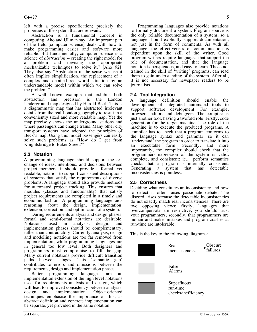left with a precise specification; precisely the properties of the system that are relevant.

Abstraction is a fundamental concept in computing. Aho and Ullman say "An important part of the field [computer science] deals with how to make programming easier and software more reliable. But fundamentally, computer science is a science of *abstraction* -- creating the right model for a problem and devising the appropriate mechanizable techniques to solve it." [Aho 92]. They also say "Abstraction in the sense we use it often implies simplification, the replacement of a complex and detailed real-world situation by an understandable model within which we can solve the problem."

A well known example that exhibits both abstraction and precision is the London Underground map designed by Harold Beck. This is a diagrammatic map that has abstracted irrelevant details from the real London geography to result in a conveniently sized and more readable map. Yet the map precisely shows the underground stations and where passengers can change trains. Many other city transport systems have adopted the principles of Beck's map. Using this model passengers can easily solve such problems as "How do I get from Knightsbridge to Baker Street?"

#### **2.3 Notation**

A programming language should support the exchange of ideas, intentions, and decisions between project members; it should provide a formal, yet readable, notation to support consistent descriptions of systems that satisfy the requirements of diverse problems. A language should also provide methods for automated project tracking. This ensures that modules (classes and functionality) that satisfy project requirements are completed in a timely and economic fashion. A programming language aids reasoning about the design, implementation, extension, correction, and optimisation of a system.

During requirements analysis and design phases, formal and semi-formal notations are desirable.<br>Notations used in analysis, design, and analysis, design, and implementation phases should be complementary, rather than contradictory. Currently, analysis, design and modelling notations are too far removed from implementation, while programming languages are in general too low level. Both designers and programmers must compromise to fill the gap. Many current notations provide difficult transition<br>paths between stages. This 'semantic gap' paths between stages. This contributes to errors and omissions between the requirements, design and implementation phases.

Better programming languages are implementation extension of the high level notations used for requirements analysis and design, which will lead to improved consistency between analysis, design and implementation. Object-oriented techniques emphasise the importance of this, as abstract definition and concrete implementation can be separate, yet provided in the same notation.

Programming languages also provide notations to formally document a system. Program source is the only reliable documentation of a system, so a language should explicitly support documentation, not just in the form of comments. As with all language, the effectiveness of communication is dependent upon the skill of the writer. Good program writers require languages that support the role of documentation, and that the language notation is perspicuous, and easy to learn. Those not trained in the skill of 'writing' programs, can read them to gain understanding of the system. After all, it is not necessary for newspaper readers to be journalists.

#### **2.4 Tool Integration**

A language definition should enable the development of integrated automated tools to support software development. For example, browsers, editors and debuggers. The compiler is just another tool, having a twofold role. Firstly, code generation for the target machine. The role of the machine is to execute the produced programs. A compiler has to check that a program conforms to the language syntax and grammar, so it can 'understand' the program in order to translate it into an executable form. Secondly, and more importantly, the compiler should check that the programmers expression of the system is valid, complete, and consistent; ie., perform semantics checks that a program is internally consistent. Generating a system that has inconsistencies is pointless.

#### **2.5 Correctness**

Deciding what constitutes an inconsistency and how to detect it often raises passionate debate. The discord arises because the detectable inconsistencies do not exactly match real inconsistencies. There are two opposing views: firstly, languages that overcompensate are restrictive, you should trust your programmers; secondly, that programmers are human and make mistakes and program crashes at run-time are intolerable.

This is the key to the following diagrams:

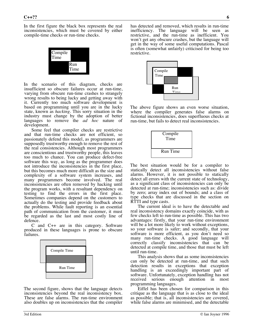In the first figure the black box represents the real inconsistencies, which must be covered by either compile-time checks or run-time checks.



In the scenario of this diagram, checks are insufficient so obscure failures occur at run-time, varying from obscure run-time crashes to strangely wrong results to being lucky and getting away with it. Currently too much software development is based on programming until you are in the lucky state, known as *hacking*. This sorry situation in the industry must change by the adoption of better languages to remove the *ad hoc* nature of development.

Some feel that compiler checks are restrictive and that run-time checks are not efficient, so passionately defend this model, as programmers are supposedly trustworthy enough to remove the rest of the real consistencies. Although most programmers are conscientious and trustworthy people, this leaves too much to chance. You can produce defect-free software this way, as long as the programmer does not introduce the inconsistencies in the first place, but this becomes much more difficult as the size and complexity of a software system increases, and many programmers become involved. The real inconsistencies are often removed by hacking until the program works, with a resultant dependency on testing to find the errors in the first place. Sometimes companies depend on the customers to actually do the testing and provide feedback about the problems. While fault reporting is an essential path of communication from the customer, it must be regarded as the last and most costly line of defence.

C and C++ are in this category. Software produced in these languages is prone to obscure failures.



The second figure, shows that the language detects inconsistencies beyond the real inconsistency box. These are false alarms. The run-time environment also doubles up on inconsistencies that the compiler

has detected and removed, which results in run-time inefficiency. The language will be seen as restrictive, and the run-time as inefficient. You won't get any obscure crashes, but the language will get in the way of some useful computations. Pascal is often (somewhat unfairly) criticised for being too restrictive.



The above figure shows an even worse situation, where the compiler generates false alarms on fictional inconsistencies, does superfluous checks at run-time, but fails to detect real inconsistencies.



The best situation would be for a compiler to statically detect all inconsistencies without false alarms. However, it is not possible to statically detect all errors with the current state of technology, as a significant class of inconsistencies can only be detected at run-time; inconsistencies such as: divide by zero; array index out of bounds; and a class of type checks that are discussed in the section on RTTI and type casts.

The current ideal is to have the detectable and real inconsistency domains exactly coincide, with as few checks left to run-time as possible. This has two advantages: firstly, that your run-time environment will be a lot more likely to work without exceptions, so your software is safer; and secondly, that your software is more efficient, as you don't need so many run-time checks. A good language will correctly classify inconsistencies that can be detected at compile time, and those that must be left until run-time.

This analysis shows that as some inconsistencies can only be detected at run-time, and that such detection results in exceptions that exception handling is an exceedingly important part of software. Unfortunately, exception handling has not received serious enough attention in most programming languages.

Eiffel has been chosen for comparison in this critique as the language that is as close to the ideal as possible; that is, all inconsistencies are covered, while false alarms are minimised, and the detectable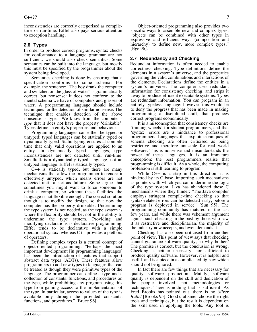inconsistencies are correctly categorised as compiletime or run-time. Eiffel also pays serious attention to exception handling.

#### **2.6 Types**

In order to produce correct programs, syntax checks for conformance to a language grammar are not sufficient: we should also check semantics. Some semantics can be built into the language, but mostly this must be specified by the programmer about the system being developed.

Semantics checking is done by ensuring that a specification conforms to some schema. For example, the sentence: "The boy drank the computer and switched on the glass of water" is grammatically correct, but nonsense: it does not conform to the mental schema we have of computers and glasses of water. A programming language should include techniques for the detection of similar nonsense. The technique that enables detection of the above nonsense is types. We know from the computer's *type* that it does not have the property 'drinkable'. Types define an entity's properties and behaviour.

Programming languages can either be typed or untyped; typed languages can be statically typed or dynamically typed. Static typing ensures at compile time that only valid operations are applied to an entity. In dynamically typed languages, type inconsistencies are not detected until run-time. Smalltalk is a dynamically typed language, not an untyped language. Eiffel is statically typed.

C++ is statically typed, but there are many mechanisms that allow the programmer to render it effectively untyped, which means errors are not detected until a serious failure. Some argue that sometimes you might want to force someone to drink a computer, so without these facilities, the language is not flexible enough. The correct solution though is to modify the design, so that now the computer has the property drinkable. Undermining the type system is not needed, as the type system is where the flexibility should be, not in the ability to undermine the type system. Providing and modifying declarations is declarative programming. Eiffel tends to be declarative with a simple operational syntax, whereas C++ provides a plethora of operators.

Defining complex types is a central concept of object-oriented programming: "Perhaps the most important development [in programming languages] has been the introduction of features that support abstract data types (ADTs). These features allow programmers to add new types to languages that can be treated as though they were primitive types of the language. The programmer can define a type and a collection of constants, functions, and procedures on the type, while prohibiting any program using this type from gaining access to the implementation of the type. In particular, access to values of the type is available only through the provided constants, functions, and procedures." [Bruce 96].

Object-oriented programming also provides two specific ways to assemble new and complex types: "objects can be combined with other types in expressive and efficient ways (composition and hierarchy) to define new, more complex types." [Ege 96].

#### **2.7 Redundancy and Checking**

Redundant information is often needed to enable correctness checking. Type definitions define the elements in a system's universe, and the properties governing the valid combinations and interactions of the elements. Declarations define the entities in a system's universe. The compiler uses redundant information for consistency checking, and strips it away to produce efficient executable systems. Types are redundant information. You can program in an entirely typeless language: however, this would be to deny the progress that has been made in making programming a disciplined craft, that produces correct programs economically.

It is a misconception that consistency checks are 'training wheels' for student programmers, and that 'syntax' errors are a hindrance to professional programmers. Languages that exploit techniques of schema checking are often criticised as being restrictive and therefore unusable for real world software. This is nonsense and misunderstands the power of these languages. It is an immature conception; the best programmers realise that programming is difficult. As a whole, the computing profession is still learning to program.

While C++ is a step in this direction, it is hindered by its C base, importing such mechanisms as pointers with which you can undermine the logic of the type system. Java has abandoned these C mechanisms where they hinder: "The Java compiler employs stringent compile-time checking so that syntax-related errors can be detected early, before a program is deployed in service" [Sun 95]. The programming community has matured in the last few years, and while there was vehement argument against such checking in the past by those who saw it as restrictive and disciplinarian, the majority of the industry now accepts, and even demands it.

Checking has also been criticised from another point of view. This point of view says that checking cannot guarantee software quality, so why bother? The premise is correct, but the conclusion is wrong. Checking is neither necessary, nor sufficient to produce quality software. However, it is helpful and useful, and is a piece in a complicated jig-saw which should not be ignored.

In fact there are few things that are necessary for quality software production. Mainly, software quality is dependent on the skill and dedication of the people involved, not methodologies or techniques. There is nothing that is sufficient. As Fred Brooks has pointed out, there is no *Silver Bullet* [Brooks 95]. Good craftsmen choose the right tools and techniques, but the result is dependent on the skill used in applying the tools. Any tool is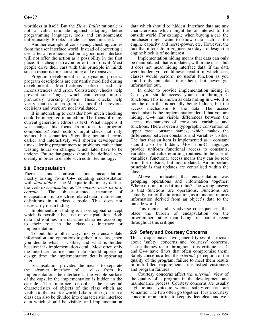worthless in itself. But the *Silver Bullet* rationale is not a valid rationale against adopting better programming languages, tools and environments; unfortunately, Brooks' article has been misused.

Another example of consistency checking comes from the user interface world. Instead of correcting a user after an erroneous action, a good user interface will not offer the action as a possibility in the first place. It is cheaper to avoid error than to fix it. Most people drive their cars with this principle in mind: smash repair is time consuming and expensive.

Program development is a dynamic process; program descriptions are constantly modified during development. Modifications often lead to inconsistencies and error. Consistency checks help prevent such 'bugs', which can 'creep' into a previously working system. These checks help verify that as a program is modified, previous decisions and work are not invalidated.

It is interesting to consider how much checking could be integrated in an editor. The focus of many current generation editors is text. What happens if we change this focus from text to program components? Such editors might check not only syntax, but semantics. Signalling potential errors earlier and interactively will shorten development times, alerting programmers to problems, rather than wasting hours on changes which later have to be undone. Future languages should be defined very cleanly in order to enable such editor technology.

#### **2.8 Encapsulation**

There is much confusion about encapsulation, mostly arising from C++ equating encapsulation with *data hiding*. The Macquarie dictionary defines the verb *to encapsulate* as "*to enclose in or as in a capsule.*" The object-oriented meaning of encapsulation is to enclose related data, routines and definitions in a class capsule. This does not necessarily mean hiding.

Implementation hiding is an orthogonal concept which is possible because of encapsulation. Both data and routines in a class are classified according to their role in the class as interface or implementation.

To put this another way: first you encapsulate information and operations together in a class, then you decide what is visible, and what is hidden because it is implementation detail. Most often only the interface routines and data should appear at design time, the implementation details appearing later.

Encapsulation provides the means to separate the abstract interface of a class from its implementation: the interface is the visible surface of the capsule; the implementation is hidden in the capsule. The interface describes the essential characteristics of objects of the class which are visible to the exterior world. Like routines, data in a class can also be divided into characteristic interface data which should be visible, and implementation

data which should be hidden. Interface data are any characteristics which might be of interest to the outside world. For example when buying a car, the purchaser might want to know data such as the engine capacity and horse-power, etc. However, the fact that it took John Engineer six days to design the engine block is of no interest.

Implementation hiding means that data can only be manipulated, that is updated, within the class, but it does not mean hiding interface data. If the data were hidden, you could never read it, in which case, classes would perform no useful function as you could only put data into them, but never get information out.

In order to provide implementation hiding in C++ you should access your data through C functions. This is known as data hiding in C++. It is not the data that is actually being hidden, but the access mechanism to the data. The access mechanism is the implementation detail that you are hiding. C++ has visible differences between the access mechanisms of constants, variables and functions. There is even a typographic convention of upper case constant names, which makes the differences between constants and variables visible. The fact that an item is implemented as a constant should also be hidden. Most non-C languages provide uniform functional access to constants, variables and value returning routines. In the case of variables, functional access means they can be read from the outside, but not updated. An important principle is that updates are centralised within the class.

Above I indicated that encapsulation was grouping operations and information together. Where do functions fit into this? The wrong answer is that functions are operations. Functions are actually part of the information, as a function returns information derived from an object's data to the outside world.

This theme and its adverse consequences, that place the burden of encapsulation on the programmer rather than being transparent, recur throughout this critique.

#### **2.9 Safety and Courtesy Concerns**

This critique makes two general types of criticism about 'safety' concerns and 'courtesy' concerns. These themes recur throughout this critique, as C and C++ have flaws that often compromise them. Safety concerns affect the *external* perception of the quality of the program; failure to meet them results in unfulfilled requirements, unsatisfied customers and program failures.

Courtesy concerns affect the *internal* view of the quality of a program in the development and maintenance process. Courtesy concerns are usually stylistic and syntactic, whereas safety concerns are semantic. The two often go together. It is a courtesy concern for an airline to keep its fleet clean and well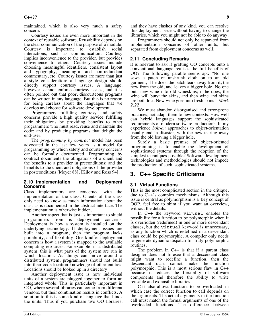maintained, which is also very much a safety concern.

Courtesy issues are even more important in the context of reusable software. Reusability depends on the clear communication of the purpose of a module. Courtesy is important to establish social interactions, such as communication. Courtesy implies inconvenience to the provider, but provides convenience to others. Courtesy issues include choosing meaningful identifiers, consistent layout and typography, meaningful and non-redundant commentary, etc. Courtesy issues are more than just a style consideration: a language design should directly support courtesy issues. A language, however, cannot enforce courtesy issues, and it is often pointed out that poor, discourteous programs can be written in any language. But this is no reason for being careless about the languages that we develop and choose for software development.

Programmers fulfilling courtesy and safety concerns provide a high quality service fulfilling their obligations by providing benefits to other programmers who must read, reuse and maintain the code; and by producing programs that delight the end-user.

The *programming by contract* model has been advocated in the last few years as a model for programming by which safety and courtesy concerns can be formally documented. Programming by contract documents the obligations of a client and the benefits to a provider in preconditions; and the benefits to the client and obligations of the provider in postconditions [Meyer 88], [Kilov and Ross 94].

#### **2.10 Implementation and Deployment Concerns**

Class implementors are concerned with the implementation of the class. Clients of the class only need to know as much information about the class as is documented in the abstract interface. The implementation is otherwise hidden.

Another aspect that is just as important to shield programmers from is deployment concerns. Deployment is how a system is installed on the underlying technology. If deployment issues are built into a program, then the program lacks portability, and flexibility. One kind of deployment concern is how a system is mapped to the available computing resources. For example, in a distributed system, this is what parts of the system are run in which location. As things can move around a distributed system, programmers should not build into their code location knowledge of other entities. Locations should be looked up in a directory.

Another deployment issue is how individual units of a system are plugged together to form an integrated whole. This is particularly important in OO, where several libraries can come from different vendors, but their combination results in conflicts. A solution to this is some kind of language that binds the units. Thus if you purchase two OO libraries,

and they have clashes of any kind, you can resolve this deployment issue without having to change the libraries, which you might not be able to do anyway.

Programmers should not only be separated from implementation concerns of other units, but separated from deployment concerns as well.

#### **2.11 Concluding Remarks**

It is relevant to ask if grafting OO concepts onto a conventional language realises the full benefits of OO? The following parable seems apt: "No one sews a patch of unshrunk cloth on to an old garment; if he does, the patch tears away from it, the new from the old, and leaves a bigger hole. No one puts new wine into old wineskins; if he does, the wine will burst the skins, and then wine and skins are both lost. New wine goes into fresh skins." *Mark 2:22*

We must abandon disorganised and error-prone practices, not adapt them to new contexts. How well can hybrid languages support the sophisticated requirements of modern software production? In my experience *bolt-on* approaches to object-orientation usually end in disaster, with the new tearing away from the old leaving a bigger hole.

Surely a basic premise of object-oriented programming is to enable the development of sophisticated systems through the adoption of the simplest techniques possible? Software development technologies and methodologies should not impede the production of such sophisticated systems.

# **3. C++ Specific Criticisms**

#### **3.1 Virtual Functions**

This is the most complicated section in the critique, due to C++'s complex mechanisms. Although this issue is central as polymorphism is a key concept of OOP, feel free to skim if you want an overview, without the details.

In C++ the keyword virtual enables the possibility for a function to be polymorphic when it is overridden (redefined) in one or more descendant classes, but the virtual keyword is unnecessary, as any function which is redefined in a descendant class could be polymorphic. A compiler only needs to generate dynamic dispatch for truly polymorphic routines.

The problem in  $C++$  is that if a parent class designer does not foresee that a descendant class might want to redefine a function, then the descendant class cannot make the function polymorphic. This is a most serious flaw in C++ because it reduces the flexibility of software components and therefore the ability to write reusable and extensible libraries.

C++ also allows functions to be overloaded, in which case the correct function to call depends on the arguments. The actual arguments in the function call must match the formal arguments of one of the overloaded functions. The difference between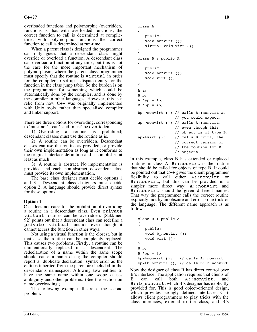overloaded functions and polymorphic (overridden) functions is that with overloaded functions, the correct function to call is determined at compiletime; with polymorphic functions the correct function to call is determined at run-time.

When a parent class is designed the programmer can only guess that a descendant class might override or overload a function. A descendant class can overload a function at any time, but this is not the case for the more important mechanism of polymorphism, where the parent class programmer must specify that the routine is virtual in order for the compiler to set up a dispatch entry for the function in the class jump table. So the burden is on the programmer for something which could be automatically done by the compiler, and is done by the compiler in other languages. However, this is a relic from how C++ was originally implemented with Unix tools, rather than specialised compiler and linker support.

There are three options for overriding, corresponding to 'must not', 'can', and 'must' be overridden:

1) Overriding a routine is prohibited; descendant classes must use the routine as is.

2) A routine can be overridden. Descendant classes can use the routine as provided, or provide their own implementation as long as it conforms to the original interface definition and accomplishes at least as much.

3) A routine is abstract. No implementation is provided and each non-abstract descendent class must provide its own implementation.

The base class designer must decide options 1 and 3. Descendant class designers must decide option 2. A language should provide direct syntax for these options.

#### **Option 1**

C++ does not cater for the prohibition of overriding a routine in a descendant class. Even private virtual routines can be overridden. [Sakkinen 92] points out that a descendant class can redefine a private virtual function even though it cannot access the function in other ways.

Not using a virtual function is the closest, but in that case the routine can be completely replaced. This causes two problems. Firstly, a routine can be unintentionally replaced in a descendent. The redeclaration of a name within the same scope should cause a name clash; the compiler should report a 'duplicate declaration' syntax error as the entities inherited from the parent are included in the descendants namespace. Allowing two entities to have the same name within one scope causes ambiguity and other problems. (See the section on name overloading.)

The following example illustrates the second problem:

```
class A
{
   public:
   void nonvirt ();
   virtual void virt ();
}
class B : public A
{
   public:
   void nonvirt ();
   void virt ();
}
A a;
B b;
A * ap = \&b;B * bp = \&b;bp->nonvirt (); // calls B::nonvirt as
                  // you would expect.
ap->nonvirt (); // calls A::nonvirt,
                  // even though this
                  // object is of type B.
ap->virt (); // calls B::virt, the
                  // correct version of
                  // the routine for B
                  // objects.
```
In this example, class B has extended or replaced routines in class A. B:: nonvirt is the routine that should be called for objects of type B. It could be pointed out that C++ gives the client programmer flexibility to call either A::nonvirt or B::nonvirt, but this can be provided in a simpler more direct way: A::nonvirt and B::nonvirt should be given different names. That way the programmer calls the correct routine explicitly, not by an obscure and error prone trick of the language. The different name approach is as follows:

```
class B : public A
{
   public:
   void b nonvirt ();
   void virt ();
}
B b;
B * bp = \&b;bp->nonvirt (); // calls A::nonvirt
bp->b_nonvirt (); // calls B::b_nonvirt
```
Now the designer of class B has direct control over B's interface. The application requires that clients of B can call both A::nonvirt, and B::b\_nonvirt, which B's designer has explicitly provided for. This is good object-oriented design, which provides strongly defined interfaces. C++ allows client programmers to play tricks with the class interfaces, external to the class, and B's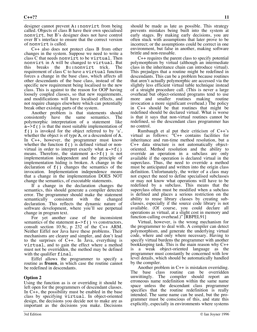designer cannot prevent A:: nonvirt from being called. Objects of class B have their own specialised nonvirt, but B's designer does not have control over B's interface to ensure that the correct version of nonvirt is called.

C++ also does not protect class B from other changes in the system. Suppose we need to write a class C that needs nonvirt to be virtual. Then nonvirt in A will be changed to virtual. But this breaks the B::nonvirt trick. The requirement of class C to have a virtual function forces a change in the base class, which affects all other descendants of the base class, instead of the specific new requirement being localised to the new class. This is against to the reason for OOP having loosely coupled classes, so that new requirements, and modifications will have localised effects, and not require changes elsewhere which can potentially break other existing parts of the system.

Another problem is that statements should<br>consistently have the same semantics. The have the same semantics. The polymorphic interpretation of a statement like  $a \rightarrow f($ ) is that the most suitable implementation of f() is invoked for the object referred to by 'a', whether the object is of type A, or a descendent of A.<br>In C++, however, the programmer must know whether the function  $f()$  is defined virtual or nonvirtual in order to interpret exactly what  $a \rightarrow f($ ) means. Therefore, the statement  $a \rightarrow f()$  is not implementation independent and the principle of implementation hiding is broken. A change in the declaration of f() changes the semantics of the invocation. Implementation independence means that a change in the implementation DOES NOT change the semantics, of executable statements.

If a change in the declaration changes the semantics, this should generate a compiler detected error. The programmer should make the statement semantically consistent with the changed declaration. This reflects the dynamic nature of software development, where you'll see perpetual change in program text.

For yet another case of the inconsistent semantics of the statement  $a \rightarrow f($ ) vs constructors, consult section 10.9c, p 232 of the C++ ARM. Neither Eiffel nor Java have these problems. Their mechanisms are clearer and simpler, and don't lead to the surprises of C++. In Java, everything is virtual, and to gain the effect where a method must not be overridden, the method may be defined with the qualifier final.

Eiffel allows the programmer to specify a routine as **frozen**, in which case the routine cannot be redefined in descendants.

#### **Option 2**

Using the function as is or overriding it should be left open for the programmers of descendant classes. In C++, the possibility must be enabled in the base class by specifying virtual. In object-oriented design, the decisions you decide not to make are as important as the decisions you make. Decisions

should be made as late as possible. This strategy prevents mistakes being built into the system at early stages. By making early decisions, you are often stuck with assumptions that later prove to be incorrect; or the assumptions could be correct in one environment, but false in another, making software brittle and non-reusable.

C++ requires the parent class to specify potential polymorphism by virtual (although an intermediate class in the inheritance chain can introduce virtual). This prejudges that a routine might be redefined in descendants. This can be a problem because routines that aren't actually polymorphic are accessed via the slightly less efficient virtual table technique instead of a straight procedure call. (This is never a large overhead but object-oriented programs tend to use more and smaller routines making routine invocation a more significant overhead.) The policy in C++ should be that routines that might be redefined should be declared virtual. What is worse is that it says that non-virtual routines cannot be redefined, so the descendant class programmer has no control.

Rumbaugh et al put their criticism of C++'s virtual as follows: "C++ contains facilities for inheritance and run-time method resolution, but a C++ data structure is not automatically objectoriented. Method resolution and the ability to override an operation in a subclass are only available if the operation is declared virtual in the superclass. Thus, the need to override a method must be anticipated and written into the origin class definition. Unfortunately, the writer of a class may not expect the need to define specialised subclasses or may not know what operations will have to be redefined by a subclass. This means that the superclass often must be modified when a subclass is defined and places a serious restriction on the ability to reuse library classes by creating subclasses, especially if the source code library is not available. (Of course, you could declare all operations as virtual, at a slight cost in memory and function-calling overhead.)" [RBPEL91]

Virtual, however, is the wrong mechanism for the programmer to deal with. A compiler can detect polymorphism, and generate the underlying virtual code, where and only where necessary. Having to specify virtual burdens the programmer with another bookkeeping task. This is the main reason why C++ is a weak object-oriented language as the programmer must constantly be concerned with low level details, which should be automatically handled by the compiler.

Another problem in C++ is mistaken overriding. The base class routine can be overridden unwittingly. The compiler should report an erroneous name redefinition within the same name space unless the descendant class programmer specifies that the routine redefinition is really intended. The same name can be used, but the programmer must be conscious of this, and state this explicitly, especially in environments where systems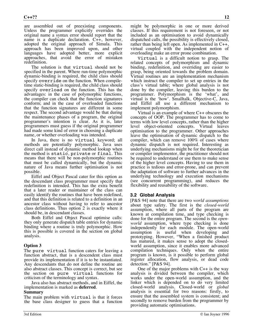are assembled out of preexisting components. Unless the programmer explicitly overrides the original name a syntax error should report that the name is a duplicate declaration. C++, however, adopted the original approach of Simula. This approach has been improved upon, and other languages have adopted better, more explicit approaches, that avoid the error of mistaken redefinition.

The solution is that virtual should not be specified in the parent. Where run-time polymorphic dynamic-binding is required, the child class should specify override on the function. When compiletime static-binding is required, the child class should specify overload on the function. This has the advantages: in the case of polymorphic functions, the compiler can check that the function signatures conform; and in the case of overloaded functions that the function signatures are different in some respect. The second advantage would be that during the maintenance phases of a program, the original programmer's intention is clear. As it is, later programmers must guess if the original programmer had made some kind of error in choosing a duplicate name, or whether overloading was intended.

In Java, there is no virtual keyword; all methods are potentially polymorphic. Java uses direct call instead of dynamic method lookup when the method is static, private or final. This means that there will be non-polymorphic routines that must be called dynamically, but the dynamic nature of Java means further optimisation is not possible.

Eiffel and Object Pascal cater for this option as the descendant class programmer must specify that redefinition is intended. This has the extra benefit that a later reader or maintainer of the class can easily identify the routines that have been redefined, and that this definition is related to a definition in an ancestor class without having to refer to ancestor class definitions. Thus option 2 is exactly where it should be, in descendant classes.

Both Eiffel and Object Pascal optimise calls: they only generate dispatch table entries for dynamic binding where a routine is truly polymorphic. How this is possible is covered in the section on global analysis.

#### **Option 3**

The pure virtual function caters for leaving a function abstract, that is a descendent class must provide its implementation if it is to be instantiated. Any descendants that do not define the routine are also abstract classes. This concept is correct, but see the section on pure virtual functions for criticism of the terminology and syntax.

Java also has abstract methods, and in Eiffel, the implementation is marked as **deferred**.

#### **Summary**

The main problem with virtual is that it forces the base class designer to guess that a function

might be polymorphic in one or more derived classes. If this requirement is not foreseen, or not included as an optimisation to avoid dynamically dispatched calls, the possibility is effectively closed, rather than being left open. As implemented in C++, virtual coupled with the independent notion of overloading make an error prone combination.

Virtual is a difficult notion to grasp. The related concepts of polymorphism and dynamic binding, redefinition, and overriding are easier to grasp, being oriented towards the problem domain. Virtual routines are an implementation mechanism which instruct the compiler to set up entries in the class's virtual table; where global analysis is not done by the compiler, leaving this burden to the programmer. Polymorphism is the 'what', and virtual is the 'how'. Smalltalk, Objective-C, Java, and Eiffel all use a different mechanism to implement polymorphism.

Virtual is an example of where C++ obscures the concepts of OOP. The programmer has to come to terms with low level concepts, rather than the higher level object-oriented concepts. Virtual leaves optimisation to the programmer. Other approaches leave the optimisation of dynamic dispatch to the compiler, which can remove 100% of cases where dynamic dispatch is not required. Interesting as underlying mechanisms might be for the theoretician or compiler implementor, the practitioner should not be required to understand or use them to make sense of the higher level concepts. Having to use them in practice is tedious and error-prone, and can prevent the adaptation of software to further advances in the underlying technology and execution mechanisms (see concurrent programming), and reduces the flexibility and reusability of the software.

#### **3.2 Global Analysis**

[P&S 94] note that there are two *world assumptions* about type safety. The first is the *closed-world* assumption, where all parts of the program are known at compilation time, and type checking is done for the entire program. The second is the *openworld* assumption, where type checking is done independently for each module. The open-world assumption is useful when developing and prototyping. However, "When a finished product has matured, it makes sense to adopt the closedworld assumption, since it enables more advanced compilation techniques. Only when the entire program is known, is it possible to perform global register allocation, flow analysis, or dead code detection." [P&S 94].

One of the major problems with  $C_{++}$  is the way analysis is divided between the compiler, which works under the open-world assumption, and the linker which is depended on to do very limited closed-world analysis. Closed-world or *global* analysis is essential for two reasons: firstly, to ensure that the assembled system is consistent; and secondly to remove burden from the programmer by providing automatic optimisations.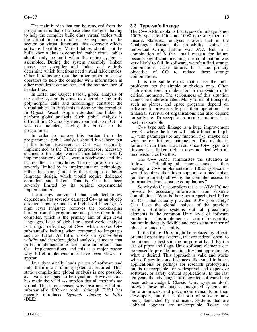The main burden that can be removed from the programmer is that of a base class designer having to help the compiler build class virtual tables with the virtual function modifier. As explained in the section on virtual functions, this adversely effects software flexibility. Virtual tables should not be built when a class is compiled: rather virtual tables should only be built when the entire system is assembled. During the system assembly (linker) phase, the compiler and linker can entirely determine which functions need virtual table entries. Other burdens are that the programmer must use operators to help the compiler with information in other modules it cannot see, and the maintenance of header files.

In Eiffel and Object Pascal, global analysis of the entire system is done to determine the truly polymorphic calls and accordingly construct the virtual tables. In Eiffel this is done by the compiler. In Object Pascal, Apple extended the linker to perform global analysis. Such global analysis is difficult in a C/Unix style environment, so in C++ it was not included, leaving this burden to the programmer.

In order to remove this burden from the programmer, global analysis should have been put in the linker. However, as C++ was originally implemented as the Cfront preprocessor, necessary changes to the linker weren't undertaken. The early implementations of C++ were a patchwork, and this has resulted in many holes. The design of C++ was severely limited by its implementation technology, rather than being guided by the principles of better language design, which would require dedicated compilers and linkers. That is, C++ has been severely limited by its original experimental implementation.

I am now convinced that such technology dependence has severely damaged C++ as an objectoriented language and as a high level language. A high level language removes the bookkeeping burden from the programmer and places them in the compiler, which is the primary aim of high level languages. Lack of global or closed-world analysis is a major deficiency of C++, which leaves C++ substantially lacking when compared to languages such as Eiffel. As Eiffel insists on *system level validity* and therefore global analysis, it means that Eiffel implementations are more ambitious than C++ implementations, and this is a major reason why Eiffel implementations have been slower to appear.

Java dynamically loads pieces of software and links them into a running system as required. Thus static compile-time global analysis is not possible, as Java is designed to be dynamic. However, Java has made the valid assumption that all methods are virtual. This is one reason why Java and Eiffel are substantially different tools, although Eiffel has recently introduced *Dynamic Linking in Eiffel* (DLE).

**3.3 Type-safe linkage** The C++ ARM explains that type-safe linkage is not 100% type safe. If it is not 100% type-safe, then it is unsafe. Statistical analysis showed that in the Challenger disaster, the probability against an individual O-ring failure was .997. But in a combination of 6 this small margin for failure became significant, meaning the combination was very likely to fail. In software, we often find strange combinations cause failure. It is the primary objective of OO to reduce these strange combinations.

It is the subtle errors that cause the most problems, not the simple or obvious ones. Often such errors remain undetected in the system until critical moments. The seriousness of this situation cannot be underestimated. Many forms of transport, such as planes, and space programs depend on software to provide safety in their operation. The financial survival of organisations can also depend on software. To accept such unsafe situations is at best irresponsible.

C++ type safe linkage is a huge improvement over C, where the linker will link a function f (p1, ...) with parameters to any function f (), maybe one with no or different parameters. This results in failure at run time. However, since  $C_{++}$  type safe linkage is a linker trick, it does not deal with all inconsistencies like this.

The C++ ARM summarises the situation as follows - "Handling all inconsistencies - thus making a C++ implementation 100% type-safe would require either linker support or a mechanism (an environment) allowing the compiler access to information from separate compilations."

So why do C++ compilers (at least AT&T's) not provide for accessing information from separate compilations? Why is there not a specialised linker for  $\bar{C}$ ++, that actually provides 100% type safety? C++ lacks the global analysis of the previous section. Building systems out of preexisting elements is the common Unix style of software production. This implements a form of reusability, but not in the truly flexible and consistent manner of object-oriented reusability.

In the future, Unix might be replaced by objectoriented operating systems, that are indeed 'open' to be tailored to best suit the purpose at hand. By the use of pipes and flags, Unix software elements can be reused to provide functionality that approximates what is desired. This approach is valid and works with efficacy in some instances, like small in-house applications, or perhaps for research prototyping, but is unacceptable for widespread and expensive software, or safety critical applications. In the last ten years the advantages of integrated software have been acknowledged. Classic Unix systems don't provide those advantages. Integrated systems are more ambitious, and place more demands on their developers, but this is the sort of software now being demanded by end users. Systems that are cobbled together are unacceptable. Today the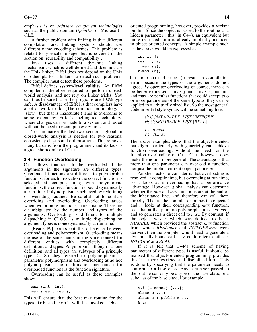emphasis is on *software component technologies* such as the public domain *OpenDoc* or Microsoft's *OLE*.

A further problem with linking is that different compilation and linking systems should use different name encoding schemes. This problem is related to type-safe linkage, but is covered in the section on 'reusability and compatibility'.

Java uses a different dynamic linking mechanism, which is well defined and does not use the Unix linker. Eiffel does not depend on the Unix or other platform linkers to detect such problems. The compiler must detect these problems.

Eiffel defines **system-level validity**. An Eiffel compiler is therefore required to perform closedworld analysis, and not rely on linker tricks. You can thus be sure that Eiffel programs are 100% type safe. A disadvantage of Eiffel is that compilers have a lot of work to do. (The common terminology is 'slow', but that is inaccurate.) This is overcome to some extent by Eiffel's melting-ice technology, where changes can be made to a system, and tested without the need to recompile every time.

To summarise the last two sections: global or closed-world analysis is needed for two reasons: consistency checks and optimisations. This removes many burdens from the programmer, and its lack is a great shortcoming of C++.

#### **3.4 Function Overloading**

C++ allows functions to be overloaded if the arguments in the signature are different types. Overloaded functions are different to polymorphic functions: for each invocation the correct function is selected at compile time; with polymorphic functions, the correct function is bound dynamically at run-time. Polymorphism is achieved by redefining or overriding routines. Be careful not to confuse overriding and overloading. Overloading arises when two or more functions share a name. These are disambiguated by the number and types of the arguments. Overloading is different to multiple dispatching in CLOS, as multiple dispatching on argument types is done dynamically at run-time.

[Reade 89] points out the difference between overloading and polymorphism. Overloading means the use of the same name in the same context for different entities with completely different definitions and types. Polymorphism though has one definition, and all types are subtypes of a principle type. C. Strachey referred to polymorphism as parametric polymorphism and overloading as ad hoc polymorphism. The qualification mechanism for overloaded functions is the function signature.

Overloading can be useful as these examples show:

```
max (int, int);
max (real, real);
```
This will ensure that the best max routine for the types int and real will be invoked. Objectoriented programming, however, provides a variant on this. Since the object is passed to the routine as a hidden parameter ('this' in  $C_{++}$ ), an equivalent but more restricted form is already implicitly included in object-oriented concepts. A simple example such as the above would be expressed as:

```
int i, j;
real r, s;
i.max (j);
r.max (s);
```
but i.max (r) and r.max (j) result in compilation errors because the types of the arguments do not agree. By operator overloading of course, these can be better expressed, i max j and r max s, but min and max are peculiar functions that could accept two or more parameters of the same type so they can be applied to a arbitrarily sized list. So the most general code in Eiffel style syntax will be something like:

| <i>il: COMPARABLE LIST [INTEGER]</i><br>rl: COMPARABLE LIST [REAL] |
|--------------------------------------------------------------------|
| $i := il.max$<br>$r := r l \cdot max$                              |

The above examples show that the object-oriented paradigm, particularly with genericity can achieve function overloading, without the need for the function overloading of C++. C++, however, does make the notion more general. The advantage is that more than one parameter can overload a function, not just the implicit current object parameter.

Another factor to consider is that overloading is resolved at compile time, but overriding at run-time, so it looks as if overloading has a performance advantage. However, global analysis can determine whether the *min* and *max* functions are at the end of the inheritance line, and therefore can call them directly. That is, the compiler examines the objects *i* and *r*, looks at their corresponding *max* function, sees that at that point no polymorphism is involved, and so generates a direct call to *max*. By contrast, if the object was *n* which was defined to be a *NUMBER* which provided the abstract *max* function from which *REAL.max* and *INTEGER.max* were derived, then the compiler would need to generate a dynamically bound call, as *n* could refer to either a *INTEGER* or a *REAL*.

If it is felt that  $C++$ 's scheme of having parameters of different types is useful, it should be realised that object-oriented programming provides this in a more restricted and disciplined form. This is done by specifying that the parameter needs to conform to a base class. Any parameter passed to the routine can only be a type of the base class, or a subclass of the base class. For example:

```
A.f (B someB) \{\ldots\};
class B ...;
class D : public B ...
A a;
```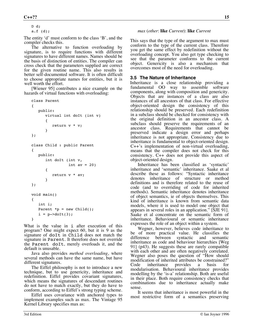```
D d;
a.f (d);
```
The entity 'd' must conform to the class 'B', and the compiler checks this.

The alternative to function overloading by signature, is to require functions with different signatures to have different names. Names should be the basis of distinction of entities. The compiler can cross check that the parameters supplied are correct for the given routine name. This also results in better self-documented software. It is often difficult to choose appropriate names for entities, but it is well worth the effort.

[Wiener 95] contributes a nice example on the hazards of virtual functions with overloading:

```
class Parent
{
    public:
       virtual int doIt (int v)
        {
           return v * v;
        }
};
class Child : public Parent
{
    public:
       int doIt (int v,
                  int av = 20)
        {
           return v * av;
        }
};
void main()
{
    int i;
   Parent *p = new Child();
   i = p->doIt(3);
}
```
What is the value in **i** after execution of this program? One might expect 60, but it is 9 as the signature of do<sup>It</sup> in Child does not match the signature in Parent. It therefore does not override the Parent doIt, merely overloads it, and the default is unusable.

Java also provides *method overloading*, where several methods can have the same name, but have different signatures.

The Eiffel philosophy is not to introduce a new technique, but to use genericity, inheritance and redefinition. Eiffel provides covariant signatures, which means the signatures of descendant routines do not have to match exactly, but they do have to conform, according to Eiffel's strong typing scheme.

Eiffel uses covariance with anchored types to implement examples such as max. The Vintage 95 Kernel Library specifies max as:

This says that the type of the argument to max must conform to the type of the current class. Therefore you get the same effect by redefinition without the overloading concept. You also get type checking to see that the parameter conforms to the current object. Genericity is also a mechanism that overcomes most of the need for overloading.

#### **3.5 The Nature of Inheritance**

Inheritance is a close relationship providing a fundamental OO way to assemble software components, along with composition and genericity. Objects that are instances of a class are also instances of all ancestors of that class. For effective object-oriented design the consistency of this relationship should be preserved. Each redefinition in a subclass should be checked for consistency with the original definition in an ancestor class. A subclass should preserve the requirements of an ancestor class. Requirements that cannot be preserved indicate a design error and perhaps inheritance is not appropriate. Consistency due to inheritance is fundamental to object-oriented design. C++'s implementation of non-virtual overloading, means that the compiler does not check for this consistency. C++ does not provide this aspect of object-oriented design.

Inheritance has been classified as 'syntactic' inheritance and 'semantic' inheritance. Saake et al describe these as follows: "Syntactic inheritance denotes inheritance of structure or method definitions and is therefore related to the reuse of code (and to overriding of code for inherited methods). Semantic inheritance denotes inheritance of object semantics, ie of objects themselves. This kind of inheritance is known from semantic data models, where it is used to model one object that appears in several roles in an application." [SJE 91]. Saake et al concentrate on the semantic form of inheritance. Behavioural or semantic inheritance expresses the role of an object within a system.

Wegner, however, believes code inheritance to be of more practical value. He classifies the difference between syntactic and semantic inheritance as code and behaviour hierarchies [Weg 91] (p43). He suggests these are rarely compatible with each other and are often negatively correlated. Wegner also poses the question of "How should modification of inherited attributes be constrained?"<br>Code inheritance provides a basis for Code inheritance provides a basis for modularisation. Behavioural inheritance provides modelling by the 'is-a' relationship. Both are useful in their place. Both require consistency checks that combinations due to inheritance actually make sense.

It seems that inheritance is most powerful in the most restrictive form of a semantics preserving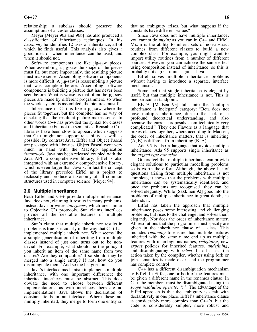relationship; a subclass should preserve the assumptions of ancestor classes.

Meyer [Meyer 96a and 96b] has also produced a classification of inheritance techniques. In his *taxonomy* he identifies 12 uses of inheritance, all of which he finds useful. This analysis also gives a good idea of when inheritance can be used, and when it should not.

Software components are like jig-saw pieces. When assembling a jig-saw the shape of the pieces must fit, but more importantly, the resulting picture must make sense. Assembling software components is more difficult. A jig-saw is reassembling a picture that was complete before. Assembling software components is building a picture that has never been seen before. What is worse, is that often the jig-saw pieces are made by different programmers, so when the whole system is assembled, the pictures must fit.

Inheritance in  $C_{++}$  is like a jig-saw where the pieces fit together, but the compiler has no way of checking that the resultant picture makes sense. In other words C++ has provided the syntax for classes and inheritance but not the semantics. Reusable C++ libraries have been slow to appear, which suggests that C++ might not support reusability as well as possible. By contrast Java, Eiffel and Object Pascal are packaged with libraries. Object Pascal went very much in hand with the MacApp application framework. Java has been released coupled with the Java API, a comprehensive library. Eiffel is also integrated with an extremely comprehensive library, which is even larger than Java's. In fact the concept of the library preceded Eiffel as a project to reclassify and produce a taxonomy of all common structures used in computer science. [Meyer 94].

#### **3.6 Multiple Inheritance**

Both Eiffel and C++ provide multiple inheritance. Java does not, claiming it results in many problems. Instead Java provides *interfaces*, which are similar to Objective C's protocols. Sun claims interfaces provide all the desirable features of multiple inheritance.

Sun's claim that multiple inheritance results in problems is true particularly in the way that C++ has implemented multiple inheritance. What seems like a simple generalisation of inheriting from multiple classes instead of just one, turns out to be nontrivial. For example, what should be the policy if you inherit an item of the same name from two classes? Are they compatible? If so should they be merged into a single entity? If not, how do you disambiguate them? And so the list goes on.

Java's interface mechanism implements multiple inheritance, with one important difference: the inherited interfaces must be abstract. This does obviate the need to choose between different implementations, as with interfaces there are no implementations. Java allows the declaration of constant fields in an interface. Where these are multiply inherited, they merge to form one entity so

that no ambiguity arises, but what happens if the constants have different values?

Since Java does not have multiple inheritance, you cannot do *mixins* as you can in C++ and Eiffel. Mixin is the ability to inherit sets of non-abstract routines from different classes to build a new complex class. For example, you might want to import utility routines from a number of different sources. However, you can achieve the same effect using composition instead of inheritance, so this is probably not a great minus against Java.

Eiffel solves multiple inheritance problems without having to introduce a separate, interface mechanism.

Some feel that single inheritance is elegant by itself, but that multiple inheritance is not. This is one particular standpoint.

BETA [Madsen 93] falls into the 'multiple inheritance is inelegant' category: "Beta does not have multiple inheritance, due to the lack of a profound theoretical understanding, and also because the current proposals seem technically very complicated." They cite Flavors as a language that mixes classes together, where according to Madsen, the order of inheritance matters, that is inheriting  $(A, B)$  is different from inheriting  $(B, A)$ .

Ada 95 is also a language that avoids multiple inheritance. Ada 95 supports single inheritance as the *tagged type extension*.

Others feel that multiple inheritance can provide elegant solutions to particular modelling problems so is worth the effort. Although, the above list of questions arising from multiple inheritance is not complete, it shows that the problems with multiple inheritance can be systematically identified, and once the problems are recognised, they can be solved elegantly. While [Sakkinen 92] goes into the problems of multiple inheritance in great depth, he defends it.

Eiffel has taken the approach that multiple inheritance poses some interesting and challenging problems, but rises to the challenge, and solves them elegantly. Nor does the order of inheritance matter. All resolutions that the programmer must specify are given in the inheritance clause of a class. This includes *renaming* to ensure that multiple features inherited with the same name end up as multiple features with unambiguous names, *redefining*, new *export* policies for inherited features, *undefining*, and disambiguating with *select*. In all cases, the action taken by the compiler, whether using fork or join semantics is made clear, and the programmer has complete control.

C++ has a different disambiguation mechanism to Eiffel. In Eiffel, one or both of the features must be given a different name in the renames clause. In C++ the members must be disambiguated using the *scope resolution operator* '::'. The advantage of the Eiffel approach is that the ambiguity is dealt with declaratively in one place. Eiffel's inheritance clause is considerably more complex than C++'s, but the code is considerably simpler, more robust and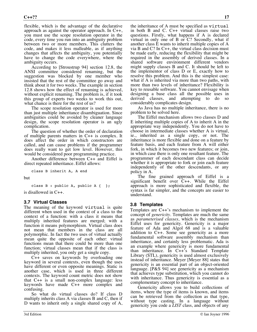flexible, which is the advantage of the declarative approach as against the operator approach. In C++, you must use the scope resolution operator in the code, every time you run into an ambiguity problem between two or more members. This clutters the code, and makes it less malleable, as if anything changes that affects the ambiguity, you potentially have to change the code everywhere, where the ambiguity occurs.

According to [Stroustrup 94] section 12.8, the ANSI committee considered renaming, but the suggestion was blocked by one member who insisted that the rest of the committee go away and think about it for two weeks. The example in section 12.8 shows how the effect of renaming is achieved, without explicit renaming. The problem is, if it took this group of experts two weeks to work this out, what chance is there for the rest of us?

The scope resolution operator is used for more than just multiple inheritance disambiguation. Since ambiguities could be avoided by cleaner language design, the scope resolution operator is an ugly complication.

The question of whether the order of declaration of multiple parents matters in C++ is complex. It does affect the order in which constructors are called, and can cause problems if the programmer does really want to get low level. However, this would be considered poor programming practice.

Another difference between C++ and Eiffel is direct repeated inheritance. Eiffel allows:

class B inherit A, A end

but

class B : public A, public A  $\{ \}$ ;

is disallowed in C++.

#### **3.7 Virtual Classes**

The meaning of the keyword virtual is quite different when used in the context of a class to the context of a function: with a class it means that multiply inherited features are merged; with a function it means polymorphism. Virtual class does not mean that members in the class are all polymorphic. In fact the two uses of virtual actually mean quite the opposite of each other: virtual functions mean that there could be more than one function; virtual classes mean that if the class is multiply inherited, you only get a single copy.

C++ saves on keywords by overloading one keyword in several contexts, even though the uses have different or even opposite meanings. Static is another case, which is used in three different contexts. The keyword count metric does not show that C++ is a small non-complex language: less keywords have made C++ more complex and confusing.

So what do virtual classes do? If class D multiply inherits class A via classes B and C, then if D wants to inherit only a single shared copy of A,

the inheritance of A must be specified as virtual in both B and C. C++ virtual classes raise two questions. Firstly, what happens if A is declared virtual in only one of B or C? Secondly, what if another class E wants to inherit multiple copies of A via B and  $C$ ? In  $C_{++}$ , the virtual class decision must be made early, reducing the flexibility that might be required in the assembly of derived classes. In a shared software environment different vendors might supply classes B and C. It should be left to the implementor of class D or E, exactly how to resolve this problem. And this is the simplest case: what if A is inherited via more than two paths, with more than two levels of inheritance? Flexibility is key to reusable software. You cannot envisage when designing a base class all the possible uses in derived classes, and attempting to do so considerably complicates design.

As Java has no multiple inheritance, there is no problem to be solved here.

The Eiffel mechanism allows two classes D and E inheriting multiple copies of A to inherit A in the appropriate way independently. You do not have to choose in intermediate classes whether A is virtual, ie., inherited as a single copy, or not. The inheritance is more flexible and done on a feature by feature basis, and each feature from A will either fork, in which it becomes two new features; or join, in which case there is only one resultant feature. The programmer of each descendant class can decide whether it is appropriate to fork or join each feature independently of the other descendants, or any policy in A.

The fine grained approach of Eiffel is a significant benefit over C++. While the Eiffel approach is more sophisticated and flexible, the syntax is far simpler, and the concepts are easier to understand.

# **3.8 Templates**

Templates are C++'s mechanism to implement the concept of *genericity*. Templates are much the same as *parameterised classes*, which is the mechanism Eiffel uses for genericity. Genericity is a major feature of Ada and Algol 68 and is a valuable addition to C++. Some see genericity as a more fundamental software assembly mechanism than inheritance, and certainly less problematic. Ada is an example where genericity is more fundamental than inheritance. In C++'s Standard Template Library (STL), genericity is used almost exclusively instead of inheritance. Meyer [Meyer 88] states that genericity is an essential part of an object-oriented language. [P&S 94] see genericity as a mechanism that achieves type substitution, which you cannot do with inheritance. Thus genericity is essential as a complementary concept to inheritance.

Genericity allows you to build collections of items, where the type of items is known, and items can be retrieved from the collection as that type, without type casting. In a language without genericity you code a *LIST* class, and objects of any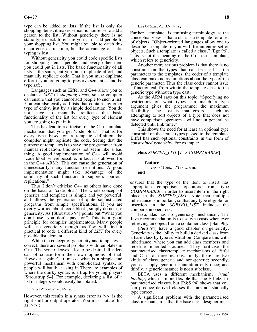type can be added to lists. If the list is only for shopping items, it makes semantic nonsense to add a person to the list. Without genericity there is no static type check to ensure you can't add people to your shopping list. You might be able to catch this occurrence at run time, but the advantage of static typing is lost.

Without genericity you could code specific lists for shopping items, people, and every other item you could put in lists. The basic functionality of all lists is the same, but you must duplicate effort, and manually replicate code. That is you must duplicate effort if you are going to preserve semantics and be type safe.

Languages such as Eiffel and C++ allow you to declare a *LIST* of *shopping items*, so the compiler can ensure that you cannot add people to such a list. You can also easily add lists that contain any other type of entity, just by a simple declaration. You do not have to manually replicate the basic functionality of the list for every type of element you are going to put in it.

This has lead to a criticism of the C++ template mechanism that you get 'code bloat'. That is for every type based on a template definition the compiler might replicate the code. Seeing that the purpose of templates is to save the programmer from manual replication, this does not seem like a bad thing. A good implementation of C++ will avoid 'code bloat' where possible. In fact it is allowed for in the C++ ARM: "This can cause the generation of unnecessarily many function definitions. A good implementation might take advantage of the similarity of such functions to suppress spurious replications."

Thus I don't criticise  $C_{++}$  as others have done on the basis of 'code bloat'. The whole concept of generics and templates is simple and yet powerful, and allows the generation of quite sophisticated programs from simple specifications. If you are overly worried about 'code bloat', simply do not use genericity. As [Stroustrup 94] points out "What you don't use, you don't pay for." This is a good principle for compiler implementors. Many people will use genericity though, as few will find it practical to code a different kind of *LIST* for every possible list element.

While the concept of genericity and templates is correct, there are several problems with templates in C++. The syntax leaves a lot to be desired. Readers can of course form their own opinions of that. However, again C++ masks what is a simple and powerful mechanism with complicated syntax, so people will baulk at using it. There are examples of where the quirky syntax is a trap for young players [Stroustrup 94]. For example, declaring a list of a list of integers would easily be notated:

#### List<List<int>> a;

However, this results in a syntax error as  $\gg$  is the right shift or output operator. You must notate this as  $\leq$  >  $\leq$ :

List<List<int> > a;

Further, "template" is confusing terminology, as the conceptual view is that a class is a template for a set of objects. "Object-oriented languages allow one to describe a template, if you will, for an entire set of objects. Such a template is called a class." [Ege 96]. This is not the meaning of the C++ term template, which refers to genericity.

Another more serious problem is that there is no constraint on the types that can be used as the parameters to the templates; the coder of a template class can make no assumptions about the type of the generic parameter. Thus the class coder cannot issue a function call from within the template class to the generic type without a type cast.

As the ARM says on this topic: "Specifying no restrictions on what types can match a type argument gives the programmer the maximum flexibility. The cost is that errors - such as attempting to sort objects of a type that does not have comparison operators - will not in general be detected until link time."

This shows the need for at least an optional type constraint on the actual types passed to the template. Eiffel has such optional constraints in the form of *constrained genericity*. For example:

#### **class** *SORTED\_LIST* [*T* -> *COMPARABLE*]

# **feature** *insert* (*item*: *T*) **is** ... **end**

...

**end**

ensures that the type of the item to insert has appropriate comparison operators from type *COMPARABLE* in order to insert item in the right place in the *SORTED\_LIST*. Note that multiple inheritance is important, so that any type eligible for insertion in the *SORTED\_LIST* includes the comparison operators.

Java, alas has no genericity mechanism. The Java recommendation is to use type casts when ever retrieving an object from a container class [Flan 96].

[P&S 94] have a good chapter on genericity. Genericity is the ability to build a derived class from a base class by type substitution. Compare this with inheritance, where you can add class members and redefine inherited routines. They criticise the parameterised class/template mechanisms of Eiffel and C++ for three reasons: firstly, there are two kinds of class, generic and non-generic; secondly, you can apply generic instantiation only once; and thirdly, a generic instance is not a subclass.

BETA uses a different mechanism, *virtual binding*, which is more flexible than the Eiffel/C++ parameterised classes, but [P&S 94] shows that you can produce derived classes that are not statically type correct.

A significant problem with the parameterised class mechanism is that the base class designer must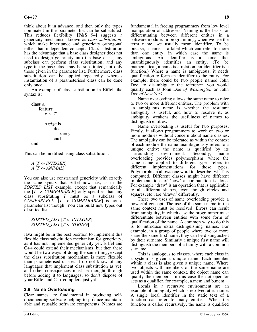think about it in advance, and then only the types nominated in the parameter list can be substituted. This reduces flexibility. [P&S 94] suggests a genericity mechanism known as *class substitution*, which make inheritance and genericity orthogonal rather than independent concepts. Class substitution has the advantage that a base class designer does not need to design genericity into the base class, any subclass can perform class substitution; and any type in the base class may be substituted, not only those given in the parameter list. Furthermore, class substitution can be applied repeatedly, whereas instantiation of a parameterised class can be done only once.

An example of class substitution in Eiffel like syntax is:

class A  
\nfeature  
\n
$$
x, y: T
$$
  
\n $assign$  is  
\n $loop$   
\n $x := y$   
\nend

This can be modified using class substitution:

$$
A [T <- INTEGR]
$$
  
\n
$$
A [T <- ANIMAL]
$$

You can also use constrained genericity with exactly the same syntax that Eiffel now has, as in the *SORTED\_LIST* example, except that semantically the  $[T \rightarrow \text{COMPARABLE}]$  only specifies that any class substituting  $T$  must be a subclass of  $COMPARABLE$ .  $T > COMPARABLE$  is not a parameter list though. You can build new types out of sorted list:

*SORTED\_LIST* [*T* <- *INTEGER*] *SORTED\_LIST* [*T* <- *STRING*]

Java might be in the best position to implement this flexible class substitution mechanism for genericity, as it has not implemented genericity yet. Eiffel and C++ could extend their mechanisms, but then there would be two ways of doing the same thing, except the class substitution mechanism is more flexible than parameterised classes. I do not know of any languages that implement class substitution as yet, and other consequences must be thought through before adding it to languages, so don't dispose of your Eiffel and C++ compilers just yet!

#### **3.9 Name Overloading**

Clear names are fundamental in producing selfdocumenting software helping to produce maintainable and reusable software components. Names are

fundamental in freeing programmers from low level manipulation of addresses. Naming is the basis for differentiating between different entities in a software module. In programming, when we use the term name, we usually mean identifier. To be precise, a name is a label which can refer to more than one entity, in which case the name is ambiguous. An identifier is a name that unambiguously identifies an entity. (To be mathematical, a name is a relation, an identifier is a function.) Where a name is ambiguous, it needs qualification to form an identifier to the entity. For example, there could be two people named John Doe; to disambiguate the reference, you would qualify each as John Doe *of Washington* or John Doe *of New York*.

Name overloading allows the same name to refer to two or more different entities. The problem with an ambiguous name is whether the resultant ambiguity is useful, and how to resolve it, as ambiguity weakens the usefulness of names to distinguish entities.

Name overloading is useful for two purposes. Firstly, it allows programmers to work on two or more modules without concern about name clashes. The ambiguity can be tolerated as within the context of each module the name unambiguously refers to a unique entity; the name is qualified by its surrounding environment. Secondly, name surrounding environment. Secondly, name overloading provides polymorphism, where the same name applied to different types refers to different implementations for those types. Polymorphism allows one word to describe 'what' is computed. Different classes might have different implementations of 'how' a computation is done. For example 'draw' is an operation that is applicable to all different shapes, even though circles and squares, etc., are 'drawn' differently.

These two uses of name overloading provide a powerful concept. The use of the same name in the same context must be resolved. Errors can result from ambiguity, in which case the programmer must differentiate between entities with some form of qualification of the name. A common way to do this is to introduce extra distinguishing names. For example, in a group of people where two or more share the same first name, they can be distinguished by their surname. Similarly a unique first name will distinguish the members of a family with a common surname.

This is analogous to classes, where each class in a system is given a unique name. Each member within a class is also given a unique name. Where two objects with members of the same name are used within the same context, the object name can qualify the members. In this case the dot operator acts as a qualifier, for example, a.mem and b.mem.

Locals in a recursive environment are an example of ambiguity which is resolved at run-time. A single local identifier in the static text of a function can refer to many entities. When the function is called recursively, the name is qualified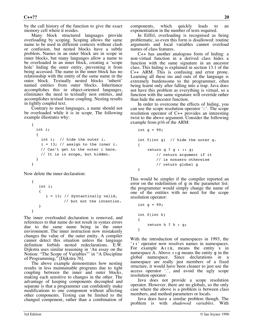by the call history of the function to give the exact memory cell where it resides.

Many block structured languages provide overloading by scoping. Scoping allows the same name to be used in different contexts without clash or confusion, but nested blocks have a subtle problem. Names in an outer block are in scope in inner blocks, but many languages allow a name to be overloaded in an inner block, creating a 'scope hole' hiding the outer entity, preventing it from being accessed. The name in the inner block has no relationship with the entity of the same name in the outer block. Textually nested blocks 'inherit' named entities from outer blocks. Inheritance accomplishes this in object-oriented languages, eliminates the need to textually nest entities, and accomplishes textual loose coupling. Nesting results in tightly coupled text.

Contrary to most languages, a name should not be overloaded while it is in scope. The following example illustrates why:

```
{
   int i;
   {
     int i; // hide the outer i.
    i = 13; // assign to the inner i.
     // Can't get to the outer i here.
     // It is in scope, but hidden.
  }
}
```
Now delete the inner declaration:

```
{
   int i;
   {
       i = 13; // Syntactically valid,
                // but not the intention.
   }
}
```
The inner overloaded declaration is removed, and references to that name do not result in syntax errors due to the same name being in the outer environment. The inner instruction now mistakenly changes the value of the outer entity. A compiler cannot detect this situation unless the language definition forbids nested redeclarations. E.W. Dijkstra uses similar reasoning in 'An essay on the Notion: "The Scope of Variables"' in "A Discipline of Programming," [Dijkstra 76].

The above example demonstrates how nesting results in less maintainable programs due to tight coupling between the inner and outer blocks, making each sensitive to changes in the other. The advantage of keeping components decoupled and separate is that a programmer can confidently make modifications to one component without affecting other components. Testing can be limited to the changed component, rather than a combination of

components, which quickly leads to an exponentiation in the number of tests required.

In Eiffel, overloading is recognised as being problematic, so even this form is disallowed: routine arguments and local variables cannot overload names of class features.

C++ has another analogous form of hiding: a non-virtual function in a derived class hides a function with the same signature in an ancestor class. This hiding is explained in section 13.1 of the C++ ARM. This is confusing and error prone. Learning all these ins and outs of the language is extremely burdensome to the programmer, often being learnt only after falling into a trap. Java does not have this problem as everything is virtual, so a function with the same signature will override rather than hide the ancestor function.

In order to overcome the effects of hiding, you can use the scope resolution operator '::'. The scope resolution operator of C++ provides an interesting twist to the above argument. Consider the following example from p16 of the ARM:

```
int q = 99;
int f(int g) // hide the outer g.
{
     return g ? g : :: g;
         // return argument if it
         // is nonzero otherwise
         // return global g
}
```
This would be simpler if the compiler reported an error on the redefinition of g in the parameter list: the programmer would simply change the name of one of the entities with no need for the scope resolution operator:

```
int q = 99;
int f(int h)
{
     return h ? h : g;
}
```
With the introduction of namespaces in 1993, the '::' operator now resolves names in namespaces. For example  $A: x$ , means the entity  $x$  in namespace A. Above  $: q$  means the entity q in the global namespace. Since declarations in a namespace are really just members of a fixed structure, it would have been cleaner to just use the access operator '.', and avoid the ugly scope resolution operator.

Java does not provide a scope resolution operator. However, there are no globals, so the only case where the above is a problem is between class members, and method parameters or locals.

Java does have a similar problem though. The problem is with *shadowed variables*. With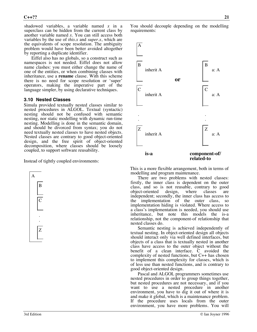shadowed variables, a variable named *x* in a superclass can be hidden from the current class by another variable named *x*. You can still access both variables by the use of *this.x* and *super.x*, which are the equivalents of scope resolution. The ambiguity problem would have been better avoided altogether by reporting a duplicate identifier.

Eiffel also has no globals, so a construct such as namespaces is not needed. Eiffel does not allow name clashes: you must either change the name of one of the entities, or when combining classes with inheritance, use a **rename** clause. With this scheme there is no need for scope resolution or 'super' operators, making the imperative part of the language simpler, by using declarative techniques.

#### **3.10 Nested Classes**

Simula provided textually nested classes similar to nested procedures in ALGOL. Textual (syntactic) nesting should not be confused with semantic nesting, nor static modelling with dynamic run-time nesting. Modelling is done in the semantic domain, and should be divorced from syntax; you do not need textually nested classes to have nested objects. Nested classes are contrary to good object-oriented design, and the free spirit of object-oriented decomposition, where classes should be loosely coupled, to support software reusability.

Instead of tightly coupled environments:



You should decouple depending on the modelling requirements:



This is a more flexible arrangement, both in terms of modelling and program maintenance.

There are two problems with nested classes: firstly, the inner class is dependent on the outer class, and so is not reusable, contrary to good object-oriented design, where classes are independent; secondly, the inner class has access to the implementation of the outer class, so implementation hiding is violated. Where access to a class's implementation is needed, you should use inheritance, but note this models the is-a relationship, not the component-of relationship that nested classes do.

Semantic nesting is achieved independently of textual nesting. In object-oriented design all objects should interact only via well defined interfaces, but objects of a class that is textually nested in another class have access to the outer object without the benefit of a clean interface. C avoided the complexity of nested functions, but C++ has chosen to implement this complexity for classes, which is of less use than nested functions, and is contrary to good object-oriented design.

Pascal and ALGOL programmers sometimes use nested procedures in order to group things together, but nested procedures are not necessary, and if you want to use a nested procedure in another environment, you have to dig it out of where it is and make it global, which is a maintenance problem. If the procedure uses locals from the outer environment, you have more problems. You will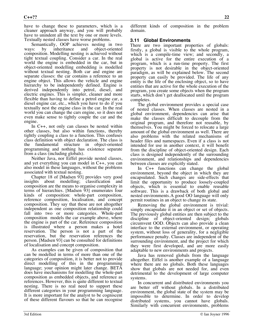have to change these to parameters, which is a cleaner approach anyway, and you will probably have to unindent all the text by one or more levels. Textually nested classes have worse problems.

Semantically, OOP achieves nesting in two ways: by inheritance and object-oriented composition. Modelling nesting is achieved without tight textual coupling. Consider a car. In the real world the engine is embedded in the car, but in object-oriented modelling embedding is modelled without textual nesting. Both car and engine are separate classes: the car contains a reference to an engine object. This allows the vehicle and engine hierarchy to be independently defined. Engine is derived independently into petrol, diesel, and electric engines. This is simpler, cleaner and more flexible than having to define a petrol engine car, a diesel engine car, etc., which you have to do if you textually nest the engine class in the car. In the real world you can change the cars engine, so it does not even make sense to tightly couple the car and the engine.

In C++, not only can classes be nested within other classes, but also within functions, thereby tightly coupling a class to a function. This confuses class definition with object declaration. The class is the fundamental structure in object-oriented programming and nothing has existence separate from a class (including globals).

Neither Java, nor Eiffel provide nested classes, and yet everything you can model in C++, you can also model in these languages, without the problems associated with textual nesting.

Chapter 18 of [Madsen 93] provides very good insights about modelling; classification and composition are the means to organise complexity in terms of hierarchies. [Madsen 93] enumerates four kinds of composition: whole-part composition, reference composition, localisation, and concept composition. They say that these are not altogether independent as one composition relationship could fall into two or more categories. Whole-part composition models the car example above, where the engine is part of the car. Reference composition is illustrated where a person makes a hotel reservation. The person is not a part of the reservation, but the reservation references the person. [Madsen 93] can be consulted for definitions of localisation and concept composition.

As examples can be given of composition that can be modelled in terms of more than one of the categories of composition, it is better not to provide direct modelling of this in the programming language; your opinion might later change. BETA does have mechanisms for modelling the whole-part composition as embedded objects, and reference as references. However, this is quite different to textual nesting. There is no real need to support these different categories in your programming language. It is more important for the analyst to be cogniscent of these different flavours so that he can recognise

different kinds of composition in the problem domain.

#### **3.11 Global Environments**

There are two important properties of globals: firstly, a global is visible to the whole program, which is a compile-time view; and secondly, a global is active for the entire execution of a program, which is a run-time property. The first property is not desirable in the object-oriented paradigm, as will be explained below. The second property can easily be provided. The life of any entity is the life of the enclosing object, so to have entities that are active for the whole execution of the program, you create some objects when the program starts, which don't get deallocated until the program completes.

The global environment provides a special case of nested classes. When classes are nested in a global environment, dependencies can arise that make the classes difficult to decouple from the original program, and therefore not reusable, by themselves. You might be forced to relocate a large amount of the global environment as well. There are also problems with the related mechanisms of header files and namespaces. Even if a class is not intended for use in another context, it will benefit from the discipline of object-oriented design. Each class is designed independently of the surrounding environment, and relationships and dependencies between classes are explicitly stated.

In C++ functions can change the global environment, beyond the object in which they are encapsulated. Such changes are side-effects that limit the opportunity to produce loosely-coupled objects, which is essential to enable reusable software. This is a drawback of both global and nested environments.A good OO language will only permit routines in an object to change its state.

Removing the global environment is trivial: simply encapsulate it in an object or set of objects. The previously global entities are then subject to the discipline of object-oriented design; globals circumvent OOD. Objects can also provide a clean interface to the external environment, or operating system, without loss of generality, for a negligible performance penalty. Classes are independent of the surrounding environment, and the project for which they were first developed, and are more easily adaptable to new environments and projects.

Java has removed globals from the language altogether. Eiffel is another example of a language where there are no globals. Both these languages show that globals are not needed for, and even detrimental to the development of large computer systems.

In concurrent and distributed environments you are better off without globals. In a distributed environment, the global state of the system may be impossible to determine. In order to develop distributed systems, you cannot have globals. Similarly with concurrent environments, problems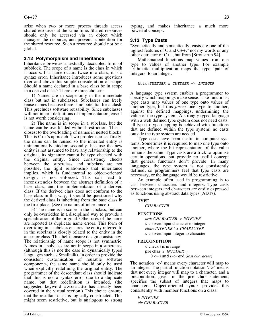arise when two or more process threads access shared resources at the same time. Shared resources should only be accessed via an object which manages the resource, and prevents contention for the shared resource. Such a resource should not be a global.

#### **3.12 Polymorphism and Inheritance**

Inheritance provides a textually decoupled form of subblock. The scope of a name is the class in which it occurs. If a name occurs twice in a class, it is a syntax error. Inheritance introduces some questions over and above this simple consideration of scope. Should a name declared in a base class be in scope in a derived class? There are three choices:

1) Names are in scope only in the immediate class but not in subclasses. Subclasses can freely reuse names because there is no potential for a clash. This precludes software reusability. Since subclasses will not inherit definitions of implementation, case 1 is not worth considering.

2) The name is in scope in a subclass, but the name can be overloaded without restriction. This is closest to the overloading of names in nested blocks. This is C++'s approach. Two problems arise: firstly, the name can be reused so the inherited entity is unintentionally hidden; secondly, because the new entity is not assumed to have any relationship to the original, its signature cannot be type checked with the original entity. Since consistency checks between the superclass and subclass are not possible, the tight relationship that inheritance implies, which is fundamental to object-oriented design, is not enforced. This can lead to inconsistencies between the abstract definition of a base class, and the implementation of a derived class. If the derived class does not conform to the base class in this way, it should be questioned why the derived class is inheriting from the base class in the first place. (See the nature of inheritance.)

3) The name is in scope in the subclass, but can only be overridden in a disciplined way to provide a specialisation of the original. Other uses of the name are reported as duplicate name errors. This form of overriding in a subclass ensures the entity referred to in the subclass is closely related to the entity in the ancestor class. This helps ensure design consistency. The relationship of name scope is not symmetric. Names in a subclass are not in scope in a superclass (although this is not the case in dynamically typed languages such as Smalltalk). In order to provide the consistent customisation of reusable software components, the same name should only be used when explicitly redefining the original entity. The programmer of the descendant class should indicate that this is not a syntax error due to a duplicate name, but that redefinition is intended, (the suggested keyword override has already been covered in the virtual section.) This choice ensures that the resultant class is logically constructed. This might seem restrictive, but is analogous to strong

typing, and makes inheritance a much more powerful concept.

#### **3.13 Type Casts**

"Syntactically and semantically, casts are one of the ugliest features of C and  $C++$ ." not my words or any other detractor of C++, but from [Stroustrup 94].

Mathematical functions map values from one type to values of another type. For example arithmetic multiplication maps the type 'pair of integers' to an integer:

```
Mult:INTEGER x INTEGER -> INTEGER
```
A language type system enables a programmer to specify which mappings make sense. Like functions, type casts map values of one type onto values of another type, but this *forces* one type to another, against the defined mappings, undermining the value of the type system. A strongly typed language with a well defined type system does not need casts: all type to type mapping is achieved with functions that are defined within the type system; no casts outside the type system are needed.

Type casts have been useful in computer systems. Sometimes it is required to map one type onto another, where the bit representation of the value remains the same. Type casts are a trick to optimise certain operations, but provide no useful concept that general functions don't provide. In many languages, the type system is not consistently defined, so programmers feel that type casts are necessary, or the language would be restrictive.

An example often used in programming is to cast between characters and integers. Type casts between integers and characters are easily expressed as functions using abstract data types (ADTs).

#### **TYPE**

*CHARACTER*

#### **FUNCTIONS**

*ord*: *CHARACTER* -> *INTEGER* // convert input character to integer *char*: *INTEGER* /-> *CHARACTER* // convert input integer to character

#### **PRECONDITION**

// check *i* is in range **pre char** (*i*: *INTEGER*) =  $0 \leq i$  **and**  $i \leq \textbf{ord}$  (*last character*)

The notation '->' means every character will map to an integer. The partial function notation  $\frac{1}{5}$  means that not every integer will map to a character, and a precondition, given in the **pre char** statement, specifies the subset of integers that maps to characters. Object-oriented syntax provides this consistently with member functions on a class:

*i*: *INTEGER ch*: *CHARACTER*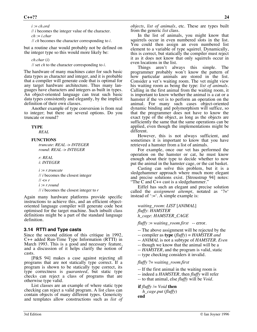$i := ch.ord$ // *i* becomes the integer value of the character. *ch* := *i*.*char*

// *ch* becomes the character corresponding to *i*.

but a routine char would probably not be defined on the integer type so this would more likely be:

*ch*.*char* (*i*)

// set *ch* to the character corresponding to *i*.

The hardware of many machines cater for such basic data types as character and integer, and it is probable that a compiler will generate code that is optimal for any target hardware architecture. Thus many languages have characters and integers as built in types. An object-oriented language can treat such basic data types consistently and elegantly, by the implicit definition of their own classes.

Another example of type conversion is from real to integer; but there are several options. Do you truncate or round?

#### **TYPE**

*REAL*

#### **FUNCTIONS**

*truncate*: *REAL* -> *INTEGER round*: *REAL* -> *INTEGER*

*r*: *REAL i*: *INTEGER*

*i* := *r*.*truncate* // *i* becomes the closest integer  $1/1 \le r$  $i := r$ *round* // *i* becomes the closest integer to *r*

Again many hardware platforms provide specific instructions to achieve this, and an efficient objectoriented language compiler will generate code best optimised for the target machine. Such inbuilt class definitions might be a part of the standard language definition.

#### **3.14 RTTI and Type casts**

Since the second edition of this critique in 1992, C++ added Run-Time Type Information (RTTI) in March 1993. This is a good and necessary feature, and a discussion of it helps clarify the notion of casts.

[P&S 94] makes a case against rejecting all programs that are not statically type correct. If a program is shown to be statically type correct, its type correctness is *guaranteed*, but static type checks can reject a class of programs that are otherwise type valid.

List classes are an example of where static type checking can reject a valid program. A list class can contain objects of many different types. Genericity and templates allow constructions such as *list of*

*objects*, *list of animals*, etc. These are types built from the generic *list* class.

In the list of animals, you might know that squirrels occur in even numbered slots in the list. You could then assign an even numbered list element to a variable of type squirrel. Dynamically, this is correct, but statically the compiler must reject it as it does not know that only squirrels occur in even locations in the list.

Things aren't always this simple. The programmer probably won't know the pattern of how particular animals are stored in the list. Consider a vet's waiting room. The vet might view his waiting room as being the type: *list of animals*. Calling in the first animal from the waiting room, it is important to know whether the animal is a cat or a hamster if the vet is to perform an operation on the animal. For many such cases object-oriented dynamic binding and polymorphism will suffice, so that the programmer does not have to know the exact type of the object, as long as the objects are sufficiently the same that the same operations can be applied, even though the implementations might be different.

However, this is not always sufficient, and sometimes it is important to know that you have retrieved a hamster from a list of animals.

For example, once our vet has performed the operation on the hamster or cat, he must know enough about their type to decide whether to now put the animal in the hamster cage, or the cat basket.

Casting can solve this problem, but it is a sledgehammer approach where much more elegant and precise solutions exist. [Stroustrup 94] notes: "The C and C++ cast is a sledgehammer."

Eiffel has such an elegant and precise solution called the *assignment attempt*, notated as '?=' instead of  $:=$ . A simple example is:

*waiting\_room*: *LIST* [*ANIMAL*] *fluffy*: *HAMSTER h\_cage*: *HAMSTER\_CAGE*

*fluffy* := *waiting\_room.first* -- error.

- -- The above assignment will be rejected by the
- -- compiler as **type** (*fluffy*) = *HAMSTER and*
- -- *ANIMAL* is not a subtype of *HAMSTER. Even*
- -- though we know that the animal will be a
- -- *HAMSTER*, and the program is valid, static
- -- type checking considers it invalid.

*fluffy* ?= *waiting\_room.first*

- -- If the first animal in the waiting room is
- -- indeed a *HAMSTER*, then *fluffy* will refer
- -- to that animal, else *fluffy* will be *Void.*

**if** *fluffy* /= *Void* **then**  *h\_cage.put* (*fluffy*) **end**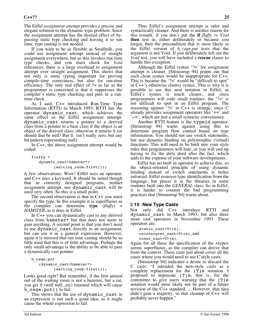The Eiffel *assignment attempt* provides a precise and elegant solution to the dynamic type problem. Since the assignment attempt has the desired effect of bypassing static type checking and leaving it to run time, type casting is not needed.

If you want to be as flexible as Smalltalk, you could use assignment attempt instead of straight assignment everywhere, but as this invokes run time type checks, and you must check for *Void* references, there is a large overhead to assignment attempt over straight assignment. This shows that not only is static typing important for proving compile-time correctness, but also for run-time efficiency. The only real effect of  $? =$  as far as the programmer is concerned is that it suppresses the compiler's static type checking and puts in a runtime check.

As I said, C++ introduced Run-Time Type Information (RTTI) in March 1993. RTTI has the operator dynamic\_cast, which achieves the same effect as the Eiffel assignment attempt. dynamic\_cast returns a pointer to a derived class from a pointer to a base class if the object is an object of the derived class; otherwise it returns 0 (or should that be null? But 0 isn't really zero, but any bit pattern representing null).

In C++, the above assignment attempt would be coded:

#### $fluffy =$ dynamic cast<hamster\*> (waiting room.first());

A few observations. Wow! Eiffel uses an operator, and C++ uses a keyword. It should be noted though that in correctly designed programs, neither assignment attempt, nor dynamic\_cast will be used very often. So this is a small point.

The second observation is that in C++ you must specify the type. In this example it is superfluous as the compiler can determine **type** (*fluffy*) = *HAMSTER*, as it does in Eiffel.

In C++ you can dynamically cast to any derived class from hamster\* but that does not seem to gain anything. A second point is that you don't need to use dynamic\_cast directly in an assignment, but can use it in a general expression. However, again it is stressed that run time casting should be so little used that this is of little advantage. Perhaps the only small advantage is the ability to be able to pass a dynamically cast pointer:

```
h_cage.put
   (dynamic_cast<hamster*>
          (waiting room.first());
```
Looks good right? But remember, if the first animal out of the waiting room is not a hamster, but a rat, you get 0 (well null...etc) returned which will cause h cage.put() to fail.

This shows that the use of dynamic\_cast in an expression is not such a good idea, as it might cause the whole expression to fail.

Thus Eiffel's assignment attempt is safer and syntactically cleaner. And there is another reason for this remark: if you don't put the **if** *fluffy* /= *Void* **then** test in, either deliberately or because you forgot, then the precondition that is most likely in the Eiffel version of *h\_cage*.*put* tests that the argument is not Void. If you deliberately left out the *Void* test, you will have included a **rescue** clause to handle this exception.

Although the Eiffel syntax  $\cdot$ ?= $\cdot$  for assignment attempt is cleaner, [Stroustrup 94] points out that such clean syntax would be inappropriate for C++. This is because the  $2 = \infty$  would be "difficult to spot" in C++'s otherwise clumsy syntax. This is why it is possible to use this neat notation in Eiffel, as Eiffel's syntax is much clearer, and since programmers will code small routines, the '?=' is not difficult to spot in an Eiffel program. The reasoning against  $i^2 = i$  in C++ is strange, since C already provides assignment operators like '+=' and '-=', which are just a small syntactic convenience.

Another RTTI feature is the typeid operator. [Stroustrup 94] warns against using this to determine program flow control based on type information. You should not use switch statements, but use dynamic binding on polymorphic (virtual) functions. This will need to be built into your style rules that programmers will hate, or you will end up having to fix the dirty deed after the fact, which adds to the expense of your software developments.

Eiffel has no built in operator to achieve this, so the object-oriented principle of using dynamic binding instead of switch statements is better enforced. Eiffel removes type identification from the language, but places it in the libraries in some routines built into the *GENERAL* class. So in Eiffel, it is harder to commit the bad programming practices that [Stroustrup 94] warns about.

#### 3.**15 New Type Casts**

Not only did C++ introduce RTTI and dynamic\_cast in March 1993, but also three more cast operators in November 1993. These operators are:

```
static cast<T>(e),
reinterpret cast\langle T \rangle(e), and
const cast<T>(e).
```
Again for all these the specification of the <type> seems superfluous, as the compiler can derive that from the context. These casts just about cover all the cases where you would need to use C style casts.

[Stroustrup 94] indicates a desire to discard the C casts: "I intended the new-style casts as a complete replacement for the  $(T)$ e notation. I proposed to deprecate  $(T)$ e; that is, for the committee to give users warning that the  $(T)$ e notation would most likely not be part of a future revision of the C++ standard. ... However, that idea didn't gain a majority, so that cleanup of C++ will probably never happen."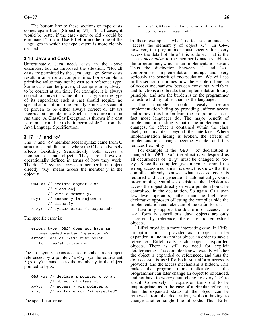The bottom line to these sections on type casts comes again from [Stroustrup 94]: "In all cases, it would be better if the cast - new or old - could be eliminated." It can! Use Eiffel or another one of the languages in which the type system is more cleanly defined.

### **3.16 Java and Casts**

Unfortunately, Java needs casts in the above examples, but has improved the situation: "Not all casts are permitted by the Java language. Some casts result in an error at compile time. For example, a primitive value may not be cast to a reference type. Some casts can be proven, at compile time, always to be correct at run time. For example, it is always correct to convert a value of a class type to the type of its superclass; such a cast should require no special action at run time. Finally, some casts cannot be proven to be either always correct or always incorrect at compile time. Such casts require a test at run time. A ClassCastException is thrown if a cast is found at run time to be impermissible." - from the Java Language Specification.

#### **3.17 '.' and '->'**

The '.' and '->' member access syntax came from C structures, and illustrates where the C base adversely affects flexibility. Semantically both access a member of an object. They are, however, operationally defined in terms of how they work. The dot ('.') syntax accesses a member in an object directly: 'x.y' means access the member y in the object x.

|  | OBJ $x$ ; // declare object $x$ of               |  |
|--|--------------------------------------------------|--|
|  | // class obj                                     |  |
|  | // with a member y.                              |  |
|  | $x.y$ ; // access y in object x                  |  |
|  | // directly                                      |  |
|  | $x \rightarrow y$ ; // syntax error ". expected" |  |

The specific error is:

```
error: type 'OBJ' does not have an
   overloaded member 'operator ->'
error: left of '->y' must point
   to class/struct/union
```
The '->' syntax means access a member in an object referenced by a pointer:  $x \rightarrow y'$  (or the equivalent  $*(x)$ .y) means access the member y in the object pointed to by x.

|               | OBJ *x; // declare a pointer x to an |
|---------------|--------------------------------------|
|               | // object of class obj.              |
| $x->y$ ;      | // access y via pointer x            |
| $x \cdot y$ ; | // syntax error "-> expected"        |

The specific error is:

error:'.OBJ::y' : left operand points to 'class', use '->'

In these examples, 'what' is to be computed is "access the element y of object x." In C++, however, the programmer must specify for every access the detail of 'how' this is done. That is the access *mechanism* to the member is made visible to the programmer, which is an implementation detail.<br>Thus the distinction between '.' and '->' compromises implementation hiding, and very seriously the benefit of encapsulation. We will see in the section on inlines how the visible difference of access mechanisms between constants, variables and functions also breaks the implementation hiding principle, and how the burden is on the programmer to restore hiding, rather than fix the language.

The compiler could easily restore implementation hiding by providing uniform access and remove this burden from the programmer, as in fact most languages do. The major benefit of implementation hiding is that if the implementation changes, the effect is contained within the class itself; not manifest beyond the interface. Where implementation hiding is broken, the effects of implementation change become visible, and this reduces flexibility.

For example, if the 'OBJ x' declaration is changed to 'OBJ  $*x$ ', the effect is widespread as all occurrences of ' $x \cdot y$ ' must be changed to ' $x$ ->y'. Since the compiler gives a syntax error if the wrong access mechanism is used, this shows that the compiler already knows what access code is required and can generate it automatically. Good programming centralises decisions: the decision to access the object directly or via a pointer should be centralised in the declaration. So again, C++ uses low level operators, rather than the high level declarative approach of letting the compiler hide the implementation and take care of the detail for us.

Java only supports the dot form of access. The '->' form is superfluous. Java objects are only accessed by reference; there are no embedded objects.

Eiffel provides a more interesting case. In Eiffel an optimisation is provided as an object can be expanded in line in another object, in order to save a reference. Eiffel calls such objects **expanded** objects. There is still no need for explicit dereferencing. The compiler knows exactly whether the object is expanded or referenced, and thus the dot accessor is used for both, so uniform access is provided, and the access mechanism is hidden. This makes the program more malleable, as the programmer can later change an object to expanded, and not have to worry about changing every '->' to a dot. Conversely, if expansion turns out to be inappropriate, as in the case of a circular reference, then the expanded status of the object can be removed from the declaration, without having to change another single line of code. Thus Eiffel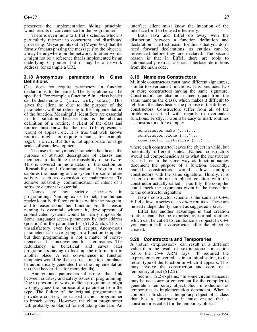preserves the implementation hiding principle, which results in convenience for the programmer.

There is even more to Eiffel's scheme, which is particularly relevant to concurrent and distributed processing. Meyer points out in [Meyer 96c] that the form *x.f* means passing the message *f* to the object *x*. *<sup>x</sup>* may be anywhere on the network. In other words, *x* might not be a reference that is implemented by an underlying C pointer, but it may be a network address, for example a URL.

#### **3.18 Anonymous parameters in Class Definitions**

C++ does not require parameters in function declarations to be named. The type alone can be specified. For example a function f in a class header can be declared as f (int, int, char). This gives the client no clue to the purpose of the parameters, without referring to the implementation of the function. Meaningful identifiers are essential in this situation, because this is the abstract definition of a routine; a client of the class and routine must know that the first int represents a 'count of apples', etc. It is true that well known routines might not require a name, for example sqrt (int). But this is not appropriate for large scale software development.

The use of anonymous parameters handicaps the purpose of abstract descriptions of classes and members: to facilitate the reusability of software. This is covered in more detail in the section on 'Reusability and Communication'. Program text captures the meaning of the system for some future activity, such as extension or maintenance. To achieve reusability, communication of intent of a software element is essential.

Names are not strictly necessary in programming. Naming exists to help the human reader identify different entities within the program, and to reason about their function. For this reason naming is essential; without it, development of sophisticated systems would be nearly impossible. Some languages access parameters by their address (position) in the parameter list (\$1, \$2, etc). This is unsatisfactory, even for shell scripts. Anonymous parameters can save typing in a function template, but then programming is not a matter of convenience as it is inconvenient for later readers. The redundancy is beneficial and saves later programmers having to look up the information in another place. A real convenience in function templates would be that abstract function templates be automatically generated from the implementation text (see header files for more details).

Anonymous parameters illustrate the link between courtesy and safety issues in programming. Due to pressure of work, a client programmer might wrongly guess the purpose of a parameter from the type. The failure of the original programmer to provide a courtesy has caused a client programmer to breach safety. However, the client programmer will probably be blamed for not taking due care. An

interface client must know the intention of the interface for it to be used effectively.

Both Java and Eiffel do away with the distinction between a function definition and declaration. The first reason for this is that you don't need forward declarations, as entities can be referenced before they are declared. The second reason is that in Eiffel, there are tools to automatically extract abstract interface definitions from the main code.

#### **3.19 Nameless Constructors**

Multiple constructors must have different signatures, similar to overloaded functions. This precludes two or more constructors having the same signature. Constructors are also not named (apart from the same name as the class), which makes it difficult to tell from the class header the purpose of the different constructors. Constructors suffer from all of the problems described with regards to overloaded functions. Firstly, it would be easy to mark routines as constructors, for example:

```
constructor make (...)...
constructor clone (...)...
constructor initialise (...)...
```
where each constructor leaves the object in valid, but potentially different states. Named constructors would aid comprehension as to what the constructor is used for in the same way as function names document the purpose of a function. Secondly, named constructors would allow multiple constructors with the same signature. Thirdly, it is easier to match up an object creation with the constructor actually called. Fourthly, the compiler could check the arguments given in the invocation to the constructor signature.

Java's constructor scheme is the same as C++. Eiffel allows a series of *creation* routines. These are indeed independently named as suggested above.

Eiffel has another advantage in that creation routines can also be exported as normal routines which can be called to reinitialize an object. In C++ you cannot call a constructor, after the object is created.

#### **3.20 Constructors and Temporaries**

A 'return <expression>' can result in a different value than the result of <expression>. In section 6.6.3, the C++ ARM says: "If required the expression is converted, as in an initialisation, to the return type of the function in which it appears. This may involve the construction and copy of a temporary object (S12.2)."

Section 12.2 explains: "In some circumstances it may be necessary or convenient for the compiler to generate a temporary object. Such introduction of temporaries is implementation dependent. When a compiler introduces a temporary object of a class that has a constructor it must ensure that a constructor is called for the temporary object."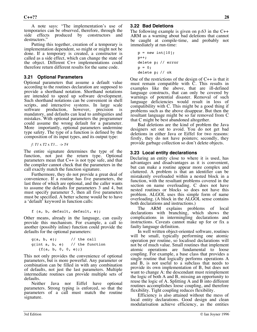A note says: "The implementation's use of temporaries can be observed, therefore, through the side effects produced by constructors and destructors."

Putting this together, creation of a temporary is implementation dependent, so might or might not be done. If a temporary is created, a constructor is called as a side effect, which can change the state of the object. Different C++ implementations could therefore return different results for the same code.

#### **3.21 Optional Parameters**

Optional parameters that assume a default value according to the routines declaration are supposed to provide a shorthand notation. Shorthand notations are intended to speed up software development. Such shorthand notations can be convenient in shell scripts, and interactive systems. In large scale software production, however, precision is mandatory, and defaults can lead to ambiguities and mistakes. With optional parameters the programmer could assume the wrong default for a parameter. More importantly, optional parameters undermine type safety. The type of a function is defined by the composition of its input types, and its output type:

*f*: *T1* x *T2* x *T3*... -> *T4*

The entire signature determines the type of the function, not just the return type. Optional parameters mean that  $C++$  is not type safe, and that the compiler cannot check that the parameters in the call exactly match the function signature.

Furthermore, they do not provide a great deal of convenience. If a routine has five parameters, the last three of which are optional, and the caller wants to assume the defaults for parameters 3 and 4, but must specify parameter 5, then all five parameters must be specified. A better scheme would be to have a 'default' keyword in function calls:

f (a, b, default, default, e);

Other means, already in the language, can easily provide this mechanism. For example, a call to another (possibly inline) function could provide the defaults for the optional parameters:

$$
g(a, b, e); \t // the callg(int a, b, e) // the function{f(a, b, 0, 0, e)};
$$

This not only provides the convenience of optional parameters, but is more powerful. Any parameter or combination can be filled in with any combination of defaults, not just the last parameters. Multiple intermediate routines can provide multiple sets of defaults.

Neither Java nor Eiffel have optional parameters. Strong typing is enforced, so that the parameters of a call must match the routine signature.

### **3.22 Bad Deletions**

The following example is given on p.63 in the C++ ARM as a warning about bad deletions that cannot be caught at compile-time, and probably not immediately at run-time:

$$
p = new int[10];
$$
  

$$
p++;
$$
  
delete p; // error  

$$
p = 0;
$$
  
delete p; // ok

One of the restrictions of the design of  $C_{++}$  is that it must remain compatible with C. This results in examples like the above, that are ill-defined language constructs, that can only be covered by warnings of potential disaster. Removal of such language deficiencies would result in loss of compatibility with C. This might be a good thing if problems such as the above disappear. But then the resultant language might be so far removed from C that C might be best abandoned altogether.

Bad deletions are the kind of problem the Java designers set out to avoid. You do not get bad deletions in either Java or Eiffel for two reasons: firstly, they do not have pointers; secondly, they provide garbage collection so don't delete objects.

### **3.23 Local entity declarations**

Declaring an entity close to where it is used, has advantages and disadvantages as it is convenient, but can make a routine appear more complex and cluttered. A problem is that an identifier can be mistakenly overloaded within a nested block in a function, with the resultant problems covered in the section on name overloading. C does not have nested routines or blocks so does not have this problem. ALGOL uses this simple form of name overloading. (A block in the ALGOL sense contains both declarations and instructions.)

The ARM explains problems of local declarations with branching, which shows the complications in intermingling declarations and instructions. Caveats cannot make up for or fix a faulty language definition.

In well written object-oriented software, routines will be small, typically performing one atomic operation per routine, so localised declarations will not be of much value. Small routines that implement atomic operations are fundamental to loose coupling. For example, a base class that provides a single routine that logically performs operations A and B, is not useful to a subclass that needs to provide its own implementation of B, but does not want to change A: the descendant must reimplement the logic of both A and B, missing an opportunity to reuse the logic of A. Splitting A and B into different routines accomplishes loose coupling, and therefore flexibility. Tight coupling reduces flexibility.

Efficiency is also attained without the mess of local entity declarations. Good design and clean modularisation achieve efficiency, as the entities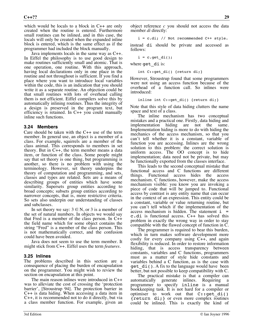which would be locals to a block in C++ are only created when the routine is entered. Furthermore small routines can be inlined, and in this case, the locals will only be created when the expanded inline block is entered, which is the same effect as if the programmer had included the block manually.

Java implements locals in the same way as C++. In Eiffel the philosophy is to use good design to make routines sufficiently small and atomic. That is one operation, one routine. With this approach, having local declarations only in one place in the routine and not throughout is sufficient. If you find a place where you want to introduce local variables within the code, this is an indication that you should write it as a separate routine. An objection could be that small routines with lots of overhead calling them is not efficient. Eiffel compilers solve this by automatically inlining routines. Thus the integrity of a design is preserved in the program text, but efficiency is retained. In C++ you could manually inline such functions.

#### **3.24 Members**

Care should be taken with the C++ use of the term member. In general use, an object is a member of a class. For example, squirrels are a member of the class animal. This corresponds to members in set theory. But in C++, the term member means a data item, or function of the class. Some people might say that set theory is one thing, but programming is another, so there is no problem with using the terminology. However, set theory underpins the theory of computation and programming, and sets, classes and types are related. Sets are a means of describing groups of entities which have some similarity. Supersets group entities according to broad concepts; subsets group entities according to narrower concepts, that is, more restrictive criteria. So sets also underpin our understanding of classes and subclasses.

In set theory we say:  $3 \in N$ , or 3 is a member of the set of natural numbers. In objects we would say that Fred is a member of the class person. In C++ the field name which for some object contains the string "Fred" is a member of the class person. This is not mathematically correct, and the confusion could have been avoided.

Java does not seem to use the term member. It might stick from C++. Eiffel uses the term *features*.

#### **3.25 Inlines**

The problems described in this section are a consequence of placing the burden of encapsulation on the programmer. You might wish to review the section on encapsulation at this point.

The main reason inlines were introduced in C++ was to alleviate the cost of crossing the 'protection barrier', [Stroustrup 94]. The protection barrier in C++ is data hiding. When accessing a data item in C++, it is recommended not to do it directly, but via a class member function. For example, given an

object reference *c* you should not access the data member *di* directly:

 $i = c.di$ ; // Not recommended C++ style.

instead di should be private and accessed as follows:

$$
i = c.get_idi();
$$

where get di is:

int C::get di() {return di;}

However, Stroustrup found that some programmers were not using an access function because of the overhead of a function call. So inlines were introduced:

inline int C::get di() {return di;}

Note that this style of data hiding clutters the name space and text of a class.

The inline mechanism has two conceptual mistakes and a practical one. Firstly, data hiding and implementation hiding are not the same. implementation hiding are not the same. Implementation hiding is more to do with hiding the mechanics of the access mechanism, so that you can't tell whether it is a constant, variable of function you are accessing. Inlines are the wrong solution to this problem: the correct solution is uniform access. The OO concept is to hide implementation; data need not be private, but may be functionally exported from the classes interface.

This leads to the second conceptual mistake that functional access and C functions are different things. Functional access hides the access mechanism. C functions, however, make the access mechanism visible: you know you are invoking a piece of code that will be jumped to. Functional access by contrast is any entity name that can occur in the context of an expression. This entity could be a constant, variable or value returning routine, but you can't tell which if the implementation of the access mechanism is hidden. The statement  $i =$ c.di is functional access. C++ has solved this problem in exactly the wrong way in order to stay compatible with the flawed concept of function in C.

The programmer is required to bear this burden, which in turn makes software development more costly for every company using C++, and again flexibility is reduced. In order to restore information hiding, that is access transparency between constants, variables and C functions, programmers must as a matter of style hide constants and variables behind a C function, as is the case with  $qet \, di()$ . A fix to the language would have been better, but not possible to keep compatibility with C.

The practical mistake is that a compiler can automatically generate inlines. Requiring a programmer to specify inline is a manual bookkeeping task. It is not hard for a compiler or optimiser to work out that C::get di() {return di;} or even more complex routines could be inlined. This is exactly the kind of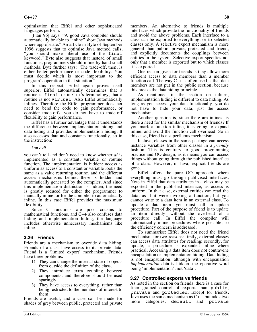optimisation that Eiffel and other sophisticated languages perform.

[Flan 96] says: "A good Java compiler should automatically be able to "inline" short Java methods where appropriate." An article in Byte of September 1996 suggests that to optimise Java method calls, "you should make liberal use of the final keyword." Byte also suggests that instead of small functions, programmers should inline by hand small methods. Byte further says: "The trade-off, then, is either better performance or code flexibility. You must decide which is most important to the program's operation in that situation."

In this respect, Eiffel again proves itself superior. Eiffel automatically determines that a routine is  $final$ , or in  $C++$ 's terminology, that a routine is not virtual. Also Eiffel automatically inlines. Therefore the Eiffel programmer does not need to bend the code to gain performance, or consider trade-offs: you do not have to trade-off flexibility to gain performance.

Eiffel has a further advantage that it understands the difference between implementation hiding and data hiding and provides implementation hiding. It also accesses data and constants functionally, so in the instruction:

 $i := c$ *.di* 

you can't tell and don't need to know whether *di* is implemented as a constant, variable or routine function. The implementation is hidden: access is uniform as access to a constant or variable looks the same as a value returning routine, and the different access mechanisms behind these is hidden and automatically generated by the compiler. And since this implementation distinction is hidden, the need is greatly reduced for either the programmer to manually inline, or for the compiler to automatically inline. In this case Eiffel provides the maximum flexibility.

Since C functions are poor cousins to mathematical functions, and C++ also confuses data hiding and implementation hiding, the language includes otherwise unnecessary mechanisms like inline.

#### **3.26 Friends**

Friends are a mechanism to override data hiding. Friends of a class have access to its private data. Friend is a 'limited export' mechanism. Friends have three problems:

- 1) They can change the internal state of objects from outside the definition of the class.
- 2) They introduce extra coupling between components, and therefore should be used sparingly.
- 3) They have access to everything, rather than being restricted to the members of interest to them.

Friends are useful, and a case can be made for shades of grey between public, protected and private

members. An alternative to friends is multiple interfaces which provide the functionality of friends and avoid the above problems. Each interface to a class can be exported to everything, or to selected classes only. A selective export mechanism is more general than public, private, protected and friend, and explicitly documents the couplings between entities in the system. Selective export specifies not only that a member is exported but to which classes it is exported.

One reason given for friends is they allow more efficient access to data members than a member function call. The way  $C_{++}$  is often used is that data members are not put in the public section, because this breaks the data hiding principle.

As mentioned in the section on inlines, implementation hiding is different to data hiding. As long as you access your data functionally, you do not have to hide your data, just the access mechanism.

Another question is, since there are inlines, is there a need for the similar mechanism of friends? If you mark a function inline, it is going to expand inline, and avoid the function call overhead. So in this case, friend is a superfluous mechanism.

In Java, classes in the same package can access instance variables from other classes in a *friendly* fashion. This is contrary to good programming practice and OO design, as it means you can access things without going through the published interface of a class. However, in Java, explicit friends are gone.

Eiffel offers the pure OO approach, where everything must go through publicised interfaces. Note in Eiffel that data attributes in a class may be exported in the published interface, as access is uniform. In that case, external entities can read the data, as if it were invoking a function, but you cannot write to a data item in an external class. To update a data item, you must call an update procedure. Part of the purpose of friend is to update an item directly, without the overhead of a procedure call. In Eiffel the compiler will automatically inline procedures where possible, so the efficiency concern is addressed.

To summarise: Eiffel does not need the friend mechanism for two reasons: firstly, external classes can access data attributes for reading; secondly, for update, a procedure is expanded inline where practical. Accessing a data item does not contravene encapsulation or implementation hiding. Data hiding is not encapsulation, although with encapsulation *implementation* data is hidden, the operative word being 'implementation', not 'data'.

#### **3.27 Controlled exports vs friends**

As noted in the section on friends, there is a case for finer grained control of exports than public, private and protected. Except for friends, Java uses the same mechanism as C++, but adds two more categories, default and private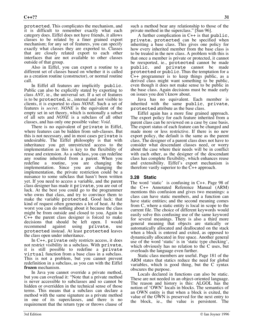protected. This complicates the mechanism, and it is difficult to remember exactly what each category does. Eiffel does not have friends, it allows classes to be related by a finer grained export mechanism; for any set of features, you can specify exactly what classes they are exported to. Classes that are closely related export to each other interfaces that are not available to other classes outside of that group.

Also in Eiffel, you can export a routine to a different set of classes based on whether it is called as a creation routine (constructor), or normal routine call.

In Eiffel all features are implicitly public. Public can also be explicitly stated by exporting to class *ANY*, ie., the universal set. If a set of features is to be protected, ie., internal and not visible to clients, it is exported to class *NONE*. Such a set of features is *secret*. *NONE* is the equivalent of the empty set in set theory, which is notionally a subset of all sets and *NONE* is a subclass of all other classes, and has only one possible value: *Void*.

There is no equivalent of private in Eiffel, where features can be hidden from sub-classes. But this is not necessary, and in most cases private is undesirable. The Eiffel philosophy is that with inheritance you get unrestricted access to the implementation as this is key to the flexibility of reuse and extension. As a subclass, you can redefine any routine inherited from a parent. When you redefine a routine, you are changing the implementation. Since you are changing the implementation, the private restriction could be a nuisance to some subclass that hasn't been written yet. If you need to access a variable, and the parent class designer has made it private, you are out of luck. At the best you could go to the programmer who owns that class, and try to convince them to make the variable protected. Good luck: that kind of request often generates a lot of heat. At the worst you can do nothing about it because the class might be from outside and closed to you. Again in C++ the parent class designer is forced to make decisions that should be left open. I would recommend against using private, use protected instead. At least protected leaves the class open under inheritance.

In C++, private only restricts access, it does not restrict visibility in a subclass. With private, it is still possible to redefine a private virtual function from a base class in a subclass. This is not a problem, but you cannot prevent redefinition in a subclass, as you can with the Eiffel **frozen** mechanism.

In Java you cannot override a private method, but you can overload it: "Note that a private method is never accessible to subclasses and so cannot be hidden or overridden in the technical sense of those terms. This means that a subclass can declare a method with the same signature as a private method in one of its superclasses, and there is no requirement that the return type or throws clause of such a method bear any relationship to those of the private method in the superclass." [Sun 96].

A further complication in C++ is that public, private, protected can be specified when inheriting a base class. This gives one policy for how every inherited member from the base class is to be treated in the new class. A problem with this is that once a member is private or protected, it cannot be reexported, ie., protected cannot be made public, and private cannot be made protected or public. Thus the temptation for a C++ programmer is to keep things public, as a derived class might want something to be public, even though it does not make sense to be public in the base class. Again decisions must be made early on issues you don't know about.

Java has no equivalent. Each member is inherited with the same public, private, protected attribute as the base class.

Eiffel again has a more fine grained approach. The export policy for each feature inherited from a parent class can be reviewed on a case by case basis. The export status of each feature can be changed and made more or less restrictive. If there is no new export policy, the default is the same as the parent class. The designer of a parent class does not have to consider what descendant classes need, or worry about the case where their needs will be in conflict with each other, as the designer of the descendant class has complete flexibility, which enhances reuse and extensibility. Eiffel's export mechanism is therefore vastly superior to the C++ approach.

#### **3.28 Static**

The word 'static' is confusing in C++. Page 98 of the C++ Annotated Reference Manual (ARM) mentions this confusion and gives two meanings: a class can have static members, and a function can have static entities; and the second meaning comes from C, where a static entity is local in scope to the current file. The choice of different keywords would easily solve this confusing use of the same keyword for several meanings. There is also a third more general meaning that objects are statically or automatically allocated and deallocated on the stack when a block is entered and exited, as opposed to dynamically allocated in free space. Another general use of the word 'static' is in 'static type checking', which obviously has no relation to the C uses, but overloads the language even further.

Static class members are useful. Page 181 of the ARM states that statics reduce the need for global variables, which is good thing, but the C syntax obscures the purpose.

Locals declared in functions can also be static. These are not needed in an object-oriented language. The reason and history is this: ALGOL has the notion of 'OWN' locals in blocks. The semantics of an OWN entity is that when a block is exited, the value of the OWN is preserved for the next entry to the block, ie., the value is persistent. The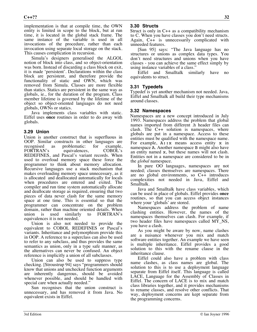implementation is that at compile time, the OWN entity is limited in scope to the block, but at run time, it is located in the global stack frame. The same instance of the variable is used in all invocations of the procedure, rather than each invocation using separate local storage on the stack. This causes complication in recursion.

Simula's designers generalised the ALGOL notion of block into class, and so object-orientation was born. Instead of discarding a class block on exit, it is made 'persistent'. Declarations within the class block are persistent, and therefore provide the functionality of static and OWN, which was removed from Simula. Classes are more flexible than statics. Statics are persistent in the same way as globals, ie., for the duration of the program. Class member lifetime is governed by the lifetime of the object so object-oriented languages do not need globals, OWNs or statics.

Java implements class variables with static. Eiffel uses **once** routines in order to do away with globals.

#### **3.29 Union**

Union is another construct that is superfluous in OOP. Similar constructs in other languages are recognised as problematic: for example, recognised as problematic: for example,<br>FORTRAN's equivalences. COBOL's equivalences, REDEFINES, and Pascal's variant records. When used to overload memory space these force the programmer to think about memory allocation. Recursive languages use a stack mechanism that makes overloading memory space unnecessary, as it is allocated and deallocated automatically for locals when procedures are entered and exited. The compiler and run time system automatically allocate and deallocate storage as required, ensuring that two pieces of data never clash for the same memory space at one time. This is essential so that the programmer can concentrate on the problem domain, rather than machine oriented details. When union is used similarly to FORTRAN's equivalences it is not needed.

Union is also not needed to provide the equivalent to COBOL REDEFINES or Pascal's variants. Inheritance and polymorphism provide this in OOP. A reference to a superclass can also be used to refer to any subclass, and thus provides the same semantics as union, only in a type safe manner, as the alternatives can never be confused. An object reference is implicitly a union of all subclasses.

Union can also be used to suppress type checking. [Stroustrup 94] says "programmers should know that unions and unchecked function arguments are inherently dangerous, should be avoided whenever possible, and should be handled with special care when actually needed."

Sun recognises that the union construct is unnecessary, and has removed it from Java. No equivalent exists in Eiffel.

#### **3.30 Structs**

Struct is only in C++ as a compatibility mechanism to C. When you have classes you don't need structs. Again, C++ is unnecessarily complicated with unneeded features.

[Sun 95] says: "The Java language has no structures or unions as complex data types. You don't need structures and unions when you have classes - you can achieve the same effect simply by using instance variables of a class."

Eiffel and Smalltalk similarly have no equivalents to struct.

#### **3.31 Typedefs**

Typedef is yet another mechanism not needed. Java, Eiffel and Smalltalk all build their type mechanisms around classes.

#### **3.32 Namespaces**

Namespaces are a new concept introduced in July 1993. Namespaces address the problem that global names imported from different .h header files can clash. The C++ solution is namespaces, where globals are put in a namespace. Access to these entities must be qualified with the namespace name. For example,  $A::x$  means access entity x in namespace A. Another namespace B might also have an entity named x, but these names will not clash. Entities not in a namespace are considered to be in the *global* namespace.

In pure OO languages, namespaces are not needed; classes themselves are namespaces. There are no global environments, so  $C++$  introduces complexities not needed in Java, Eiffel and Smalltalk.

Java and Smalltalk have class variables, which can be used in place of globals. Eiffel provides **once** routines, so that you can access object instances where your 'globals' are stored.

Namespaces address the problem of name clashing entities. However, the names of the namespaces themselves can clash. For example, if two header files have namespaces called  $\overline{MY}\_NS$ , you have a clash.

As you might be aware by now, name clashes are a nuisance whenever you mix and match software entities together. An example we have seen is multiple inheritance. Eiffel provides a good solution to this with the rename clause in the inheritance clause.

Eiffel could also have a problem with class name clashes, as class names are global. The solution to this is to use a deployment language separate from Eiffel itself. This language is called LACE, Language for the Assembly of Classes in Eiffel. The concern of LACE is to mix and match class libraries together, and it provides mechanisms to rename classes, and resolve other conflicts. That way, deployment concerns are kept separate from the programming concerns.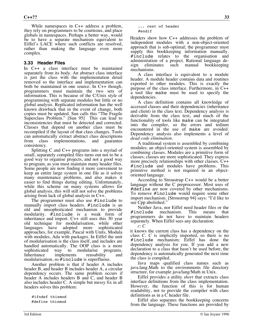While namespaces in C++ address a problem, they rely on programmers to be courteous, and place globals in namespaces. Perhaps a better way, would be to have a separate mechanism equivalent to Eiffel's LACE where such conflicts are resolved, rather than making the language even more complex.

#### **3.33 Header Files**

In C++ a class interface must be maintained separately from its body. An abstract class interface is just the class with the implementation detail removed so the interface and implementation can both be maintained in one source. In C++ though, programmers must maintain the two sets of information. This is because of the C/Unix style of programming with separate modules but little or no global analysis. Replicated information has the well known drawback that in the event of change, both copies must be updated. Sun calls this "The Fragile Superclass Problem." [Sun 95] This can lead to inconsistencies that must be detected and corrected. Classes that depend on another class must be recompiled if the layout of that class changes. Tools can automatically extract abstract class descriptions from class implementations, and guarantee consistency.

Splitting C and C++ programs into a myriad of small, separately compiled files turns out not to be a good way to organise projects, and not a good way to program, as you must maintain many header files. Some people are now finding it more convenient to keep an entire large system in one file as it solves many maintenance problems, and also makes it easier to find things during editing. Unfortunately, while this scheme on many systems allows for global analysis, this will still not solve the problems arising from lack of global analysis in C++.

The programmer must also use #include to manually import class headers. #include is an old and unsophisticated mechanism to provide modularity. #include is a weak form of inheritance and import. C++ still uses this 30 year old technique for modularisation, while other languages have adopted more sophisticated approaches, for example, Pascal with Units, Modula with modules, Ada with packages. In Eiffel the unit of modularisation is the class itself, and includes are handled automatically. The OOP class is a more sophisticated way to modularise programs. Inheritance implements reusability and modularisation, so #include is superfluous.

Another problem is that if header A includes header B, and header B includes header A, a circular dependency occurs. The same problem occurs if header A includes headers B and C, and header B also includes header C. A simple but messy fix in all headers solves this problem:

#ifndef thismod #define thismod

... rest of header

#endif

Headers show how C++ addresses the problem of independent modules with a non-object-oriented approach that is sub-optimal; the programmer must supply this bookkeeping information manually. #include relates to the organisation and administration of a project. Rational language design eliminates such manual bookkeeping mechanisms.

A class interface is equivalent to a module header. A module header contains data and routines exported to other modules. This is exactly the purpose of the class interface. Furthermore, in C++ a tool like make must be used to specify the dependencies.

A class definition contains all knowledge of accessed classes and their dependencies (inheritance and client) in the class text. Dependency analysis is derivable from the class text, and much of the functionality of tools like make can be integrated into the compiler, so the errors and tedium encountered in the use of make are avoided. Dependency analysis also implements a level of *dead code elimination*.

A traditional system is assembled by combining modules; an object-oriented system is assembled by combining classes. Modules are a primitive form of classes; classes are more sophisticated. They express more precisely relationships with other classes. C++ #include and modules have problems. This primitive method is not required in an objectoriented language.

According to Stroustrup C++ would be a better language without the C preprocessor. Most uses of #define are now covered by other mechanisms. To remove #include would require some other import mechanism. [Stroustrup 94] says: "I'd like to see Cpp abolished."

Neither Java, nor Eiffel need header files or the #include mechanism. This means that programmers do not have to maintain headers separately. When Eiffel sees any declaration:

*c*: *C*

it knows the current class has a dependency on the class *C*. *C* is implicitly imported, so there is no #include mechanism: Eiffel has done the dependency analysis for you. If you add a new declaration to a class that hasn't be used before, the dependency is automatically generated the next time the class is compiled.

Java maps qualified class names such as java.lang.Math to the environments file directory structure, for example java/lang/Math in Unix.

Eiffel provides a utility *short* that extracts class interface definitions from the class implementation. However, the function of this is for human readability, not to provide the compiler with class definitions as in a C header file.

Eiffel also separates the bookkeeping concerns from the language. These functions are provided by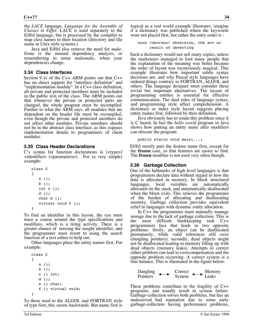the *LACE* language, *Language for the Assembly of Classes in Eiffel*. LACE is used separately to the Eiffel language, but is processed by the compiler to map class names to their location (directory and file name in Unix style systems.)

Java and Eiffel also remove the need for *make*. Gone is the manual dependency analysis, or remembering to rerun *makemake*, when your dependencies change.

### **3.34 Class Interfaces**

Section 9.1c of the C++ ARM points out that C++ has no direct support for "interface definition" and "implementation module". In a C++ class definition, all private and protected members must be included in the public text of the class. The ARM points out that whenever the private or protected parts are changed, the whole program must be recompiled. Further to what the ARM says, all modules that are dependent on the header file must be recompiled, even though the private and protected members do not affect other modules. Private members should not be in the abstract class interface, as this exposes implementation details to programmers of client modules.

### **3.35 Class Header Declarations**

C's syntax for function declarations is [<type>]  $\le$  dentifier  $\le$  ( $\le$  parameters  $\ge$ ). For (a very simple) example:

```
class C
{
   a ();
   b ();
   int c ();
   d ();
   char e ();
   virtual void f ();
}
```
To find an identifier in this layout, the eye must trace a course around the type specifications and modifiers, which is a tiring activity. There is a greater chance of missing the sought identifier, and the programmer must resort to using the search function of a text editor to help out.

Other languages place the entity names first. For example:

```
class C
{
   a ();
   b ();
   c () int;
   d ();
   e () char;
   f () virtual void;
}
```
To those used to the ALGOL and FORTRAN style of type first, this seems backwards. But name first is logical as a real world example illustrates: imagine if a dictionary was published where the keywords were not placed first, but rather the entry order is -

noun /obvrzen/ obversion, the act or result of obverting

Such a dictionary would not sell many copies, unless the marketeers managed to fool many people that the explanation of the meaning was better because the order of layout was mysteriously magical. This example illustrates how important subtle syntax decisions are, and why Pascal style languages have ordered things contrary to FORTRAN, ALGOL and others. The language designer must consider these trivial but important alternatives. The layout of programming entities is essential for effective communication. The dual roles of language syntax, and programming style affect comprehension. A dictionary or index style layout suggests placing entity names first, followed by their definition.

Java obviously has to retain this problem since it is C based. In fact the *hello world* program in Java shows how putting an entity name after modifiers can obscure the program:

public static void main(...)

Eiffel mostly puts the feature name first, except for the **frozen** case, so that features are easier to find. The **frozen** modifier is not used very often though.

#### **3.36 Garbage Collection**

One of the hallmarks of high level languages is that programmers declare data without regard to how the data is allocated in memory. In block structured languages, local variables are automatically allocated on the stack, and automatically deallocated when the block exits. This relieves the programmer of the burden of allocating and deallocating memory. Garbage collection provides equivalent relief in languages with dynamic entity allocation.

In C++ the programmer must manually manage storage due to the lack of garbage collection. This is the most difficult bookkeeping task C++ programmers face that leads to two opposite problems: firstly, an object can be deallocated prematurely, while valid references still exist (dangling pointers); secondly, dead objects might not be deallocated leading to memory filling up with dead objects (memory leaks). Attempts to correct either problem can lead to overcompensation and the opposite problem occurring. A correct system is a fine balance. This is illustrated in the figure below.

$$
\begin{array}{ccc}\n\text{Danging} & \longrightarrow & \text{Correct} \\
\text{Points} & \longrightarrow & \text{System} \\
\end{array} \longrightarrow \begin{array}{ccc}\n\text{Memory} \\
\text{Leaks}\n\end{array}
$$

These problems contribute to the fragility of C++ programs, and usually result in system failure. Garbage-collection solves both problems, but has an undeserved bad reputation due to some early garbage-collectors having performance problems,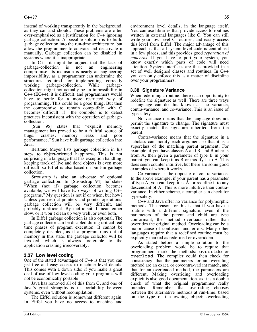instead of working transparently in the background, as they can and should. These problems are often over-emphasised as a justification for C++ ignoring garbage collection. A possible solution is to build garbage collection into the run-time architecture, but allow the programmer to activate and deactivate it manually. Garbage collection can be disabled in systems where it is inappropriate.

In C++ it might be argued that the lack of garbage-collection is not an engineering compromise. Its inclusion is nearly an engineering impossibility, as a programmer can undermine the structures required for implementing correctly<br>working garbage-collection. While garbageworking garbage-collection. While garbagecollection might not actually be an impossibility in C++ (EC++), it is difficult, and programmers would have to settle for a more restricted way of programming. This could be a good thing. But then the compromise to remain compatible with C becomes difficult, if the compiler is to detect practices inconsistent with the operation of garbagecollection.

[Sun 95] states that "explicit memory management has proved to be a fruitful source of bugs, crashes, memory leaks and poor performance." Sun have built garbage collection into Java.

Bertrand Meyer lists garbage collection in his steps to object-oriented happiness. This is not surprising in a language that has exception handling, keeping track of live and dead objects is even more difficult, so Eiffel is also based on built-in garbage collection.

Stroustrup is also an advocate of optional garbage collection. In [Stroustrup 94] he states "When (not if) garbage collection becomes available, we will have two ways of writing C++ programs." My question is not if or when, but how? Unless you restrict pointers and pointer operations, garbage collection will be very difficult, and probably inefficient. By inefficient, I mean either slow, or it won't clean up very well, or even both.

In Eiffel garbage collection is also optional. The garbage collector can be disabled during critical real time phases of program execution. It cannot be completely disabled, as if a program runs out of memory in this state, the garbage collector will be invoked, which is always preferable to the application crashing irrecoverably.

#### **3.37 Low level coding**

One of the stated advantages of  $C_{++}$  is that you can get free and easy access to machine level details. This comes with a down side: if you make a great deal of use of low level coding your programs will not be economically portable.

Java has removed all of this from C, and one of Java's great strengths is its portability between systems, even without recompilation.

The Eiffel solution is somewhat different again. In Eiffel you have no access to machine and

environment level details, in the language itself. You can use libraries that provide access to routines written in external languages like C. You can still write your low level C routines, and easily access this level from Eiffel. The major advantage of this approach is that all system level code is centralised in a few places, and this provides good *separation of concerns*. If you have to port your system, you know exactly which parts of code will need attention. System interfaces are thus provided in a set of well designed classes and routines. In C++ you can only enforce this as a matter of discipline over your programmers.

#### **3.38 Signature Variance**

When redefining a routine, there is an opportunity to redefine the signature as well. There are three ways a language can do this known as: no variance, contra-variance, and co-variance. This is an issue of type safety.

No variance means that the language does not permit the signature to change. The signature must exactly match the signature inherited from the parent.

Contra-variance means that the signature in a subclass can modify each argument so that it is a superclass of the matching parent argument. For example, if you have classes  $\overline{A}$  and  $\overline{B}$ , and  $\overline{B}$  inherits from A, then given a parameter of type B in your parent, you can keep it as B or modify it to A. This does seem counter intuitive, but there are some good examples of where it works.

Co-variance is the opposite of contra-variance. In the above example, if your parent has a parameter of type A, you can keep it as  $\overline{A}$ , or redefine it to any descendant of A. This is more intuitive than contravariance. In either scheme, a compiler can check for type-safety.

C++ and Java offer no variance for polymorphic methods. The reason for this is that if you have a routine with a different signature, even if the parameters of the parent and child are type conformant, the method overloads rather than overrides the original method. Overloading can be a major cause of confusion and errors. Many other languages require that a redefined routine must be explicitly marked as redefined or overridden.

As stated before a simple solution to the overloading problem would be to require that programmers mark the methods: override or overload. The compiler could then check for consistency, that the parameters for an overriding method are an exact, or co/contra-variant match, and that for an overloaded method, the parameters are different. Making overriding and overloading explicit is also good documentation, as it is a double check of what the original programmer really intended. Remember that overriding chooses between the alternative methods at run-time, based on the type of the owning object; overloading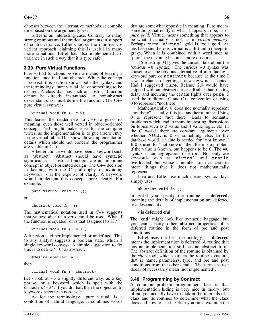chooses between the alternative methods at compile time based on the argument types.

Eiffel is an interesting case. Contrary to many strong opinions and theoretical arguments in support of contra-variance, Eiffel chooses the intuitive covariant approach, claiming this is useful in many more situations. Eiffel has also implemented covariance in such a way that it is type safe.

#### **3.39 Pure Virtual Functions**

Pure virtual functions provide a means of leaving a function undefined and abstract. While the concept is correct, this section shows both the syntax, and the terminology 'pure virtual' leave something to be desired. A class that has such an abstract function cannot be directly instantiated. A non-abstract descendant class must define the function. The C++ pure virtual syntax is:

virtual void fn  $() = 0;$ 

This leaves the reader new to  $C_{++}$  to guess its meaning, even those well versed in object-oriented concepts. '=0' might make sense for the compiler writer, as the implementation is to put a zero entry in the virtual table. This shows how implementation details which should not concern the programmer are visible in C++.

A better choice would have been a keyword such as 'abstract'. Abstract should have syntactic significance as abstract functions are an important concept in object-oriented design. The C++ decision in keeping with the C philosophy of avoiding keywords is at the expense of clarity. A keyword would implement this concept more clearly. For example:

```
pure virtual void fn ();
```
or

```
abstract void fn ();
```
The mathematical notation used in C++ suggests that values other than zero could be used. What if the function is equated (or is that assigned) to 13?

virtual void fn  $() = 13;$ 

A function is either implemented or undefined. This to any analyst suggests a boolean state, which a single keyword conveys. A simple suggestion to fix this is to define  $= 0$ ' as abstract:

#define abstract =  $0$ 

then

virtual void fn () abstract;

Let's look at  $=0$  a slightly different way, as a key phrase, or a keyword which is spelt with the characters '=0'. If you do that, then the objection to keywords becomes a non-issue.

As for the terminology, 'pure virtual' is a contortion of natural language. It combines words

that are somewhat opposite in meaning. Pure means something that really is what it appears to be, as in *pure gold*. Virtual means something that appears to be what it actually is not, as in *virtual memory*. Perhaps pure virtual gold is fools gold. As has been said before, virtual is a difficult concept to grasp. When it is combined with a word such as 'pure', the meaning becomes more obscure.

 [Stroustrup 94] gives the curious tale about the 'curious =0' syntax: "The curious =0 syntax was chosen over the obvious alternative of introducing a keyword pure or abstract because at the time I saw no chance of getting a new keyword accepted. Had I suggested pure, Release 2.0 would have shipped without abstract classes. Rather than risking delay and incurring the certain fights over pure, I used the traditional C and  $C_{++}$  convention of using 0 to represent "not there.""

Mathematically, 0 does not normally represent "not there". Usually, 0 is just another number. Using 0 to represent "not there" leads to semantic problems which lead to many interesting discussions on topics such as 3 value and 4 value logic, etc. In the C world, there are constant arguments over whether NULL is 0 or something else. In the database world, a value is needed for "not known." If 0 is used for "not known," then there is a problem if the value is known, but happens to be 0. The  $=0$ syntax is an aggregation of errors. Not only are keywords such as virtual and static overloaded, but worse a number such as zero to mean things that it does not mathematically represent.

Java and Eiffel use much clearer syntax. Java simply uses:

abstract void fn ();

In Eiffel you specify the routine as **deferred**, meaning the details of implementation are deferred to a descendant class:

*r* **is deferred end**

The '**end'** might look like syntactic baggage, but you can specify other abstract properties of a deferred routine in the form of pre and post conditions.

Eiffel uses the best terminology, as **deferred** means the implementation is deferred. A routine that has an implementation still has an abstract form. The abstract definition of the routine is obtained by the *short* tool, which extracts the routine signature, that is name, parameters, type, and pre and post conditions from the other details. The term abstract does not necessarily mean 'not implemented'.

#### **3.40 Programming by Contract**

A common problem programmers face is that implementation hiding is very nice in theory, but often, you actually have to look at the internals of a class and its routines to determine what the class does and how to use it. Often you must examine the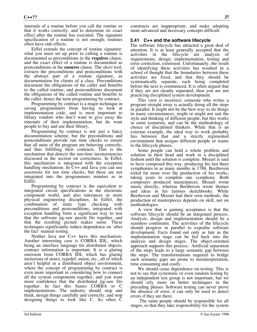internals of a routine before you call the routine so that it works correctly, and to determine its exact effect after the routine has executed. The signature specification of a routine is not enough; routines often have side effects.

Eiffel extends the concept of routine signature: what you must set up prior to calling a routine is documented as preconditions in the **requires** clause, and the exact effect of a routine is documented as postconditions in the **ensures** clause. The *short* tool, extracts the preconditions and postconditions with the abstract part of a routine signature, as documentation for clients of a class. Preconditions document the obligations of the caller and benefits to the called routine, and postconditions document the obligations of the called routine and benefits to the caller: hence the term programming by contract.

Programming by contract is a major technique in saving programmers from having to look at implementation code, and is most important to library vendors who don't want to give away the internals of their implementation, but do want people to buy and use their library.

Programming by contract is not just a fancy documentation scheme, but the preconditions and postconditions provide run time checks to ensure that all units of the program are behaving correctly, and thus fulfilling their contracts. This is the mechanism that detects the run-time inconsistencies discussed in the section on correctness. In Eiffel, this mechanism is integrated with the exception handling mechanism. In C++ and Java you can use assertions for run time checks, but these are not integrated into the programmers mindset as in Eiffel.

Programming by contract is the equivalent to integrated circuit specifications in the electronic component world, and also tolerances in more physical engineering disciplines. In Eiffel, the combination of static type checking with preconditions and postconditions, integrated with exception handling form a significant way to test that the software jig-saw puzzle fits together, and that the resulting picture makes sense. These techniques significantly reduce dependence on 'after the fact' manual testing.

Neither Java nor C++ have this mechanism. Another interesting case is CORBA IDL, which being an interface language for distributed objects, contract information is important. It is a glaring omission from CORBA IDL which has glaring inclusions of struct, typedef, union, etc., all of which aren't helpful in a distributed object environment, where the concept of programming by contract is even more important in considering how to connect all the system components together, and you want more confidence that the distributed jig-saw fits together. In fact this biases CORBA to C implementations. The industry should stop and think, design things carefully and correctly, and stop designing things to look like C. So often C

constructs are inappropriate, and make adopting more advanced and necessary concepts difficult.

#### **3.41 C++ and the software lifecycle**

The software lifecycle has attracted a great deal of attention. It is at least generally accepted that the activities in the lifecycle are analysis of requirements, design, implementation, testing and error correction, extension. Unfortunately, the result of identifying these activities has resulted in a school of thought that the boundaries between these activities are fixed, and that they should be systematically separate, each being completed before the next is commenced. It is often argued that if they are not cleanly separated, then you are not practicing disciplined system development.

This view is incorrect; someone who writes a program straight away is actually doing all the steps in parallel. It might not be the best way to do things in many circumstances, might or might not suit the style and thinking of different people, but this works in some scenarios, and can be the methodology of choice of disciplined thinkers. While that is an extreme example, the ideal way to work probably lies between that and a strictly regimented environment that assigns different people or teams to the lifecycle phases.

Some people can hold a whole problem and solution in their head and work in a disciplined fashion until the solution is complete. Mozart is said to have composed this way, producing his last three symphonies in as many months in 1788. Beethoven toiled far more over the production of his works, taking years to complete one symphony. Both composers produced masterpieces. Mozart wrote music directly, whereas Beethoven wrote themes and ideas in his famous sketchbooks. While Beethoven and Mozart had their own methods, the production of masterpieces depends on skill, not on methodologies.

A view that is gaining acceptance is that the software lifecycle should be an integrated process. Analysis, design and implementation should be a seamless continuum. The activities of the lifecycle should progress in parallel to expedite software development. Facts found out only as late as the implementation stage can be fed back into the analysis and design stages. The object-oriented approach supports this process. Artificial separation of the steps leads to a large semantic gap between the steps. The transformations required to bridge such semantic gaps are prone to misinterpretation, time consuming and costly.

We should cease dependence on testing. This is not to say that systematic or even random testing by an independent test group is not important, but we should rely more on better techniques in the preceding phases. Software testing can never prove the absence of error, it can only be used to detect errors if they are there.

 The same people should be responsible for all stages, so that they take responsibility for the system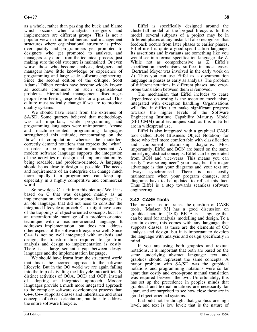as a whole, rather than passing the buck and blame which occurs when analysts, designers and implementors are different groups. This is not a popular view in traditional hierarchical management structures where organisational structure is prized over quality and programmers get promoted to designers who get promoted to analysts, and managers stay aloof from the technical process, just making sure the old structure is maintained. Or even worse, those who become analysts, designers and managers have little knowledge or experience of programming and large scale software engineering. Since the second edition of the critique, Scott Adams' Dilbert comics have become widely known as accurate comments on such organisational problems. Hierarchical management discourages people from feeling responsible for a product. This culture must radically change if we are to produce quality systems.

We should have learnt from the extremes of SA/SD. Some quarters believed that methodology was all important, while programming and programming languages were unimportant. Arcane and machine-oriented programming languages strengthened this attitude, concentrating on the 'how' of computation, whereas the modellers correctly demand notations that express the 'what', in order to be implementation independent. A modern software language supports the integration of the activities of design and implementation by being readable, and problem-oriented. A language should be as close to design as possible. The needs and requirements of an enterprise can change much more rapidly than programmers can keep up, especially in a highly competitive and commercial world.

So how does C++ fit into this picture? Well it is based on C that was designed mainly as an implementation and machine-oriented language. It is an old language, that did not need to consider the integrated lifecycle approach. C++ might have some of the trappings of object-oriented concepts, but it is an uncomfortable marriage of a problem-oriented technique with a machine-oriented language. It addresses implementation, but does not address other aspects of the software lifecycle so well. Since C++ is not so well integrated with analysis and design, the transformation required to go from analysis and design to implementation is costly. There is a large semantic gap between design languages and the implementation language.

We should have learnt from the structured world that this is the incorrect approach to the software lifecycle. But in the OO world we are again falling into the trap of dividing the lifecycle into artificially distinct activities of OOA, OOD and OOP, instead of adopting an integrated approach. Modern languages provide a much more integrated approach to the complete software development process than C++. C++ supports classes and inheritance and other concepts of object-orientation, but fails to address the entire software lifecycle.

Eiffel is specifically designed around the clusterfall model of the project lifecycle. In this model, several subparts of a project may be in different phases at any instant. It also recognises that feedback occurs from later phases to earlier phases. Eiffel itself is quite a good specification language. Its assertions and invariants are something like you would see in a formal specification language like Z. While not as comprehensive as Z, Eiffel's specification mechanisms suffice in most cases. (Bertrand Meyer was involved in the early work on Z). Thus you can use Eiffel as a documentation language in phases as early as analysis. The problem of different notations in different phases, and errorprone translation between them is removed.

The mechanism that Eiffel includes to cease dependence on testing is the assertion mechanism, integrated with exception handling. Organisations will find it difficult to make significant progress towards the higher levels of the Software Engineering Institute Capability Maturity Model (SEI CMM) until techniques such as this in Eiffel are in widespread use.

Eiffel is also integrated with a graphical CASE tool called BON (Business Object Notation) for those who feel more comfortable with classification and component relationship diagrams. Most importantly, Eiffel and BON are based on the same underlying abstract concepts. Eiffel can be generated from BON and vice-versa. This means you can easily "reverse engineer" your text, but the major advantage is that your diagrams and your text are always synchronised. There is no costly always synchronised. There is no costly maintenance when your program changes, and diagrams have to be updated to reflect this fact. Thus Eiffel is a step towards seamless software engineering.

#### **3.42 CASE Tools**

The previous section raises the question of CASE tools. [Madsen 93] has a good discussion on graphical notation (18.8). BETA is a language that can be used for analysis, modelling and design. To a certain extent, this comes with any language that supports classes, as these are the elements of OO analysis and design, but it is important to develop the language with analysis and design specifically in mind.

If you are using both graphics and textual notations, it is important that both are based on the same underlying abstract language: text and graphics should represent the same concepts. A major problem with SA/SD was the graphical notations and programming notations were so far apart that costly and error-prone manual translation was required between the two. Unfortunately, this has set up the precedence in peoples minds that graphical and textual notations are necessarily far apart, and are surprised to see how close these are in good object-oriented systems.

It should not be thought that graphics are high level, and text is low level; that is the nature of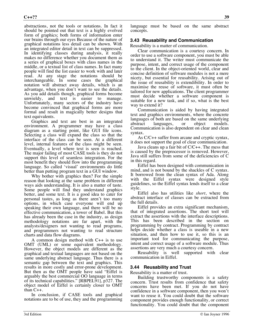abstractions, not the tools or notations. In fact it should be pointed out that text is a highly evolved form of graphics; both forms of information enter our brains through our eyes Because of the nature of graphical notations less detail can be shown. With an integrated editor detail in text can be suppressed. In identifying classes during analysis, it really makes no difference whether you document them as a series of graphical boxes with class names in the middle, or a textual list of class names. In fact many people will find the list easier to work with and later read. At any stage the notations should be interchangeable. In some cases the graphical notation will abstract away details, which is an advantage, when you don't want to see the details. As you add details though, graphical forms become unwieldy, and text is easier to manage. Unfortunately, many sectors of the industry have become convinced that graphical forms are more formal and result in magically better designs that text equivalents.

Graphics and text are best in an integrated environment. A programmer may have a class diagram as a starting point, like GUI file icons. Selecting a class will expand the class so that the interface of the class can be seen. At a different level, internal features of the class might be seen. Eventually, a level where text is seen is reached. The major failing of most CASE tools is they do not support this level of seamless integration. For the most benefit they should flow into the programming language. So called 'visual' environments do little better than putting program text in a GUI window.

Why bother with graphics then? For the simple reason that looking at the same problem in different ways aids understanding. It is also a matter of taste. Some people will find they understand graphics better, and some text. It is a good idea to cater for personal tastes, as long as there aren't too many options, in which case everyone will end up speaking their own language, and there will be no effective communication, a tower of Babel. But this has already been the case in the industry, as design methodology notations are far apart, with the analysts/designers not wanting to read programs, and programmers not wanting to read structure charts and data flow diagrams.

A common design method with C++ is to use OMT (UML) or some equivalent methodology. However, the object models are different as the graphical and textual languages are not based on the same underlying abstract language. Thus there is a semantic gap between the text and graphics. This results in more costly and error-prone development. But then as the OMT people have said "Eiffel is arguably the best commercial OO language in terms of its technical capabilities." [RBPEL91], p327. The object model of Eiffel is certainly closer to OMT than  $C_{++}$ .

In conclusion, if CASE tools and graphical notations are to be of use, they and the programming

language must be based on the same abstract concepts.

#### **3.43 Reusability and Communication**

Reusability is a matter of communication.

Clear communication is a courtesy concern. In order to use a software component, you must be able to understand it. The writer must communicate the purpose, intent, and correct usage of the component to the client. In the object-oriented world, clear and concise definition of software modules is not a mere nicety, but essential for reusability. Arising out of the issue of reusability is extendibility. In order to maximise the reuse of software, it must often be tailored for new applications. The client programmer must decide whether a software component is suitable for a new task, and if so, what is the best way to extend it?

Communication is aided by having integrated text and graphics environments, where the concrete languages of both are based on the same underlying<br>abstract languages, or object models. abstract languages, or object models. Communication is also dependent on clear and clean syntax.

As C/C++ suffer from arcane and cryptic syntax, it does not support the goal of clear communication.

Java cleans up a fair bit of C/C++. The mess that is caused by the preprocessor is removed. However, Java still suffers from some of the deficiencies of C in this regard.

Eiffel has been designed with communication in mind, and is not bound by the shackles of C syntax. It borrowed from the clean syntax of Ada. Along with the Eiffel syntax were designed style guidelines, so the Eiffel syntax lends itself to a clear style.

Eiffel also has utilities like *short*, where the abstract interface of classes can be extracted from the full details.

Eiffel provides an extra significant mechanism, that of integrated assertions. The short tool will extract the assertions with the interface descriptions. This has been described in the section on programming by contract. Programming by contract helps decide whether a class is useable in a new situation, and then how to use it, so this is an important tool for communicating the purpose, intent and correct usage of a software module. Thus assertions are very much a courtesy concern.

Reusability is well supported with clear communication in Eiffel.

#### **3.44 Reusability and Trust**

Reusability is a matter of trust.

Building trustworthy components is a safety concern. Trust results from confidence that safety concerns have been met. If you do not have confidence in a software component, then you won't want to reuse it. You could doubt that the software component provides enough functionality, or correct functionality. You could doubt that the component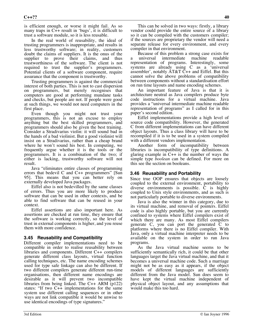is efficient enough, or worse it might fail. As so many traps in  $C_{++}$  result in 'bugs', it is difficult to trust a software module, so it is less reusable.

In the real world of reusability, the ideal of trusting programmers is inappropriate, and results in less trustworthy software; in reality, customers doubt the claims of suppliers. It is the onus of the supplier to prove their claims, and thus trustworthiness of the software. The client is not required to trust the supplier's programmers. Potential clients of a software component, require assurance that the component is trustworthy.

Trusting programmers is against the commercial interest of both parties. This is not to cast dispersion on programmers, but merely recognises that computers are good at performing mundane tasks and checks, but people are not. If people were good at such things, we would not need computers in the first place.

Even though you might not trust your programmers, this is not an excuse to employ anything but the best skilled programmers, and programmers should also be given the best training. Consider a Stradivarius violin: it will sound bad in the hands of a bad violinist. But a good violinist will insist on a Stradivarius, rather than a cheap brand where he won't sound his best. In computing, we frequently argue whether it is the tools or the programmers. It is a combination of the two; if either is lacking, trustworthy software will not result.

Java "eliminates entire classes of programming errors that bedevil C and  $C_{++}$  programmers" [Sun 95]. This means that you can better rely on externally developed Java packages.

Eiffel also is not bedevilled by the same classes of errors. Thus you are more likely to produce software that can be used in other contexts, and be able to find software that can be reused in your context.

Eiffel assertions are also important here. As assertions are checked at run time, they ensure that the software is working correctly, so the level of trust in external components is higher, and you reuse them with more confidence.

#### **3.45 Reusability and Compatibility**

Different compiler implementations need to be compatible in order to realise reusability between libraries and components. Different C++ compilers generate different class layouts, virtual function calling techniques, etc. The name encoding schemes used for type safe linkage can also be different. If two different compilers generate different run-time organisations, then different name encodings are desirable as it will prevent two incompatible libraries from being linked. The C++ ARM (p122) states: "If two C++ implementations for the same system use different calling sequences or in other ways are not link compatible it would be unwise to use identical encodings of type signatures."

This can be solved in two ways: firstly, a library vendor could provide the entire source of a library so it can be compiled with the customers compiler; if the sources are proprietary the vendor will need a separate release for every environment, and every compiler in that environment.

Because of this problem a strong case exists for a universal intermediate machine readable representation of programs. Interestingly, some systems are already using C as a 'universal assembler', notably AT&T C++ and Eiffel. But this cannot solve the above problems of compatibility between components without a standardisation effort on run time layouts and name encoding schemes.

An important feature of Java is that it is architecture neutral as Java compilers produce byte code instructions for a virtual machine. Java provides a "universal intermediate machine readable representation of programs" as I called for in this paper's second edition.

Eiffel implementations provide a high level of source code compatibility. However, the generated C from different implementations can have different object layouts. Thus a class library will have to be recompiled if it is to be used in a system compiled with a different vendors implementation.

Another form of incompatibility between libraries is incompatibility of type definitions. A glaring example in C++ is the number of ways the simple type *boolean* can be defined. For more on this see the section on booleans.

#### **3.46 Reusability and Portability**

Since true OOP ensures that objects are loosely coupled to the external environment, portability to diverse environments is possible. C is highly coupled to Unix style environments, and as such is not particularly portable to diverse environments.

Java is also the winner in this category, due to its virtual machine, and removal of pointers. Eiffel code is also highly portable, but you are currently confined to systems where Eiffel compilers exist of which there are many. As most Eiffel compilers generate C, you can port the generated C to platforms where there is no Eiffel compiler. With Java, only a virtual machine interpreter needs to be available on the system in order to run Java programs.

As the Java virtual machine seems to be sufficiently semantically rich, it could be that other languages target the Java virtual machine, and that it becomes a universal machine code. Such a marriage might not be as easy as it appears, if the object models of different languages are sufficiently different from the Java model. Sun does seem to have kept the virtual machine independent of physical object layout, and any assumptions that would make this too hard.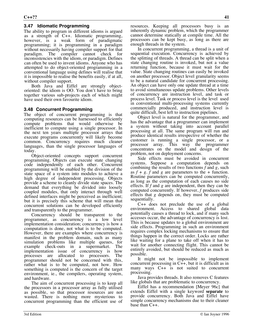### **3.47 Idiomatic Programming**

The ability to program in different idioms is argued as a strength of C++. Idiomatic programming, however, is a weak form of paradigmatic programming; it is programming in a paradigm without necessarily having compiler support for that paradigm. The compiler cannot check for inconsistencies with the idiom, or paradigm. Defines can often be used to invent idioms. Anyone who has attempted to do object-oriented programming in a conventional language using defines will realise that it is impossible to realise the benefits easily, if at all, without compiler support.

Both Java and Eiffel are strongly objectoriented: the idiom is OO. You don't have to bring together various sub-projects each of which might have used their own favourite idiom.

#### **3.48 Concurrent Programming**

The object of concurrent programming is that computing resources can be harnessed to efficiently compute problems that would otherwise be inefficient to compute using a single processor. In the next ten years multiple processor arrays that execute programs concurrently will likely become common. Concurrency requires much cleaner languages, than the single processor languages of today.

Object-oriented concepts support concurrent programming. Objects can execute state changing code independently of each other. Concurrent programming will be enabled by the division of the state space of a system into modules to achieve a high degree of independent processing. Objects provide a scheme to cleanly divide state spaces. The demand that everything be divided into loosely coupled modules, that only interact through well defined interfaces might be perceived as inefficient; but it is precisely this scheme that will mean that concurrent solutions can be developed efficiently and transparently to the programmer.

Concurrency should be transparent to the programmer, as concurrency is a low level implementation consideration; concurrency is how a computation is done, not what is to be computed. However, there are examples where concurrency is manifest in the problem domain, such as many simulation problems like multiple queues, for example check-outs in a supermarket. The implementation issue of concurrency is how processes are allocated to processors. The processes are allocated to processors. programmer should not be concerned with this, rather what is to be computed, not how. How something is computed is the concern of the target environment, ie., the compilers, operating system, and hardware.

The aim of concurrent processing is to keep all the processors in a processor array as fully utilised as possible, so that processor resources are not wasted. There is nothing more mysterious to concurrent programming than the efficient use of

resources. Keeping all processors busy is an inherently dynamic problem, which the programmer cannot determine statically at compile time. All the

enough threads in the system. In concurrent programming, a thread is a unit of sequential execution. Concurrency is achieved by the splitting of threads. A thread can be split when a state changing routine is invoked, but not a value returning function, because it must wait for the value. State changing routines can easily be invoked on another processor. Object level granularity seems to be a natural candidate for concurrent processing. An object can have only one update thread at a time to avoid simultaneous update problems. Other levels of concurrency are instruction level, and task or process level. Task or process level is the level used in conventional multi-processing systems currently commercially produced, and instruction level is quite difficult, best left to instruction pipelines.

processors can be kept busy, as long as there are

Object level is natural for the programmer, and has the advantage that a programmer can implement a system without taking into account parallel processing at all. The same program will run and produce identical results irrespective of whether the customer is running a single processor, or a processor array. This way the programmer concentrates on the model and design of the problem, not on deployment concerns.

Side effects must be avoided in concurrent systems. Suppose a computation depends on combining the results of two functions *f* and *g*, such as  $f + g$ .  $f$  and  $g$  are parameters to the  $+$  function. Routine parameters can be computed concurrently, as long as the computation of each causes no side effects. If *f* and *g* are independent, then they can be computed concurrently. If however, *f* produces side effects that *g* depends on, they must be computed sequentially.

C++ does not preclude the use of a global environment. Access to shared global data potentially causes a thread to lock, and if many such accesses occur, the advantage of concurrency is lost. This is because updates to a global environment are side effects. Programming in such an environment requires complex locking mechanisms to ensure that things happen in the correct order. Locks are rather like waiting for a plane to take off when it has to wait for another connecting flight. This cannot be entirely avoided, but should be reduced as much as possible.

It might not be impossible to implement concurrent processing in C++, but it is difficult as in many ways C++ is not suited to concurrent processing.

Java provides threads. It also removes C features like globals that are problematic to concurrency.

Eiffel has a recommendation [Meyer 96c] that extends Eiffel with a single keyword **separate** to provide concurrency. Both Java and Eiffel have simple concurrency mechanisms due to their cleaner base than C++.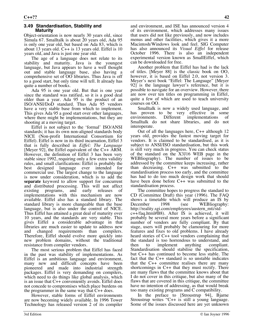#### **3.49 Standardisation, Stability and Maturity**

Object-orientation is now nearly 30 years old, since Simula 67. Smalltalk is about 20 years old, Ada 95 is only one year old, but based on Ada 83, which is about 13 years old. C++ is 13 years old. Eiffel is 10 years old, and Java is just one year old.

The age of a language does not relate to its stability and maturity. Java is the youngest language, but Java appears to have a well thought out and stable language base, also having a comprehensive set of OO libraries. Thus Java is off to a good start, but only time will tell. It already has quite a number of books.

Ada 95 is one year old. But that is one year since the standard was ratified, so it is a good deal older than a year. Ada 95 is the product of an ISO/ANSI/DoD standard. Thus Ada 95 vendors have a very stable base from which to implement. This gives Ada 95 a good start over other languages, where there might be implementations, but they are shooting at a moving target.

Eiffel is not subject to the 'formal' ISO/ANSI standards; it has its own non-aligned standards body NICE (Non-profit International Consortium for Eiffel). Eiffel is now in its third incarnation, Eiffel 3 that is fully described in *Eiffel: The Language* [Meyer 92], the Eiffel equivalent of the C++ ARM. However, the definition of Eiffel 3 has been very stable since 1992, requiring only a few extra validity rules, and small clarifications: Eiffel is probably the best designed language ever intended for commercial use. The largest change to the language is now under consideration, which is to add the **separate** keyword to allow support for concurrent and distributed processing. This will not affect existing programs, and early releases of existing programs, and early releases of implementations with this mechanism are now available. Eiffel also has a standard library. The standard library is more changeable than the base language, but is also under the control of NICE. Thus Eiffel has attained a great deal of maturity over 10 years, and the standards are very stable. This gives Eiffel a considerable advantage in that libraries are much easier to update to address new and changed requirements than compilers. Therefore, Eiffel should evolve more quickly into new problem domains, without the traditional resistance from compiler vendors.

The most serious problem that Eiffel has faced in the past was stability of implementations. As Eiffel is an ambitious language and environment, many new and difficult concepts have been pioneered and made into industrial strength packages. Eiffel is very demanding on compilers, which need to do things like global analysis, which is an issue that C++ conveniently avoids. Eiffel does not concede to compromises which place burdens on the programmer in the same way that C++ does.

However, stable forms of Eiffel environments are now becoming widely available. In 1996 Tower Technology has released version 2 of its compiler

and environment, and ISE has announced version 4 of its environment, which addresses many issues that users did not like previously, and now includes menus and other facilities, which gives it a more Macintosh/Windows look and feel. SIG Computer has also announced its *Visual Eiffel* for release October 1996. There is also an independent experimental version known as SmallEiffel, which can be downloaded for free.

Another problem that Eiffel has had is the lack of titles. [Meyer 88] is the classic book on OO, however, it is based on Eiffel 2.0, not version 3. Meyer's next book "Eiffel: The Language" [Meyer 92] is the language lawyer's reference, but it is possible to navigate for an overview. However, there are now over ten titles on programming in Eiffel, quite a few of which are used to teach university courses on OO.

Smalltalk is now a widely used language, and has proven to be very effective in some environments. Different implementations of implementations of Smalltalk do not share libraries, and do not interoperate.

Out of all the languages here, C++ although 12 years old, provides the fastest moving target for vendors. It is claimed to be standardised, as it is subject to ANSI/ISO standardisation, but this work is still very much in progress. You can check status of the standard on the X3J16 WEB page in the WEBliography). The number of issues to be addressed by the committee keeps increasing, rather than decreasing. C++ was submitted to the standardisation process too early, and the committee has had to do too much design work that should have been done before C<sup>++</sup> was submitted to the standardisation process.

The committee hopes to progress the standard to CD (Committee Draft) this year (1996). The FAQ shows a timetable which will produce an IS by December 1998 (see WEBliography: http://reality.sgi.com/employees/austern\_mti/stdc++/faq.html#B8). After IS is achieved, it will probably be several more years before a significant number of vendors are fully compliant. By that stage, users will probably be clamouring for more features and fixes to old problems. I have already heard stories of C++ tool vendors complaining that the standard is too horrendous to understand, and then to implement anything compliant. Standardisation should stabilise the specification, but C++ has continued to become less stable. The fact that the C++ standard is so unstable indicates that the C++ committee realises there are many shortcomings in C++ that they must rectify. There are many flaws that the committee knows about that I do not cover in this critique, but also many of the flaws that are covered in this critique, the committee have no intention of addressing, as that would break too many existing programs and C compatibility.

In the preface to [Stroustrup 94], Bjarne Stroustrup writes "C++ is still a young language. Some of the issues discussed here are yet unknown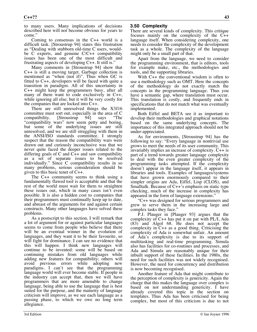to many users. Many implications of decisions described here will not become obvious for years to come."

Coming to consensus in the C++ world is a difficult task. [Stroustrup 94] states this frustration as "Dealing with stubborn old-time C users, wouldbe C experts, and genuine C/C++ compatibility issues has been one of the most difficult and frustrating aspects of developing C++. It still is."

Many comments in [Stroustrup 94] show that C++ is still a moving target. Garbage collection is mentioned as "when (not if)". Thus when GC is fitted to C++, developers will be faced with quite a transition in paradigm. All of this uncertainty in C++ might keep the programmers busy, after all many of them want to code exclusively in C++, while ignoring all else; but it will be very costly for the companies that are locked into C++.

There are still unresolved things the X3J16 committee must sort out, especially in the area of C<br>compatibility. [Stroustrup 94] says "The compatibility.  $[Stroustrup 94]$  says "compatibility wars" now seem petty and boring, but some of the underlying issues are still unresolved, and we are still struggling with them in the ANSI/ISO standards committee. I strongly suspect that the reason the compatibility wars were drawn out and curiously inconclusive was that we never quite faced the deeper issues related to the differing goals of C and  $C_{++}$  and saw compatibility as a set of separate issues to be resolved individually." Since C compatibility results in so many problems, serious consideration should be given to this basic tenet of C++.

The C++ community seems to think using a fundamentally flawed tool is acceptable and that the rest of the world must wait for them to straighten these issues out, which in many cases isn't even possible. It is also a hidden cost to companies that their programmers must continually keep up to date, and abreast of the arguments for and against certain constructs. Many other languages have solved these problems.

As a postscript to this section, I will remark that a lot of argument for or against particular languages seems to come from people who believe that there will be an eventual winner in the evolution of languages, and they want it to be their favourite, so will fight for dominance. I can see no evidence that this will happen. I think new languages will continue to be invented: some will be based on continuing mistakes from old languages while adding new features for compatibility; others will avoid previous errors while adopting new paradigms. I can't see that the programming language world will ever become stable. If people in the industry can accept that, then we will have programmers that are more amenable to change language, being able to use the language that is best suited for the purpose, and the maturity of language criticism will improve, as we see each language as a passing phase, to which we owe no long term allegiance.

### **3.50 Complexity**

There are several kinds of complexity. This critique focuses mainly on the complexity of the C++ language itself. When considering complexity, one needs to consider the complexity of the development task as a whole. The complexity of the language might only be a small part of that.

Apart from the language, we need to consider the programming environment, that is editors, tools for example make, etc., the methodologies and tools, and the supporting libraries.

With C++ the conventional wisdom is often to use a methodology such as OMT. Here the concepts of the methodology do not exactly match the concepts in the programming language. Thus you have a semantic gap, where translation must occur. This translation is costly, and frequently ends in specifications that do not match what was eventually implemented.

Both Eiffel and BETA see it as important to develop their methodologies and graphical notations based on the same underlying concepts. The importance of this integrated approach should not be under-appreciated.

As for environments, [Stroustrup 94] has the following to say: "Every language in nontrivial use grows to meet the needs of its user community. This invariably implies an increase of complexity. C++ is part of a trend towards greater language complexity to deal with the even greater complexity of the programming tasks attempted. If the complexity doesn't appear in the language itself, it appears in libraries and tools. Examples of languages/systems that have grown enormously compared to their simpler origins are Ada, Eiffel, Lisp (CLOS), and Smalltalk. Because of C++'s emphasis on static type checking, much of the increase in complexity has appeared in the form of language extensions."

"C++ was designed for serious programmers and grew to serve them in the increasing large and complex tasks they face."

P.J. Plauger in [Plauger 93] argues that the complexity of C++ has put it on par with PL/I, Ada (83) and Algol 68. He does not accept the complexity in C++ as a good thing. Criticising the complexity of Ada is somewhat unfair. An amount of Ada's complexity is due to its support of multitasking and real-time programming. Simula also has facilities for co-routines and processes, and Ada and Simula are reasonably unique for their inbuilt support of these facilities. In the 1980s, the need for such facilities was not widely recognised. However, the need for concurrency and distribution is now becoming recognised.

Another feature of Ada that might contribute to the perception of complexity is genericity. Again the charge that this makes the language over complex is based on not understanding genericity. I have already covered this topic in the section on templates. Thus Ada has been criticised for being complex, but most of this criticism is due to not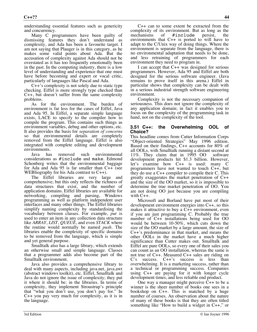understanding essential features such as genericity and concurrency.

Many C programmers have been guilty of dismissing features they don't understand as complexity, and Ada has been a favourite target. I am not saying that Plauger is in this category, as he makes some valid points about Ada. But the accusation of complexity against Ada should not be overstated as it has too frequently emotionally been in the past. In the computing industry, there is a low level of understanding and experience that one must have before becoming and expert or vocal critic, particularly of languages like Pascal and Ada.

C++'s complexity is not solely due to static type checking. Eiffel is more strongly type checked than C++, but doesn't suffer from the same complexity problems.

As for the environment. The burden of environment is far less for the cases of Eiffel, Java and Ada 95. In Eiffel, a separate simple language exists, LACE to specify to the compiler how to compile the program. This contains such things as environment variables, debug and other options, etc. It also provides the basis for *separation of concerns* so that environmental details are completely removed from the Eiffel language. Eiffel is also integrated with complete editing and development environments.

Java has removed such environmental considerations as #include and make. Edmond Schonberg writes that the environmental baggage for Ada and Ada 95 is far smaller than C++ (see WEBliography for his Ada contrast to C++).

The Eiffel libraries are very large and comprehensive; but this only reflects the richness of data structures that exist, and the number of application domains. Eiffel libraries are available for networking, compiling and parsing, Windows programming as well as platform independent user interfaces and many other things. The Eiffel libraries simplify naming complexity by standardising the vocabulary between classes. For example, *put* is used to enter an item in any collection data structure like *ARRAY*, *LIST*, *QUEUE*, and even *STACK* where the routine would normally be named *push*. The libraries enable the complexity of specific domains to be removed from the language, which is simple and yet general purpose.

Smalltalk also has a large library, which extends an otherwise small and simple language. Classes that a programmer adds also become part of the Smalltalk environment.

Java also provides a comprehensive library to deal with many aspects, including java.net, java.awt (abstract windows toolkit), etc. Eiffel, Smalltalk and Java do not ignore the issue of complexity; they put it where it should be: in the libraries. In terms of complexity, they implement Stroustrup's principle that "what you don't use, you don't pay for." In C++ you pay very much for complexity, as it is in the language.

C++ can to some extent be extracted from the complexity of its environment. But as long as the mechanisms of  $\#$ include persist, the mechanisms of #include persist, the environments that C++ is ported to will have to adapt to the C/Unix way of doing things. Where the environment is separate from the language, there is no environmental adaptation that needs to be done, and less retraining of programmers for each environment they need to program in.

I can accept that C++ was designed for serious programmers. However, Ada 95 and Eiffel are both designed for the serious software engineer. (Java remains to prove itself in this arena.) Eiffel in particular shows that complexity can be dealt with in a serious industrial strength software engineering environment.

Complexity is not the necessary companion of seriousness. This does not ignore the complexity of any application domain; in fact it enables you to focus on the complexity of the programming task in hand, not on the complexity of the tool.

#### **3.51 C++: the Overwhelming OOL of Choice?**

This headline comes from Cutter Information Corps "Object-oriented Strategies" May 1996 edition. Based on their findings, C++ accounts for 80% of all OOLs, with Smalltalk running a distant second at 11%. They claim that in 1995 OO software development products hit \$1.3 billion. However, let's examine how C++ is used: many C programmers have not wanted to touch C++, but they do use a  $C_{++}$  compiler to compile their C. This greatly exaggerates the market penetration of C++ and the size of the OO market, so it is impossible to determine the true market penetration of OO. You are not doing OO just because you are compiling with C++.

Microsoft and Borland have put most of their development environment energies into C++, so this makes it attractive to buy a C++ environment, even if you are just programming C. Probably the true number of C++ installations being used for OO would be between 10-50%, which cuts down the size of the OO market by a large amount, the size of C++'s predominance in that market, and means the other OOLs in the market have a much higher significance than Cutter makes out. Smalltalk and Eiffel are pure OOLs, so every one of their sales you can count as an OO installation, whereas the same is not true of C++. Measured C++ sales are riding on C's success. C++'s success is less than overwhelming. It is a marketing success, rather than a technical or programming success. Companies using C++ are paying for it with longer cycle development times, and less reliable end product.

One way a manager might perceive C++ to be a winner is the sheer number of books one sees in a bookshop on C++. This is matched by a huge number of courses. An observation about the nature of many of these books is that they are often titled something like "How to build a widget in  $C_{++}$ ," or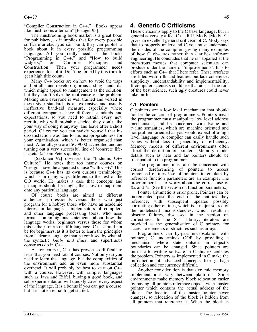"Compiler Construction in C++." "Books appear like mushrooms after rain" [Plauger 93].

The mushrooming book market is a great boon for publishers, as it implies that for every possible software artefact you can build, they can publish a book about it in every possible programming language. All you really need is the books "Programming in C++," and "How to build widgets," or "Compiler Principles and Construction." Then your programmer needs Then your programmer needs experience, lots of it. Don't be fooled by this trick to get a high title count.

Many C++ books are on how to avoid the traps and pitfalls, and develop rigorous coding standards, which might appeal to management as the solution, but they don't solve the root cause of the problem. Making sure everyone is well trained and versed in these style standards is an expensive and usually ineffective band-aid measure, especially where different companies have different standards and expectations, so you need to retrain every new recruit, who will probably decide they don't like your way of doing it anyway, and leave after a short period. Of course you can satisfy yourself that his dissatisfaction was due to his inappropriateness for your organisation, which is better organised than most. After all, you are ISO 9000 accredited and are turning out a very successful line of 'concrete lifejackets' (a Tom Peters quote).

 [Sakkinen 92] observes the "Endemic C++ Culture." He notes that too many courses on "design" have the appended clause "with C++." This is because C++ has its own curious terminology, which is in many ways different to the rest of the OO world. He makes a case that concepts and principles should be taught, then how to map them onto any particular language.

Of course books are aimed at different audiences: professionals versus those who just program for a hobby; those who have an academic interest in languages; implementors of compilers and other language processing tools, who need formal non-ambiguous statements about how the language works; beginners versus those for whom this is their fourth or fifth language. C++ should not be for beginners, as it is better to learn the principles from a clearer language than be confused by what all the syntactic *knobs and dials*, and superfluous constructs do in C++.

As for courses, C++ has proven so difficult to learn that you need lots of courses. Not only do you need to learn the language, but the complexities of the environment add an even more substantial overhead. It will probably be best to start on C++ with a course. However, with simpler languages such as Java and Eiffel, buying a good book, and self experimentation will quickly cover every aspect of the language. It is a bonus if you can get a course, but it is not essential to get started.

# **4. Generic C Criticisms**

These criticisms apply to the C base language, but in general adversely affect C++. R.P. Mody [Mody 91] gives an excellent general criticism of C. Mody says that to properly understand C you must understand the insides of the compiler, giving many examples of how C obscures rather than clarifies software engineering. He concludes that he is "appalled at the monstrous messes that computer scientists can produce under the name of 'improvements'. It is to efforts such as C++ that I here refer. These artefacts are filled with frills and features but lack coherence, simplicity, understandability and implementability. If computer scientists could see that art is at the root of the best science, such ugly creatures could never take birth."

#### **4.1 Pointers**

C pointers are a low level mechanism that should not be the concern of programmers. Pointers mean the programmer must manipulate low level address mechanisms, and be concerned with lvalue and rvalue semantics, which are machine oriented and not problem oriented as you would expect of a high level language. A compiler can easily handle such issues without loss of generality or efficiency. Memory models of different environments often affect the definition of pointers. Memory model details such as near and far pointers should be transparent to the programmer.

The programmer must also be concerned with correct dereferencing of pointers to access referenced entities. Use of pointers to emulate by reference function parameters are an example. The programmer has to worry about the correct use of &s and \*s. (See the section on function parameters.)

Pointer arithmetic is error prone. Pointers can be incremented past the end of the entities they reference, with subsequent updates possibly corrupting other entities, which is a major source of the undetected inconsistencies, which result in obscure failures, discussed in the section on correctness. In the STL library, iterators are provided as the generalisation of C pointers for access to elements of structures such as arrays.

Programmers can by-pass encapsulation with pointers; C undermines OOP by providing a mechanism where state outside an object's boundaries can be changed. Since pointers are intrinsic to writing software in C this exacerbates the problem. Pointers as implemented in C make the introduction of advanced concepts like garbage collection and concurrency difficult.

Another consideration is that dynamic memory implementations vary between platforms. Some environments make memory block relocation easier by having all pointers reference objects via a master pointer which contains the actual address of the block. The location of the master pointer never changes, so relocation of the block is hidden from all pointers that reference it. When the block is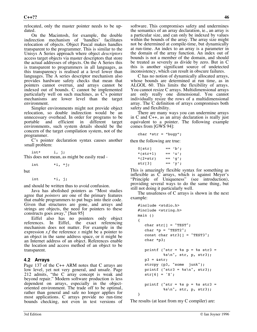relocated, only the master pointer needs to be updated.

On the Macintosh, for example, the double indirection mechanism of 'handles' facilitates relocation of objects. Object Pascal makes handles transparent to the programmer. This is similar to the Unisys A Series approach where object *descriptors* access target objects via master descriptors that store the actual addresses of objects. On the A Series this is transparent to programmers in all languages, as this transparency is realised at a level lower than languages. The A series descriptor mechanism also provides hardware safety checks that mean that pointers cannot overrun, and arrays cannot be indexed out of bounds. C cannot be implemented particularly well on such machines, as C's pointer mechanisms are lower level than the target environment.

Simpler environments might not provide object relocation, so double indirection would be an unnecessary overhead. In order for programs to be portable and efficient in different target portable and environments, such system details should be the concern of the target compilation system, not of the programmer.

C's pointer declaration syntax causes another small problem:

int\* i, j;

This does not mean, as might be easily read -

int  $*$ i,  $*$ j;

but

int \*i, j;

and should be written thus to avoid confusion.

Java has abolished pointers as "Most studies agree that *pointers* are one of the primary features that enable programmers to put bugs into their code. Given that structures are gone, and arrays and strings are objects, the need for pointers to these constructs goes away," [Sun 95]

Eiffel also has no pointers only object references. In Eiffel, the exact referencing mechanism does not matter. For example in the expression *x.f* the reference *x* might be a pointer to an object in the same address space, or it might be an Internet address of an object. References enable the location and access method of an object to be transparent.

#### **4.2 Arrays**

Page 137 of the C++ ARM notes that C arrays are low level, yet not very general, and unsafe. Page 212 admits, "the C array concept is weak and beyond repair." Modern software production is less dependent on arrays, especially in the objectoriented environment. The trade off to be optimal, rather than general and safe no longer applies for most applications. C arrays provide no run-time bounds checking, not even in test versions of

software. This compromises safety and undermines the semantics of an array declaration, ie., an array is a particular size, and can only be indexed by values within the bounds of the array. The array size might not be determined at compile-time, but dynamically at run-time. An index to an array is a parameter in the domain of the array function. An index out of bounds is not a member of the domain, and should be treated as severely as divide by zero. But in C this is another significant source of undetected inconsistency, which can result in obscure failures.

C has no notion of dynamically allocated arrays, whose bounds are determined at run time, as in ALGOL 60. This limits the flexibility of arrays. You cannot resize C arrays. Multidimensional arrays are only really one dimensional. You cannot individually resize the rows of a multidimensional array. The C definition of arrays compromises both safety and flexibility.

There are many ways you can undermine arrays in C and C++, as an array declaration is really just equivalent to a pointer. The following example comes from [GWS 94]:

$$
char *str = "bugy";
$$

then the following are true:

| O[str]     | $ == 'b';$ |
|------------|------------|
| $*(str+1)$ | $== 'u';$  |
| $*(2+str)$ | $== 'g';$  |
| str[3]     | $=$ 'y';   |

This is amazingly flexible syntax for something as inflexible as C arrays, which is against Meyer's "Principle of Uniqueness" (see introduction), providing several ways to do the same thing, but still not doing it particularly well.

The unsafeness of C arrays is shown in the next example:

```
#include <stdio.h>
#include <string.h>
main ()
{
   char str[] = "TEST";char *p = "TEST2";const char str3[] = "TEST3"; char *p3;
   printf ("str = 8s p = 8s str3 =s\ n", str, p, str3);
   p3 = 8str;strcpy (p3, "some junk");
   printf ("str3 = s\n\rightharpoonupn", str3);
   str[6] = 'X';printf ("str = 8s p = 8s str3 =
           s\ n, str, p, str3);
}
```
The results (at least from my C compiler) are: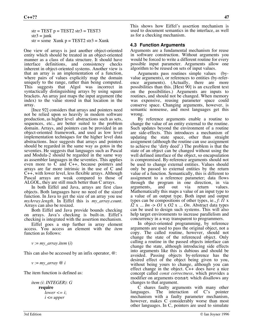$str = TEST$  p = TEST2 str3 = TEST3  $str3 = junk$  $str = some Xunk p = TEST2 str3 = Xunk$ 

One view of arrays is just another object-oriented entity which should be treated in an object-oriented manner as a class of data structure. It should have interface definitions, and consistency checks inherent in object-oriented systems. Another view is that an array is an implementation of a function, where pairs of values explicitly map the domain uniquely to the range, rather than being computed. This suggests that Algol was incorrect in syntactically distinguishing arrays by using square brackets. An array just maps the input argument (the index) to the value stored in that location in the array.

[Ince 92] considers that arrays and pointers need not be relied upon so heavily in modern software production, as higher level abstractions such as sets, sequences, etc., are better suited to the problem domain. Arrays, and pointers can be provided in an object-oriented framework, and used as low level implementation techniques for the higher level data abstractions. Ince suggests that arrays and pointers should be regarded in the same way as gotos in the seventies. He suggests that languages such as Pascal and Modula-2 should be regarded in the same way as assembler languages in the seventies. This applies even more to C and C++, because pointers and arrays are far more intrinsic in the use of C and C++, with lower level, less flexible arrays. Although Pascal arrays are weak compared to those of ALGOL, they are still much better than C arrays.

In both Eiffel and Java, arrays are first class objects. Both languages have no need of the sizeof function. In Java to get the size of an array you use *myArray.length*. In Eiffel this is *my\_array.count*. Arrays can also be resized.

Both Eiffel and Java provide bounds checking on arrays. Java's checking is built-in. Eiffel's checking is integrated with the assertion mechanism.

Eiffel goes a step further in array element access. You access an element with the *item* function as follows:

*v* := *my\_array.item* (*i*)

This can also be accessed by an infix operator, *@*:

*v* := *my\_array @ i*

The item function is defined as:

*item (i*: *INTEGER)*: *G* **require** *lower*  $\lt = i$ ; *i* <= *upper*

This shows how Eiffel's assertion mechanism is used to document semantics in the interface, as well as for a checking mechanism.

#### **4.3 Function Arguments**

Arguments are a fundamental mechanism for reuse in software construction. Without arguments you would be forced to write a different routine for every possible input parameter. Arguments allow one algorithm to be reused on sets of input values.

Arguments pass routines simple values (byvalue arguments), or references to entities (by-reference arguments). (Actually, there are more possibilities than this. [Hext 90] is an excellent text on the possibilities.) Arguments are inputs to routines, and should not be changed. When memory was expensive, reusing parameter space could conserve space. Changing arguments, however, is semantic nonsense, and most languages get this wrong.

By reference arguments enable a routine to change the value of an entity external to the routine. Such updates beyond the environment of a routine are side-effects. This introduces a mechanism of updating the state space, other than straight assignment (although the routine can use assignment to achieve the 'dirty deed'.) The problem is that the state of an object can be changed without using the well defined interface of the object, so encapsulation is compromised. By-reference arguments should not be used to change external entities. Values should only be passed to external entities by the return value of a function. Semantically, this is different to assignment to a reference parameter; data flows through the program in one direction, in via arguments, and out via return values. Mathematically this maps a value of an input type to a value of an output type. Both input and output types can be compositions of other types, ie., *f*: *I1* x *I2* x ... *Im*  $\rightarrow$  *O1* x *O2* x ... *On*. Abstract data types can be used to design such systems. This will also help target environments to increase parallelism and concurrency in a way transparent to programmers.

In object-oriented programming, by reference arguments are used to pass the original object, not a copy. The called routine, however, should not change the state of the referenced object. Only calling a routine in the passed objects interface can change the state, although introducing side effects into arguments like this is dubious and should be avoided. Passing objects by-reference has the desired effect of the object being given to you, without being yours to change, although you can effect change in the object. C++ does have a nice concept called *const correctness*, which provides a modifier on arguments const which disallows any changes to that argument.

C shares faulty arguments with many other languages. The interaction of C's pointer mechanism with a faulty parameter mechanism, however, makes C considerably worse than most other languages. In C, pointers are used to simulate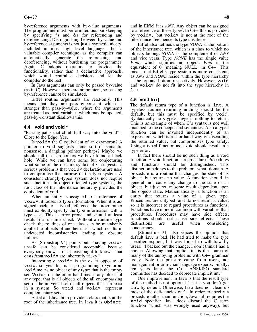by-reference arguments with by-value arguments. The programmer must perform tedious bookkeeping by specifying \*s and &s for referencing and dereferencing. Distinguishing between by-value and by-reference arguments is not just a syntactic nicety, included in most high level languages, but a valuable compiler technique, as the compiler can automatically generate the referencing and dereferencing, without burdening the programmer. Again C adopts operators to provide the functionality, rather than a declarative approach, which would centralise decisions and let the compiler do the rest.

In Java arguments can only be passed by-value (as in C). However, there are no pointers, so passing by-reference cannot be simulated.

Eiffel routine arguments are read-only. This means that they are pass-by-constant which is stronger than pass-by-value, where the arguments are treated as local variables which may be updated, pass-by-constant disallows this.

#### **4.4 void and void \***

"Passing paths that climb half way into the void" - Close to the Edge, Yes.

Is void\* the C equivalent of an oxymoron? A pointer to void suggests some sort of semantic nonsense, a dangling pointer perhaps? Maybe we should tell the astronomers we have found a black hole! While we can have some fun conjecturing what some of the obscure syntax of C suggests, a serious problem is that void\* declarations are used to compromise the purpose of the type system. A consistent strongly-typed system does not require such facilities. In object-oriented type systems, the root class of the inheritance hierarchy provides the equivalent of void.

When an entity is assigned to a reference of void\*, it looses its type information. When it is assigned back to a typed reference the programmer must explicitly specify the type information with a type cast. This is error prone and should at least result in a run-time check. Without a runtime type check, the routines of one class can be mistakenly applied to objects of another class, which results in undetected inconsistencies leading to obscure failures.

As [Stroustrup 94] points out: "having void\* unsafe can be considered acceptable because everybody knows - or at least ought to know - that casts *from* void\* are inherently tricky.'

Interestingly,  $void*$  is the exact opposite of void, so yes this is a programming oxymoron. Void means no object of any type; that is the empty set. Void\* on the other hand means any object of any type; that is all objects of the all encompassing set, or the universal set of all objects that can exist in a system. So void and void\* represent complementary sets.

Eiffel and Java both provide a class that is at the root of the inheritance tree. In Java it is Object, and in Eiffel it is *ANY*. Any object can be assigned to a reference of these types. In C++ this is provided by void\*, but void\* is not at the root of the inheritance tree, hence its type unsafeness.

Eiffel also defines the type *NONE* at the bottom of the inheritance tree, which is a class to which no objects belong. *NONE* is the complement of *ANY* and vice versa. Type *NONE* has the single value *Void*, which signifies no object. *Void* is the equivalent of 0 (meaning NULL) in C++. This means that Eiffel's type system is more consistent, as *ANY* and *NONE* reside within the type hierarchy at the top and bottom respectively. However, void and void\* do not fit into the type hierarchy in  $C_{++}$ .

#### **4.5 void fn ()**

The default return type of a function is int. A typeless routine returning nothing should be the default, but this must be specified by void. Syntactically no <type> suggests nothing to return. This is an example of where C's syntax is not well matched to the concepts and semantics. Also a typed function can be invoked independently of an expression, which is a shorthand way of discarding the returned value, but compromises type safety. Using a typed function as a void should result in a type error.

In fact there should be no such thing as a void function. A void function is a procedure. Procedures and functions should be distinguished. This distinction belongs to the problem 'what' domain. A procedure is a routine that changes the state of its object, but returns no value. A function should, in general, not cause any change to the state of an object, but just return some result dependent upon the objects state. Mathematically, a function is an entity that returns a value of a given type. Procedures are untyped, and do not return a value, so it is incorrect to regard procedures as functions. Functions have more in common with variables than procedures. Procedures may have side effects, functions should not cause side effects. These distinctions are useful when considering concurrency.

[Stroustrup 94] also voices the opinion that default int is bad. He had tried to make the type specifier explicit, but was forced to withdraw by users: "I backed out the change. I don't think I had a choice. Allowing that implicit int is the source of many of the annoying problems with C++ grammar today. Note the pressure came from users, not management or arm-chair language experts. Finally, ten years later, the C++ ANSI/ISO standard committee has decided to deprecate implicit int."

One improvement in Java is that the result type of the method is not optional. That is you don't get int by default. Otherwise, Java does not clean up most of the deficiencies of C. In order to specify a procedure rather than function, Java still requires the void specifier. Java does discard the C term function (which was wrongly used anyway), but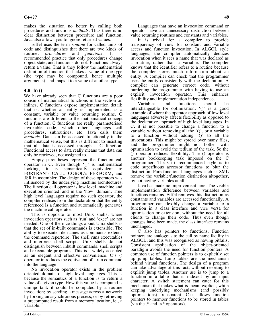makes the situation no better by calling both procedures and functions *methods*. Thus there is no clear distinction between procedure and function. Java also allows you to ignore returned values.

Eiffel uses the term *routine* for called units of code and distinguishes that there are two kinds of routine, *procedures* and *functions*. It is recommended practice that only procedures change object state, and functions do not. Functions always return a value. That is they follow the mathematical definition of function that takes a value of one type (the type may be compound, hence multiple arguments), and maps it to a value of another type.

#### **4.6 fn ()**

We have already seen that C functions are a poor cousin of mathematical functions in the section on inlines. C functions expose implementation detail; that is, whether an entity is implemented as a constant, variable or value returning routine. C functions are different to the mathematical concept of a function. C functions are really parameterised invokable code, which other languages call procedures, subroutines, etc. Java calls them *methods*. Data can be accessed functionally in the mathematical sense, but this is different to insisting that all data is accessed through a C function. Functional access to data really means that data can only be retrieved, not assigned to.

Empty parentheses represent the function call operator in C. Even though '()' is mathematical looking, it is semantically equivalent to FORTRAN's CALL, COBOL's PERFORM, and JSR in assembler. The design of these operators was influenced by the underlying machine architectures. The function call operator is low level, machine and execution oriented, and in the 'how' domain. True high level languages require no such operator, the compiler realises from the declaration that the entity referenced is a function and automatically generates the machine call operator.

This is opposite to most Unix shells, where invocation operators such as 'run' and 'exec' are not needed. One of the nice things about Unix shells is that the set of in-built commands is extensible. The ability to execute file names as commands extends the command repertoire. The shell runs executables and interprets shell scripts. Unix shells do not distinguish between inbuilt commands, shell scripts and executable programs. This is a widely accepted as an elegant and effective convenience. C's () operator introduces the equivalent of a run command into the language.

No invocation operator exists in the problem oriented domain of high level languages. This is because the semantics of a function is to return a value of a given type. How this value is computed is unimportant: it could be computed by a routine invocation; by sending a message across a network; by forking an asynchronous process; or by retrieving a precomputed result from a memory location, ie., a variable.

Languages that have an invocation command or operator have an unnecessary distinction between value returning routines and constants and variables.

It is trivial for a compiler to provide transparency of view for constant and variable access and function invocation. In ALGOL style languages, the compiler automatically deduces invocation when it sees a name that was declared as a routine, rather than a variable. The compiler knows that the identifier refers to a routine because the compiler stores much information about an entity. A compiler can check that the programmer uses the entity consistently with the declaration. A compiler can generate correct code, without burdening the programmer with having to use an explicit invocation operator. This enhances flexibility and implementation independence.

Variables and functions should be interchangeable for optimisation. '()' is a good example of where the operator approach of low level languages adversely affects flexibility as opposed to the declarative approach of high level languages. In C, it is not possible to change a function to a variable without removing all the  $'(')'$ , or a variable to a function without adding  $'(')'$  to all the invocations. This might be spread over many files, and the programmer might not bother with optimisation to avoid the tedium of the task. So the () operator reduces flexibility. The () operator is another bookkeeping task imposed on the C programmer. The C++ recommended style is to code superfluous accessor functions to blur the distinction. Pure functional languages such as SML remove the variable/function distinction altogether, by not having variables at all.

Java has made no improvement here. The visible implementation difference between variables and functions remains. Eiffel removes this distinction as constants and variables are accessed functionally. A programmer can flexibly change a variable to a function in a class interface and vice versa for optimisation or extension, without the need for all clients to change their code. Thus even though changes have been made, the class interface remains unchanged.

C also has pointers to functions. Function pointers are analogous to the call by name facility in ALGOL, and this was recognised as having pitfalls. Consistent application of the object-oriented paradigm avoids the need for function pointers. A common use of function pointers is to explicitly set up jump tables. Jump tables are the mechanism behind virtual functions. The design of a program can take advantage of this fact, without resorting to explicit jump tables. Another use is to jump to a function in a table that is indexed by an input character. A switch statement can cater for this mechanism that makes what is meant explicit, while keeping underlying mechanisms (and possibly optimisations) transparent. C++ allows function pointers to member functions to be stored in tables (via the  $.*$  and  $\rightarrow$ \* operators).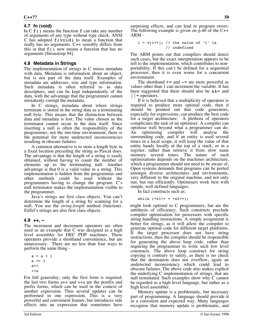### **4.7 fn (void)**

In  $C f()$  means the function  $f$  can take any number of arguments of any type without type check. ANSI  $C$  has adopted  $f(void)$  to mean a function that really has no arguments. C++ sensibly differs from this in that  $f()$  now means a function that has no arguments [Stroustrup 94].

# **4.8 Metadata in Strings**

The implementation of strings in C mixes metadata with data. Metadata is information about an object, but is not part of the data itself. Examples of metadata are addresses, size and type information. Such metadata is often referred to as data descriptors, and can be kept independently of the data, with the advantage that the programmer cannot mistakenly corrupt the metadata.

In C strings, metadata about where strings terminate is stored in the string data as a terminating null byte. This means that the distinction between data and metadata is lost. The value chosen as the terminator cannot occur in the data itself. Since inserting a null is often the responsibility of the programmer, not the run-time environment, there is the potential for more undetected inconsistencies resulting in obscure failures.

A common alternative is to store a length byte in a fixed location preceding the string as Pascal does. The advantage is that the length of a string is easily obtained, without having to count the number of elements up to the terminating null. Another advantage is that 0 is a valid value in a string. This implementation is hidden from the programmer and other methods could be used without the programmers having to change the program. C's null terminator makes the implementation visible to the programmer.

Java's strings are first class objects. You can't determine the length of a string by scanning for a null. You use the *string.length* method (function). Eiffel's strings are also first class objects.

#### **4.9 ++, --**

The increment and decrement operators are often used as an example that C was designed as a high level assembler for DEC PDP machines. These operators provide a shorthand convenience, but are unnecessary. There are no less than four ways to perform the same thing -

 $a = a + 1$  $a += 1$ a++  $++a$ 

For full generality, only the first form is required; the last two forms  $a++$  and  $++a$  are the postfix and prefix forms, which can be used in the context of another expression. Thus several updates can be performed in one expression. This is a very powerful and convenient feature, but introduces side effects into an expression that sometimes have

surprising effects, and can lead to program errors. The following example is given on p.46 of the C++ ARM -

$$
i = v[i++]; // the value of 'i' is
$$
  
// undefined

The ARM points out that compilers should detect such cases, but the exact interpretation appears to be left to the implementation, which contributes to nonportability. If this can't be defined for a sequential processor, then it is even worse for a concurrent environment.

The shorthand  $+=$  and  $-=$  are more powerful as values other than 1 can increment the variable. It has been suggested that there should also be  $\&\&=$  and |  $=$  operators.

If it is believed that a multiplicity of operators is required to produce more optimal code, then it should be pointed out that code generators, especially for expressions, can produce the best code for a target architecture. A plethora of operators complicates the task of an optimiser. A compiler can optimise well beyond what a programmer can do. An optimising compiler will analyse the surrounding code, and if an entity is used several times in a local scope, it will keep the value of that entity handy locally at the top of a stack, or in a register, rather than retrieve it from slow main memory several times. The nature of such optimisations depends on the machines architecture, which a programmer should not need to be aware of. Open systems demands that programs can be ported amongst diverse architectures and environments, very different to the original machine, and not only run, but run efficiently. Optimisers work best with simple, well defined languages.

In fact constructs such as:

while  $(*s1++ = *s2++)$ ;

might look optimal to C programmers, but are the antithesis of efficiency. Such constructs preclude compiler optimisation for processors with specific string handling instructions. A simple assignment is better for strings, as it will allow the compiler to generate optimal code for different target platforms. If the target processor does not have string instructions, then the compiler should be responsible for generating the above loop code, rather than requiring the programmer to write such low level constructs. The above loop construct for string copying is contrary to safety, as there is no check that the destination does not overflow, again an undetected inconsistency which could lead to obscure failures. The above code also makes explicit the underlying C implementation of strings, that are null terminated. Such examples show why C cannot be regarded as a high level language, but rather as a high level assembler.

Memory update is a problematic, but necessary part of programming. A language should provide it in a consistent and expected way. Many languages recognise that memory update is problematic, and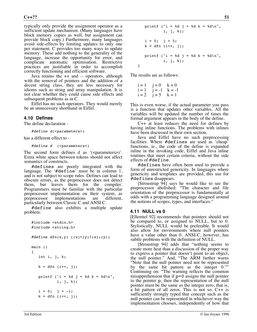typically only provide the assignment operator as a sufficient update mechanism. (Many languages have block memory copies as well, but assignment can provide block copy.) Furthermore, many languages avoid side-effects by limiting updates to only one per statement. C provides too many ways to update memory. These add nothing to the generality of the language, increase the opportunity for error, and complicate automatic optimisation. Restrictive practices are justifiable in order to accomplish correctly functioning and efficient software.

Java retains the ++ and -- operators, although with the removal of pointers and the addition of a decent string class, they are less necessary for idioms such as string and array manipulation. It is not clear whether they could cause side effects and subsequent problems as in C.

Eiffel has no such operators. They would merely be an unnecessary shorthand in Eiffel.

#### **4.10 Defines**

The define declaration -

#define d(<parameters>)

has a different effect to -

#define d (<parameters>)

The second form defines d as  $\sqrt{\epsilon}$  ( $\epsilon$  parameters $>$ )'. Extra white space between tokens should not affect semantics of constructs.

#defines are poorly integrated with the language. The '#define' must be in column 1, and is not subject to scope rules. Defines can lead to obscure errors, as the preprocessor does not detect them, but leaves them for the compiler. Programmers must be familiar with the particular preprocessor implementation on their system, as preprocessor implementations are different, particularly between Classic C and ANSI C.

#define also exhibits a multiple update problem:

```
#include <stdio.h>
#include <string.h>
#define dfn(x,y) ((x)<(y)?(x):(y))
main ()
{
    int i, j, k;
   k = dfn (i++, j);printf ("i = %d j = %d k = %d\n",
            i, j, k);
   i = 0; j = -1;k = dfn (i++), j);
```
 printf ("i = %d j = %d k = %d\n", i, j, k); i = 0; j = 5; k = dfn (i++, j); printf ("i = %d j = %d k = %d\n", i, j, k); }

The results are as follows:

| $i=1$   | $j = 0$ | $k = 0$           |
|---------|---------|-------------------|
| $i=1$   |         | $i = -1$ $k = -1$ |
| $i = 2$ | $i = 5$ | $k = 1$           |

This is even worse, if the actual parameter you pass is a function that updates other variables. All the variables will be updated the number of times the formal argument appears in the body of the define.

C++ at least reduces the need for defines by having inline functions. The problems with inlines have been discussed in their own section.

Java and Eiffel have no such preprocessing facilities. Where #defines are used as 'cheap' functions, ie., the code of the define is expanded inline in the invoking code, Eiffel and Java inline routines that meet certain criteria, without the side effects of #define.

#defines have often been used to provide a form of unrestricted genericity. In languages where genericity and templates are provided, this use for #defines disappears.

[Stroustrup 94] says he would like to see the preprocessor abolished: "The character and file orientation of the preprocessor is fundamentally at odds with a programming language designed around the notions of scopes, types, and interfaces."

#### **4.11 NULL vs 0**

[Ellemtel 92] recommends that pointers should not be compared to, or assigned to NULL, but to 0. Stylistically, NULL would be preferable. It would also allow for environments where null pointers have a value other than 0. ANSI-C, however, has subtle problems with the definition of NULL.

[Stroustrup 94] adds that "nothing seems to create more heat than a discussion of the proper way to express a pointer that doesn't point to an object, the null pointer." And, "The ARM further warns "Note that the null pointer need not be represented by the same bit pattern as the integer 0."" Continuing on: "The warning reflects the common misapprehension that if p=0 assigns the null pointer to the pointer p, then the representation of the null pointer must be the same as the integer zero, that is, a bit pattern of all zeros. This is not so. C++ is sufficiently strongly typed that concept such as the null pointer can be represented in whichever way the implementation chooses, independently of how that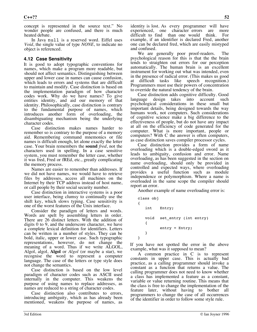concept is represented in the source text." No wonder people are confused, and there is much heated debate.

In Java null is a reserved word. Eiffel uses *Void*, the single value of type *NONE*, to indicate no object is referenced.

### **4.12 Case Sensitivity**

It is good to adopt typographic conventions for names, which make a program more readable, but should not affect semantics. Distinguishing between upper and lower case in names can cause confusion, which leads to errors and systems that are difficult to maintain and modify. Case distinction is based on the implementation paradigm of how character codes work. Why do we have names? To give entities identity, and aid our memory of that identity. Philosophically, case distinction is contrary to the fundamental purpose of names, which introduces another form of overloading, the disambiguating mechanism being the underlying character codes.

Case distinction makes names harder to remember so is contrary to the purpose of a memory aid. Remembering command mnemonics or file names is difficult enough, let alone exactly the letter case. Your brain remembers the **sound** *fred*, not the characters used in spelling. In a case sensitive system, you must remember the letter case, whether it was fred, Fred or fREd, etc., greatly complicating the memory process.

Names are easier to remember than addresses. If we did not have names, we would have to retrieve files by addresses, access all machines on the Internet by their TCP address instead of host name, or call people by their social security number.

Case distinction in interactive systems is a poor user interface, being clumsy to continually use the shift key, which slows typing. Case sensitivity is one of the worst features of the Unix interface.

Consider the paradigm of letters and words. Words are spelt by assembling letters in order. There are 26 distinct letters. With the addition of digits 0 to 9, and the underscore character, we have a complete lexical definition for identifiers. Letters can be written in a number of styles. They can be bold, italic, upper or lower case. Such typographic representations, however, do not change the meaning of a word. Thus if we write ALGOL, Algol, algol, **Algol** or *Algol* (or maybe a star), we recognise the word to represent a computer language. The case of the letters or type style does not change the semantics.

Case distinction is based on the low level paradigm of character codes such as ASCII used internally in the computer. This weakens the purpose of using names to replace addresses, as names are reduced to a string of character codes.

Case distinction also contributes to errors, introducing ambiguity, which as has already been mentioned, weakens the purpose of names, as

identity is lost. As every programmer will have experienced, one character errors are more difficult to find than one would think. For difficult to find than one would example, if an identifier is declared Fred, another one can be declared fred, which are easily mistyped and confused.

We are generally poor proof-readers. The psychological reason for this is that the the brain tends to straighten out errors for our perception automatically. The human brain is an excellent instrument for working out what was intended, even in the presence of radical error. (This makes us good at difficult tasks like speech recognition.) Programmers must use their powers of concentration to override the natural tendency of the brain.

Case distinction adds cognitive difficulty. Good language design takes into account such psychological considerations in these small but important details, being designed towards the way humans work, not computers. Such considerations of cognitive science make a big difference to the effectiveness of people, but do not have any impact at all on the efficiency of code generated for the computer. What is more important, people or computers? With C the answer is often computers, as case distinction saves compiler processor cycles.

Case distinction provides a form of name overloading which is a double-edged sword as it leads to ambiguity, confusion and error. Name overloading, as has been suggested in the section on name overloading, should only be provided in controlled and expected ways, where overloading provides a useful function such as module independence or polymorphism. Where a name is overloaded in the same scope the compiler should report an error.

Another example of name overloading error is:

```
class obj
{
   int Entry;
   void set entry (int entry)
   {
         entry = Entry;
   }
}
```
If you have not spotted the error in the above example, what was it supposed to mean?

A common practice in C is to represent constants in upper case. This is actually bad practice, as a calling programmer should invoke a constant as a function that returns a value. The calling programmer does not need to know whether a class has implemented a feature as a constant, variable or value returning routine. This means that the class is free to change the implementation of the feature later, without having to bother all programmers to change the case of all occurrences of the identifier in order to follow some style rule.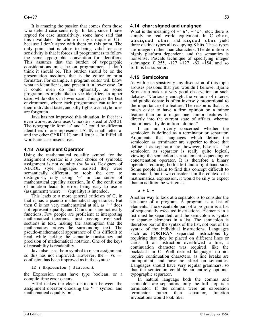It is amazing the passion that comes from those who defend case sensitivity. In fact, since I have argued for case insensitivity, some have said that this invalidates the whole of my critique of C++ because I don't agree with them on this point. The only point that is close to being valid for case sensitivity is that it forces all programmers to follow the same typographic convention for identifiers. This assumes that the burden of typographic considerations must be on programmers. I don't think it should be. This burden should be on the presentation medium, that is the editor or print formatter. For example, a program editor will know what an identifier is, and present it in lower case. Or it could even do this optionally, as some programmers might like to see identifiers in upper case, while others in lower case. This gives the best environment, where each programmer can tailor to their individual taste, and silly fights over style rules are forgotten.

Java has not improved this situation. In fact it is even worse, as Java uses Unicode instead of ASCII. The typographic form 'a' and 'a' could be different identifiers if one represents LATIN small letter a, and the other CYRILLIC small letter a. In Eiffel all words are case insensitive.

#### **4.13 Assignment Operator**

Using the mathematical equality symbol for the assignment operator is a poor choice of symbols; assignment is not equality  $(:= != =).$  Designers of ALGOL style languages realised they were semantically different, so took the care to distinguish, only using  $=$  in the sense of mathematical equality assertion. In C the confusion of notation leads to error, being easy to use = (assignment) where  $==$  (equality) is intended.

This leads to a more general criticism of C, in that it has a pseudo mathematical appearance. But then C is not very mathematical at all, as  $\leq$  does not represent equality, and C functions are not really functions. Few people are proficient at interpreting mathematical theorems, most passing over such sections in text, making the assumption that the mathematics proves the surrounding text. The pseudo-mathematical appearance of C is difficult to read, while lacking the semantic consistency and precision of mathematical notation. One of the keys of reusability is readability.

Java also uses the = symbol to mean assignment, so this has not improved. However, the  $=$  vs  $=$ confusion has been improved as in the syntax:

if ( Expression ) Statement

the Expression must have type boolean, or a compile-time error occurs.

Eiffel makes the clear distinction between the assignment operator choosing the ':=' symbol and mathematical equality  $=$ .

#### **4.14 char; signed and unsigned**

What is the meaning of  $+ a'$ ,  $- b'$ , etc.; there is simply no real world equivalent. In C char, unsigned char, and signed char yield three distinct types all occupying 8 bits. These types are integers rather than characters. The definition is highly platform dependent, and the semantics is nonsense. Pascals technique of specifying integer subranges: 0..255, -127..+127, -63..+154, and so forth is far superior.

#### **4.15 Semicolons**

As with case sensitivity any discussion of this topic arouses passions that you wouldn't believe. Bjarne Stroustrup makes a very good observation on such debates: "Curiously enough, the volume of interest and public debate is often inversely proportional to the importance of a feature. The reason is that it is much easier to have a firm opinion on a minor feature than on a major one; minor features fit directly into the current state of affairs, whereas major ones - by definition - do not."

I am not overly concerned whether the semicolon is defined as a terminator or separator. Arguments that languages which define the semicolon as terminator are superior to those that define it as separator are, however, baseless. The semicolon as separator is really quite logical, viewing the semicolon as a statement sequencing or concatenation operator. It is therefore a binary operator, requiring both a left and a right hand side. Some people claim to find this concept difficult to understand, but if we consider it in the context of a mathematical expression, it would be silly to expect that an addition be written as:

 $a + b +$ 

Another way to look at a separator is to consider the structure of a program. A program is a list of elements. The executable part of a program is a list of sequentially executed instructions. Elements in a list must be separated, and the semicolon is syntax to separate elements in a list. The semicolon is therefore part of the syntax of the list, not part of the syntax of the individual instructions. Languages such as FORTRAN separated instructions by requiring that they be placed on different lines or cards. If an instruction overflowed a line, a continuation character was required, like the backslash in C. Well defined languages do not require continuation characters, as line breaks are unimportant, and have no effect on semantics. Languages should have very regular grammars, so that the semicolon could be an entirely optional typographic separator.

In natural language both the comma and semicolon are separators, only the full stop is a terminator. If the comma were an expression terminator rather than separator, function terminator rather than separator, function invocations would look like: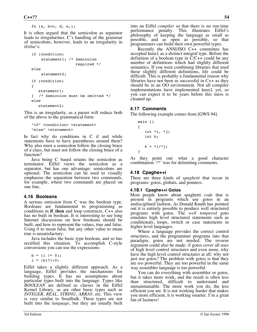fn (a, b+c, d, e,);

It is often argued that the semicolon as separator leads to irregularities. C's handling of the grammar of semicolons, however, leads to an irregularity in if/else's:

```
if (condition)
     statement1; /* Semicolon
                     required */
else
     statement2;
if (condition)
{
    statement1;
} /* Semicolon must be omitted */
else
    statement2;
```
This is an irregularity, as a parser will reduce both of the above to the grammatical form:

```
"if" <condition> <statement>
"else" <statement>
```
In fact why do conditions in C if and while statements have to have parentheses around them? Why also must a semicolon follow the closing brace of a class, but must not follow the closing brace of a function?

Java being C based retains the semicolon as terminator. Eiffel views the semicolon as a separator, but has one advantage: semicolons are optional. The semicolon can be used to visually emphasise the separation between two commands, for example, where two commands are placed on one line.

#### **4.16 Booleans**

A serious omission from C was the boolean type. Booleans are fundamental to programming as conditions in **if**..**then** and loop constructs. C++ also has no built in boolean. It is interesting to see long Internet discussions on how booleans should be built, and how to represent the values, true and false. Using 0 to mean false, but any other value to mean true is unsatisfactory.

Java includes the basic type boolean, and so has rectified this situation. To accomplish C-style conversions you can use the expressions:

```
b = (i != 0);i = (b) ? 1 : 0;
```
Eiffel takes a slightly different approach. As a language, Eiffel provides the mechanisms for building types. It has no assumptions about particular types built into the language. Types like *BOOLEAN* are defined as classes in the Eiffel Kernel Library, as are other basic types such as *INTEGER*, *REAL*, *STRING*, *ARRAY*, etc. This view is very similar to Smalltalk. These types are not built into the *language*, but they are usually built into an Eiffel *compiler* so that there is no run-time performance penalty. This illustrates Eiffel's philosophy of keeping the language as small as possible, and as open as possible, so that programmers can build their own powerful types.

Recently the ANSI/ISO C++ committee has accepted bool as a distinct integral type. Before the definition of a boolean type in  $C/C++$  could be any number of definitions which had slightly different semantics. If you were combining libraries that used these slightly different definitions, life could be difficult. This is probably a fundamental reason why libraries have not been as successful in C++ as they should be in an OO environment. Not all compiler implementations have implemented bool yet, so you can expect it to be years before this mess is cleaned up.

#### **4.17 Comments**

The following example comes from [GWS 94].

```
main ()
{
    int *i, *j;
    int k;
   k = *i/*j;}
```
As they point out: what a good character combination '/\*' was for delimiting comments.

#### **4.18 Cpaghe++i**

There are three kinds of *spaghetti* that occur in programs: gotos, globals, and pointers.

#### **4.18.1 Cpaghe++i Gotos**

Most people know about spaghetti *code* that is present in programs which use gotos in an undisciplined fashion. As Donald Knuth has pointed out it is entirely possible to produce well structured programs with gotos. The *well tempered* goto emulates high level structured statements such as conditionals, loops, switch or case statements in higher level languages.

Where a language provides the correct control structures, and the programmer programs into that paradigm, gotos are not needed. The reverse argument could also be made: if gotos cover all uses of high level control structures and even more, why have the high level control structures at all; why not just use gotos? The problem with gotos is that they are *too* powerful. They are too powerful in the same way assembler language is too powerful.

You can do everything with assembler or gotos, but it takes more work, and the result is often less than structured, difficult to understand and unmaintainable. The more work you do, the less efficient you are. It is not working harder that makes you more efficient, it is working smarter. I'm a great fan of laziness!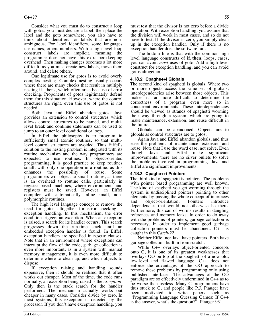Consider what you must do to construct a loop with gotos: you must declare a label, then place the label and the goto somewhere; you also have to think about identifiers for labels that are nonambiguous. For label identifiers, some languages use names, others numbers. With a high level loop construct, labels are implicit, meaning the programmer does not have this extra bookkeeping overhead. Then making changes becomes a lot more difficult, as you must create new labels, move them around, and delete others.

One legitimate use for gotos is to avoid overly complex nesting. Complex nesting usually occurs where there are many checks that result in multiply nesting if...thens, which often arise because of error checking. Proponents of gotos legitimately defend them for this situation. However, where the control structures are right, even this use of gotos is not needed.

Both Java and Eiffel abandon gotos. Java provides an extension to control structures which allows control structures to be named, and multilevel break and continue statements can be used to jump to an outer level conditional or loop.

In Eiffel the philosophy is to program in sufficiently small atomic routines, so that multilevel control structures are avoided. Thus Eiffel's solution to the nesting problem is integrated with its routine mechanism and the way programmers are expected to use routines. In object-oriented programming, it is good practice to keep routines small, with only one operation in a routine, as this enhances the possibility of reuse. Some programmers will object to small routines, as there is an overhead to routine calls, particularly in register based machines, where environments and registers must be saved. However, an Eiffel compiler will automatically inline small, nonpolymorphic routines.

The high level language concept to remove the need for gotos altogether for error checking is exception handling. In this mechanism, the error condition triggers an exception. When an exception is raised, a search for its handler occurs. This search progresses down the run-time stack until an embedded exception handler is found. In Eiffel, exception handlers are specified in **rescue** clauses. Note that in an environment where exceptions can interrupt the flow of the code, garbage collection is even more important, as in a system with manual memory management, it is even more difficult to determine where to clean up, and which objects to dispose.

If exception raising and handling sounds expensive, then it should be realised that it often works out cheaper. Most of the time, the code runs normally, an exception being raised is the *exception*. Only then is the stack search for the handler performed. The mechanism actually works out cheaper in many cases. Consider divide by zero. In most systems, this exception is detected by the processor. If you don't have exception handling, you

must test that the divisor is not zero before a divide operation. With exception handling, you assume that the division will work in most cases, and so do not have to test. If the divisor is zero, you simply clean up in the exception handler. Only if there is no exception handler does the software fail.

The bottom line is that with the common high level language constructs of **if**..**then**, loops, cases, you can avoid *most* uses of goto. Add a high level construct for exception handling, and you can avoid gotos altogether.

#### **4.18.2 Cpaghe++i Globals**

The second kind of spaghetti is globals. Where two or more objects access the same set of globals, interdependencies arise between those objects. This makes it far more difficult to determine the correctness of a program, even more so in concurrent environments. These interdependencies should be viewed as strands of spaghetti worming their way through a system, which are going to make maintenance, extension, and reuse difficult in the future.

Globals can be abandoned. Objects are to globals as control structures are to gotos.

Again Java and Eiffel abandon globals, and thus ease the problems of maintenance, extension and reuse. Note that I use the word ease, not solve. Even<br>though Java and Eiffel make significant though Java and Eiffel make significant improvements, there are no silver bullets to solve the problems involved in programming. Java and Eiffel are significant improvements.

#### **4.18.3 Cpaghe++i Pointers**

The third kind of spaghetti is pointers. The problems with pointer based programming are well known. The kind of spaghetti you get worming through the system is undisciplined pointers pointing to other elements, by-passing the whole concept of interfaces and object-orientation. Pointers introduce dependencies that would not otherwise be there. Furthermore, this can of worms results in dangling references and memory leaks. In order to do away with the problems of pointers, garbage collection is necessary. In order to implement good garbage collection pointers must be abandoned. C++ is caught in this *Catch-22*.

Neither Eiffel nor Java have pointers. Both have garbage collection built in from scratch.

While C++ overlays object-oriented concepts onto C, it is one of its greatest weaknesses that overlays OO on top of the spaghetti of a now old, low-level and flawed language. C++ does not enforce the advantages of the OO approach to remove these problems by programming only using published interfaces. The advantages of the OO paradigm are so effectively undermined in C++ as to be worse than useless. Many C programmers have thus stuck to C, and people like P.J. Plauger have been motivated to write papers such as "Programming Language Guessing Games: If C++ is the answer, what's the question?" [Plauger 93].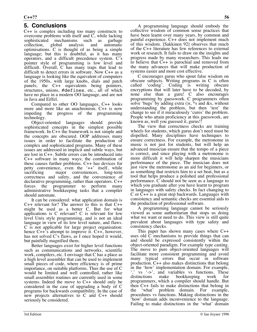# **5. Conclusions**

C++ is complex including too many constructs to overcome problems with itself and C, while lacking sophisticated mechanisms such as garbage collection, global analysis and automatic optimisations. C is thought of as being a simple language; but this is doubtful, as it has many operators, and a difficult precedence system. C's pointer style of programming is low level and difficult. Overall, C has many traps that lead to difficult to detect errors in software. Now C++ as a language is looking like the equivalent of computers of the 1950s, with large knobs, dials and patch panels; the C++ equivalents being pointers, structures, unions, #defines, etc., all of which have no place in a modern OO language, and are not in Java and Eiffel.

Compared to other OO languages, C++ looks more and more like an anachronism. C++ is now impeding the progress of the programming technology.

Object-oriented languages should provide sophisticated concepts in the simplest possible framework. In C++ the framework is not simple and the concepts are obscured. OOP addresses many issues in order to facilitate the production of complex and sophisticated programs. Many of these issues are addressed in implicit and subtle ways, but are lost in C++. Subtle errors can be introduced into C++ software in many ways; the combination of these causes further problems. C++ has devices for petty convenience, even the '++' itself, while sacrificing major conveniences, long-term correctness and safety, and the convenience of declarative programming, rather than operators. C++ forces the programmer to perform many administrative bookkeeping tasks that a compiler should automate.

It can be considered: what application domain is C++ relevant for? The answer to this is that C++ might be used as a better C. But for what applications is C relevant? C is relevant for low level Unix style programming, and is not an ideal language in view of its low level nature, and flaws. C is not applicable for large project organisation: hence C++'s attempt to improve it. C++, however, has not solved C's flaws, as I once hoped it would, but painfully magnified them.

Better languages exist for higher level functions such as communications and networks, scientific work, compilers, etc. I envisage that C has a place as a high level assembler that can be used to implement small pieces of code, where efficiency is of prime importance, on suitable platforms. Thus the use of C would be limited and well controlled, rather like small assembler routines are currently used in some systems. Indeed the move to C++ should only be considered in the case of upgrading a body of C programs for backwards compatibility. In the case of new projects alternatives to C and C++ should seriously be considered.

A programming language should embody the collective wisdom of common sense practices that have been learnt over many years, by common and painful experience. C++ does not implement much of this wisdom. [Sakkinen 92] observes that much of the C++ literature has few references to external work or research. It fails to draw on the insights and progress made by many researchers. This leads me to believe that C++ is parochial and removed from the many advances that will make production of systems easier and more cost effective.

C encourages gurus who spout false wisdom on obscure subjects. Writing programs in C is often called 'coding'. Coding is writing obscure encryptions that will later have to be decoded, by none else than a guru! C also encourages programming by guesswork. C programmers often solve 'bugs' by adding extra ()s, \*s and &s, without understanding the problem, but then 'test' the change to see if it miraculously 'cures' the problem. People who attain proficiency at this guesswork, are known as, well you guessed it, gurus!!

The view that correctness checks are training wheels for students, which gurus don't need must be dispelled. Many disciplines have techniques to ensure correctness. For example, the metronome in music is not just for students, but will help an advanced musician ensure that the tempo of a piece is correct, and since playing with a metronome is more difficult it will help sharpen the musicians performance of the piece. The musician does not just view the metronome as an aid for beginners, or as something that restricts him to a set beat, but as a tool that helps produce a polished and professional performance. C should not be seen as a language to which you graduate after you have learnt to program in languages with safety checks. In fact changing to C or C++ is a great step backwards. Languages with consistency and semantic checks are essential aids to the production of professional software.

A programming language cannot be seriously viewed as some authoritarian that stops us doing what we want or need to do. This view is still quite prevalent about languages with type safety and consistency checks.

This paper has shown many cases where C++ uses old C mechanisms to provide things that can and should be expressed consistently within the object-oriented paradigm. For example type casting. The move to pure object-oriented languages will facilitate more consistent programming and avoid many typical errors that occur in software production. C++ also makes distinctions that belong in the 'how' implementation domain. For example, '.' vs '->', and variables vs functions. These distinctions make bookkeeping work for programmers, which a compiler should handle. But then C++ fails to make distinctions that belong in the 'what' problem domain. For example, procedures vs functions. Making distinctions in the 'how' domain adds inconvenience to the language. Failing to make distinctions in the 'what' domain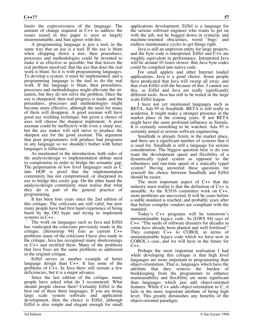limits the expressiveness of the language. The amount of change required in C++ to address the issues raised in this paper is seen as largely insurmountable, and Sun agrees with this.

A programming language is just a tool, in the same way that an axe is a tool. If the axe is blunt when chopping down a tree, then procedures, processes and methodologies could be invented to make it as effective as possible; but that leaves the real problem unsolved: that the axe that does the real work is blunt. So it is with programming languages. To develop a system, it must be implemented, and a programming language is the tool to do the real work. If the language is blunt, then procedures, processes and methodologies might alleviate the situation, but they do not solve the problem. Once the axe is sharpened, then real progress is made, and the procedures, processes and methodologies might become more effective, although the need for many of them will disappear. A good axeman will have good axe wielding technique, but given a choice of axes will choose the sharpest implement. A poor axeman could be ineffective with even a sharp axe, but the axe maker will still strive to produce the sharpest axe for the good axeman. The argument that poor programmers will produce bad programs in any language so we shouldn't bother with better languages is fallacious.

As mentioned in the introduction, both sides of the analysis/design vs implementation debate need to compromise in order to bridge the semantic gap. The perpetuation of low level languages such as C into OOP is proof that the implementation community has not compromised, or sharpened its axe to bridge this costly gap. On the other hand the analysis/design community must realise that what they do is part of the general practice of programming.

It has been four years since the 2nd edition of this critique. The criticisms are still valid, but now many people have had first hand experience of being burnt by the OO hype and trying to implement systems in C++.

The work on languages such as Java and Eiffel has vindicated the criticisms previously made in the critique. [Stroustrup 94] lists as current C++ problems many of the criticisms I have also made in the critique. Java has recognised many shortcomings in C++ and rectified them. Many of the problems that Java fixes are the same problems as addressed in the original critique.

Eiffel serves as another example of better language design than C++. It has none of the problems of C++. In Java there still remain a few deficiencies, but it is a major advance.

Since the last edition of the critique, many people have asked what do I recommend. What should people choose then? Certainly Eiffel is the best out of these three languages. If you are doing large scale system software and application development, then the choice is Eiffel, although Eiffel is also simple and elegant enough for small

applications development. Eiffel is a language for the serious software engineer who wants to get on with the job, not be bogged down in syntactic and machine-oriented obscurities, weird 'bugs' and endless maintenance cycles to get things right.

Java is still an unproven entity for large projects, and the byte code is interpreted. Eiffel and C++ are roughly equivalent in performance. Interpreted Java will be around 10 times slower. But Java byte codes could be compiled into native code.

For small applets and other Internet loaded applications, Java is a good choice. Some people have predicated that Java will sweep all away, and that even Eiffel will die because of this. I cannot see this, as Eiffel and Java are really significantly different tools. Java has still to be tested in the large scale Eiffel league.

I have not yet mentioned languages such as BETA, Ada 95 or Smalltalk. BETA is still really in academia. It might make a stronger presence in the market place in the coming years. If not BETA might have the same profound influence as Simula. It is certainly something to be watched. Ada 95 is certainly aimed at serious software engineering.

Smalltalk is already firmly in the market place, and there are a significant number of systems that it is used for. Smalltalk is still a language for serious consideration. The biggest question here is do you want the development speed and flexibility of a dynamically typed system as opposed to the robustness and run-time speed of a statically typed system? Having answered these questions for yourself the choice between Smalltalk and Eiffel should be easier.

The most important aspect of C++ that the industry must realise is that the definition of  $C++$  is unstable. As the  $X3J16$  committee work on  $C_{++}$ , more problems are uncovered. It will be years before a stable standard is reached, and probably years after that before compiler vendors are compliant with the standard.

Today's C++ programs will be tomorrow's unmaintainable legacy code. As [GWS 94] says of C++: "The seeds of software disasters for decades to come have already been planted and well fertilised." They compare C++ to COBOL in terms of unmaintainable legacy code which we have now in COBOL's case, and we will have in the future for  $C_{++}$ .

Perhaps the most important realisation I had while developing this critique is that high level languages are more important to programming than object-orientation. That is, languages which have the attribute that they remove the burden of bookkeeping from the programmer to enhance maintainability and flexibility are more significant than languages which just add object-oriented features. While  $C_{++}$  adds object-orientation to C, it fails in the more important attribute of being high level. This greatly diminishes any benefits of the object-oriented paradigm.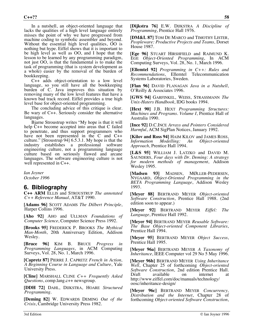In a nutshell, an object-oriented language that lacks the qualities of a high level language entirely misses the point of why we have progressed from machine coding to symbolic assembler and beyond. Without the essential high level qualities, OO is nothing but hype. Eiffel shows that it is important to be high level as well as OO, and I hope that the lesson to be learned by any programming paradigm, not just OO, is that the fundamental is to make the task of programming (that is system development as a whole) easier by the removal of the burden of bookkeeping.

C++ adds object-orientation to a low level language, so you still have all the bookkeeping burden of C. Java improves this situation by removing many of the low level features that have a known bad track record. Eiffel provides a true high level base for object-oriented programming.

The concluding advice of this critique is clear. Be wary of C++. Seriously consider the alternative languages.

Bjarne Stroustrup writes "My hope is that it will help C++ become accepted into areas that C failed to penetrate, and thus support programmers who have not been represented in the C and C++ culture." [Stroustrup 94] 6.5.3.1. My hope is that the industry establishes a professional software engineering culture, not a programming language culture based on seriously flawed and arcane languages. The software engineering culture is not well represented in C++.

*Ian Joyner October 1996*

# **6. Bibliography**

**C++ ARM** ELLIS and STROUSTRUP *The annotated C++ Reference Manual*, AT&T 1990.

**[Adams 96]** SCOTT ADAMS *The Dilbert Principle*, Harper Collins 1996.

**[Aho 92]** AHO and ULLMAN *Foundations of Computer Science*, Computer Science Press 1992.

**[Brooks 95]** FREDERICK P. BROOKS *The Mythical Man-Month*, 20th Anniversary Edition, Addison Wesley.

**[Bruce 96]** KIM B. BRUCE *Progress in Programming Languages*, in ACM Computing Surveys, Vol. 28, No. 1, March 1996.

**[Capretz 87]** PIERRE J. CAPRETZ *French in Action, A Beginning Course in Language and Culture*, Yale University Press.

**[Cline]** MARSHALL CLINE *C++ Frequently Asked Questions*, comp.lang.c++ newsgroup.

**[DDH 72]** DAHL, DIJKSTRA, HOARE *Structured Programming.*

**[Deming 82]** W. EDWARDS DEMING *Out of the Crisis*, Cambridge University Press 1982.

**[Dijkstra 76]** E.W. DIJKSTRA *A Discipline of Programming*, Prentice Hall 1976.

**[DM&L 87]** TOM DE MARCO and TIMOTHY LISTER, *Peopleware: Productive Projects and Teams*, Dorset House 1987.

**[Ege 96]** STUART HIRSHFIELD and RAIMUND K. EGE *Object-Oriented Programming*, In ACM Computing Surveys, Vol. 28, No. 1, March 1996.

**[Ellemtel 92]** *Programming in C++: Rules and Recommendations*, Ellemtel Telecommunication Systems Laboratories, Sweden.

**[Flan 96]** DAVID FLANAGAN *Java in a Nutshell*, O'Reilly & Associates 1996.

**[GWS 94]** GARFINKEL, WEISS, STRASSMANN *The Unix-Haters Handbook*, IDG books 1994.

**[Hext 90]** J.B. HEXT *Programming Structures: Machines and Programs. Volume I*, Prentice Hall of Australia 1990.

**[Ince 92]** D.C.INCE *Arrays and Pointers Considered Harmful*, ACM SigPlan Notices, January 1992.

**[Kilov and Ross 94]** HAIM KILOV and JAMES ROSS, *Information Modelling: An Object-oriented Approach*, Prentice Hall 1994.

**[L&S 95]** WILLIAM J. LATZKO and DAVID M. SAUNDERS, *Four days with Dr. Deming: A strategy for modern methods of management*, Addison Wesley 1995.

**[Madsen 93]** MADSEN, MØLLER-PEDERSEN, NYGAARD, *Object-Oriented Programming in the BETA Programming Language*, Addison Wesley 1993.

**[Meyer 88]** BERTRAND MEYER *Object-oriented Software Construction*, Prentice Hall 1988. (2nd edition soon to appear.)

**[Meyer 92]** BERTRAND MEYER *Eiffel: The Language*, Prentice Hall 1992.

**[Meyer 94]** BERTRAND MEYER *Reusable Software: The Base Object-oriented Component Libraries*, Prentice Hall 1994.

**[Meyer 95]** BERTRAND MEYER *Object Success*, Prentice Hall 1995.

**[Meyer 96a]** BERTRAND MEYER *A Taxonomy of Inheritance*, IEEE Computer vol 29 No 5 May 1996.

**[Meyer 96b]** BERTRAND MEYER *Using Inheritance Well*, Chapter 25 of forthcoming *Object-oriented Software Construction*, 2nd edition Prentice Hall. Draft available on internet at http://www.eiffel.com/doc/manuals/technology/ oosc/inheritance-design/

**[Meyer 96c]** BERTRAND MEYER *Concurrency, Distribution and the Internet*, Chapter 28 of forthcoming *Object-oriented Software Construction*,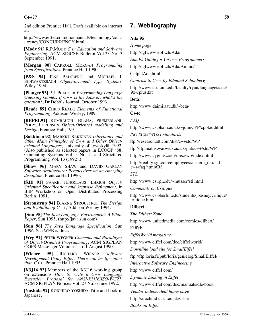#### **C++?? 59**

2nd edition Prentice Hall. Draft available on internet at:

http://www.eiffel.com/doc/manuals/technology/conc urrency/CONCURRENCY.html

**[Mody 91]** R.P.MODY *C in Education and Software Engineering*, ACM SIGCSE Bulletin Vol.23 No. 3 September 1991.

**[Morgan 90]** CARROLL MORGAN *Programming from Specifications*, Prentice Hall 1990.

**[P&S 94]** JENS PALSBERG and MICHAEL I. SCHWARTZBACH *Object-oriented Type Systems*, Wiley 1994.

**[Plauger 93]** P.J. PLAUGER *Programming Language Guessing Games: If C++ is the Answer, what's the question?*, Dr Dobb's Journal, October 1993.

**[Reade 89]** CHRIS READE *Elements of Functional Programming*, Addison-Wesley, 1989.

**[RBPEL91]** RUMBAUGH, BLAHA, PREMERLANI, EDDY, LORENSEN *Object-Oriented modelling and Design*, Prentice-Hall, 1991.

**[Sakkinen 92]** MARKKU SAKKINEN *Inheritance and Other Main Principles of C++ and Other Objectoriented Languages*, University of Jyväskylä, 1992. (Also published as selected papers in ECOOP '88, Computing Systems Vol. 5 No. 1, and Structured Programming Vol. 13 (1992).)

**[Shaw 96]** MARY SHAW and DAVID GARLAN *Software Architecture: Perspectives on an emerging discipline*, Prentice Hall 1996.

**[SJE 91]** SAAKE, JUNGCLAUS, EHRICH *Object-Oriented Specification and Stepwise Refinement*, in IFIP Workshop on Open Distributed Processing Berlin, 1991.

**[Stroustrup 94]** BJARNE STROUSTRUP *The Design and Evolution of C++*, Addison Wesley 1994.

 **[Sun 95]** *The Java Language Environment: A White Paper*, Sun 1995. (http://java.sun.com)

**[Sun 96]** *The Java Language Specification*, Sun 1996. See WEB address.

**[Weg 91]** PETER WEGNER *Concepts and Paradigms of Object-Oriented Programming*, ACM SIGPLAN OOPS Messenger Volume 1 no. 1 August 1990.

**[Wiener 95]** RICHARD WIENER *Software Development Using Eiffel: There can be life other than C++*, Prentice Hall 1995.

**[X3J16 92]** Members of the X3J16 working group on extensions *How to write a C++ Language Extension Proposal for ANSI-X3j16/ISO-WG21*, ACM SIGPLAN Notices Vol. 27 No. 6 June 1992.

**[Yoshida 92]** KOICHIRO YOSHIDA Title and book in Japanese.

# **7. Webliography**

#### **Ada 95**:

*Home page*

http://lglwww.epfl.ch/Ada/

*Ada 95 Guide for C/C++ Programmers*

http://lglwww.epfl.ch/Ada/Ammo/

Cplpl2Ada.html

*Contrast to C++ by Edmond Schonberg*

http://www.csci.unt.edu/faculty/ryan/languages/ada/ 9x-cplus.txt

**Beta**:

http://www.daimi.aau.dk/~beta/

**C++:**

*FAQ*

http://www.cs.bham.ac.uk/~jdm/CPP/cppfaq.html

*ISO SC22/WG21 standards*

ftp://research.att.com/dist/c++std/WP

ftp://ftp.maths.warwick.ac.uk/pub/c++/std/WP

http://www.cygnus.com/misc/wp/index.html

http://reality.sgi.com/employees/austern\_mti/stdc++/faq.html#B8

*STL*

http://www.cs.rpi.edu/~musser/stl.html

*Comments on Critique*

http://www.cs.oberlin.edu/students/jbasney/critique/ critique.html

**Dilbert**:

*The Dilbert Zone*

http://www.unitedmedia.com/comics/dilbert/

**Eiffel**:

*EiffelWorld magazine*

http://www.eiffel.com/doc/eiffelworld/

*Downline load site for SmallEiffel*

ftp://ftp.loria.fr/pub/loria/genielog/SmallEiffel/

*Interactive Software Engineering*

http://www.eiffel.com/

*Dynamic Linking in Eiffel*

http://www.eiffel.com/doc/manuals/dle/book

*Vendor independent home page*

http://arachnid.cs.cf.ac.uk/CLE/

*Books on Eiffel*